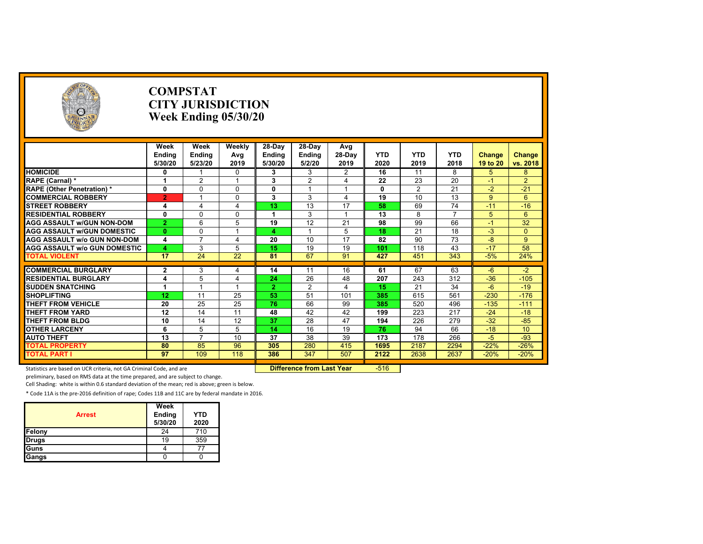| <b>COLLEGE DE LA COLLEGE DE LA COLLEGE DE LA COLLEGE DE LA COLLEGE DE LA COLLEGE DE LA COLLEGE DE LA COLLEGE DE LA</b> |                   | <b>COMPSTAT</b><br><b>CITY JURISDICTION</b><br>Week Ending $05/30/20$ |                          |                      |                         |                               |                    |                    |                    |                    |                           |
|------------------------------------------------------------------------------------------------------------------------|-------------------|-----------------------------------------------------------------------|--------------------------|----------------------|-------------------------|-------------------------------|--------------------|--------------------|--------------------|--------------------|---------------------------|
|                                                                                                                        | Week              | <b>Week</b>                                                           | Weekly                   | 28-Day               | 28-Day                  | Avg                           |                    |                    |                    |                    |                           |
|                                                                                                                        | Endina<br>5/30/20 | Ending<br>5/23/20                                                     | Avg<br>2019              | Ending<br>5/30/20    | <b>Endina</b><br>5/2/20 | 28-Dav<br>2019                | <b>YTD</b><br>2020 | <b>YTD</b><br>2019 | <b>YTD</b><br>2018 | Change<br>19 to 20 | <b>Change</b><br>vs. 2018 |
| <b>HOMICIDE</b>                                                                                                        | 0                 |                                                                       | $\mathbf 0$              | 3                    | 3                       | $\overline{2}$                | 16                 | $\overline{11}$    | 8                  | 5                  | 8                         |
| RAPE (Carnal) *                                                                                                        | 1                 | $\overline{2}$                                                        |                          | 3                    | 2                       | $\overline{4}$                | 22                 | 23                 | 20                 | $-1$               | $\overline{2}$            |
| <b>RAPE (Other Penetration) *</b>                                                                                      | $\mathbf{0}$      | $\Omega$                                                              | $\Omega$                 | 0                    |                         |                               | 0                  | 2                  | 21                 | $-2$               | $-21$                     |
| <b>COMMERCIAL ROBBERY</b>                                                                                              | $\overline{2}$    |                                                                       | $\Omega$                 | 3                    | 3                       | $\overline{4}$                | $\overline{19}$    | 10                 | 13                 | 9                  | $6\overline{6}$           |
| <b>STREET ROBBERY</b>                                                                                                  | 4                 | 4                                                                     | $\overline{4}$           | 13                   | 13                      | 17                            | 58                 | 69                 | 74                 | $-11$              | $-16$                     |
| <b>RESIDENTIAL ROBBERY</b>                                                                                             | $\bf{0}$          | $\Omega$                                                              | $\Omega$                 | 1                    | 3                       |                               | 13                 | 8                  | $\overline{7}$     | 5                  | 6                         |
| <b>AGG ASSAULT W/GUN NON-DOM</b>                                                                                       | $\overline{2}$    | 6                                                                     | 5                        | 19                   | 12                      | 21                            | 98                 | 99                 | 66                 | $-1$               | $\overline{32}$           |
| <b>AGG ASSAULT W/GUN DOMESTIC</b>                                                                                      | $\mathbf{0}$      | $\Omega$                                                              |                          | 4                    |                         | 5                             | 18                 | 21                 | 18                 | $-3$               | $\Omega$                  |
| <b>AGG ASSAULT w/o GUN NON-DOM</b>                                                                                     | 4                 | $\overline{ }$                                                        | $\overline{4}$           | 20                   | 10                      | 17                            | 82                 | 90                 | 73                 | $-8$               | 9                         |
| <b>AGG ASSAULT W/o GUN DOMESTIC</b>                                                                                    | 4                 | 3                                                                     | 5                        | 15                   | 19                      | 19                            | 101                | 118                | 43                 | $-17$              | 58                        |
| <b>TOTAL VIOLENT</b>                                                                                                   | $\overline{17}$   | $\overline{24}$                                                       | 22                       | 81                   | 67                      | 91                            | 427                | 451                | 343                | $-5%$              | 24%                       |
|                                                                                                                        |                   |                                                                       |                          |                      |                         |                               |                    |                    |                    |                    |                           |
| <b>COMMERCIAL BURGLARY</b>                                                                                             | $\mathbf{2}$      | 3                                                                     | $\overline{4}$           | 14                   | 11                      | 16                            | 61                 | 67                 | 63                 | $-6$               | $-2$                      |
| <b>RESIDENTIAL BURGLARY</b>                                                                                            | 4<br>1            | 5                                                                     | $\overline{\mathcal{A}}$ | 24<br>$\overline{2}$ | 26<br>$\overline{2}$    | 48<br>$\overline{\mathbf{A}}$ | 207<br>15          | 243                | 312                | $-36$<br>$-6$      | $-105$                    |
| <b>SUDDEN SNATCHING</b><br><b>SHOPLIFTING</b>                                                                          | 12                | 11                                                                    | 25                       | 53                   | 51                      | 101                           | 385                | 21<br>615          | 34<br>561          | $-230$             | $-19$<br>$-176$           |
|                                                                                                                        |                   |                                                                       |                          |                      |                         |                               |                    |                    |                    |                    |                           |
| <b>THEFT FROM VEHICLE</b>                                                                                              | 20                | 25                                                                    | 25                       | 76                   | 66                      | 99                            | 385                | 520                | 496                | $-135$             | $-111$                    |
| <b>THEFT FROM YARD</b>                                                                                                 | 12                | 14                                                                    | 11                       | 48                   | 42                      | 42<br>47                      | 199                | 223                | 217                | $-24$              | $-18$                     |
| <b>THEFT FROM BLDG</b>                                                                                                 | 10                | 14                                                                    | 12                       | 37                   | 28                      |                               | 194                | 226                | 279                | $-32$              | $-85$                     |
| <b>OTHER LARCENY</b>                                                                                                   | 6                 | 5<br>$\overline{7}$                                                   | 5                        | 14                   | 16                      | 19                            | 76                 | 94                 | 66                 | $-18$              | 10                        |
| <b>AUTO THEFT</b>                                                                                                      | 13                |                                                                       | 10                       | 37                   | 38                      | 39                            | 173                | 178                | 266                | $-5$               | $-93$                     |
| <b>TOTAL PROPERTY</b>                                                                                                  | 80                | 85                                                                    | 96                       | 305                  | 280                     | 415                           | 1695               | 2187               | 2294               | $-22%$             | $-26%$                    |
| <b>TOTAL PART I</b>                                                                                                    | 97                | 109                                                                   | 118                      | 386                  | 347                     | 507                           | 2122               | 2638               | 2637               | $-20%$             | $-20%$                    |

Statistics are based on UCR criteria, not GA Criminal Code, and are **Difference from Last Year** -516 -

preliminary, based on RMS data at the time prepared, and are subject to change.

Cell Shading: white is within 0.6 standard deviation of the mean; red is above; green is below.

| <b>Arrest</b> | Week<br>Ending<br>5/30/20 | <b>YTD</b><br>2020 |
|---------------|---------------------------|--------------------|
| Felony        | 24                        | 710                |
| Drugs         | 19                        | 359                |
| Guns          |                           |                    |
| Gangs         |                           |                    |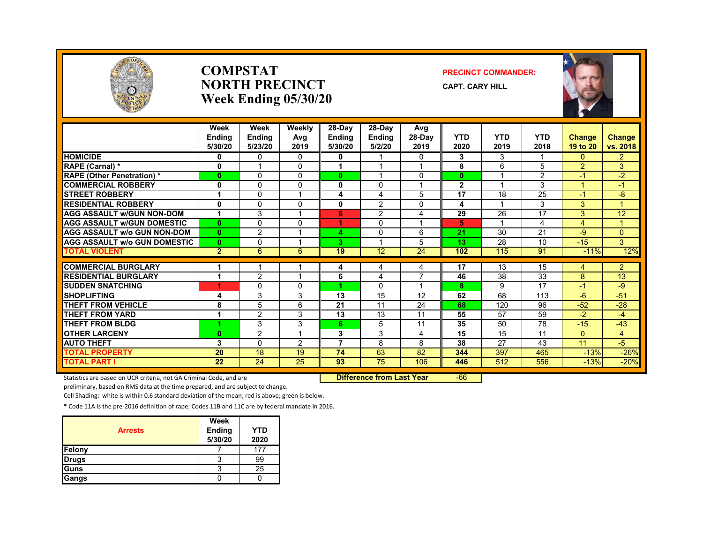

#### **COMPSTATNORTH PRECINCTWeek Ending 05/30/20**

#### **PRECINCT COMMANDER:**

**CAPT. CARY HILL**



|                                     | Week<br><b>Endina</b><br>5/30/20 | Week<br><b>Ending</b><br>5/23/20 | Weekly<br>Avg<br>2019 | 28-Day<br><b>Ending</b><br>5/30/20 | $28-Dav$<br><b>Ending</b><br>5/2/20 | Avg<br>$28-Dav$<br>2019 | <b>YTD</b><br>2020 | <b>YTD</b><br>2019       | <b>YTD</b><br>2018 | Change<br>19 to 20 | Change<br>vs. 2018 |
|-------------------------------------|----------------------------------|----------------------------------|-----------------------|------------------------------------|-------------------------------------|-------------------------|--------------------|--------------------------|--------------------|--------------------|--------------------|
| <b>HOMICIDE</b>                     | 0                                | 0                                | 0                     | 0                                  |                                     | $\Omega$                | 3                  | 3                        |                    | 0                  | $\overline{2}$     |
| <b>RAPE (Carnal) *</b>              | 0                                |                                  | 0                     |                                    |                                     |                         | 8                  | 6                        | 5                  | $\overline{2}$     | 3                  |
| <b>RAPE (Other Penetration) *</b>   | $\mathbf{0}$                     | $\Omega$                         | $\Omega$              | $\bf{0}$                           |                                     | $\Omega$                | $\bf{0}$           | $\overline{\phantom{a}}$ | $\overline{2}$     | $-1$               | $-2$               |
| <b>COMMERCIAL ROBBERY</b>           | 0                                | $\Omega$                         | 0                     | $\bf{0}$                           | $\Omega$                            |                         | $\mathbf{2}$       |                          | 3                  | 4                  | $-1$               |
| <b>STREET ROBBERY</b>               | 1                                | 0                                |                       | 4                                  | 4                                   | 5                       | 17                 | 18                       | 25                 | $-1$               | $-8$               |
| <b>RESIDENTIAL ROBBERY</b>          | $\mathbf 0$                      | $\Omega$                         | <sup>0</sup>          | 0                                  | 2                                   | $\Omega$                | 4                  |                          | 3                  | 3                  | 1.                 |
| <b>AGG ASSAULT w/GUN NON-DOM</b>    | 1                                | 3                                |                       | 6                                  | $\overline{2}$                      | 4                       | 29                 | 26                       | 17                 | 3                  | 12                 |
| <b>AGG ASSAULT W/GUN DOMESTIC</b>   | $\mathbf{0}$                     | $\Omega$                         | 0                     | 4                                  | 0                                   |                         | 5                  | $\overline{ }$           | 4                  | 4                  | $\mathbf{1}$       |
| <b>AGG ASSAULT W/o GUN NON-DOM</b>  | $\mathbf{0}$                     | $\overline{2}$                   |                       | 4                                  | $\Omega$                            | 6                       | 21                 | 30                       | 21                 | $-9$               | $\overline{0}$     |
| <b>AGG ASSAULT W/o GUN DOMESTIC</b> | $\mathbf{0}$                     | $\mathbf{0}$                     |                       | 3                                  |                                     | 5                       | 13                 | 28                       | 10                 | $-15$              | 3                  |
| <b>TOTAL VIOLENT</b>                | $\overline{2}$                   | 6                                | 6                     | 19                                 | 12                                  | 24                      | 102                | 115                      | 91                 | $-11%$             | 12%                |
|                                     |                                  |                                  |                       |                                    |                                     |                         |                    |                          |                    |                    |                    |
| <b>COMMERCIAL BURGLARY</b>          |                                  |                                  |                       | 4                                  | 4                                   | 4                       | 17                 | 13                       | 15                 | 4                  | $\overline{2}$     |
| <b>RESIDENTIAL BURGLARY</b>         | 4                                | $\overline{2}$                   |                       | 6                                  | 4                                   | 7                       | 46                 | 38                       | 33                 | 8                  | 13                 |
| <b>SUDDEN SNATCHING</b>             | 4                                | 0                                | <sup>0</sup>          | 4                                  | $\Omega$                            |                         | 8                  | 9                        | 17                 | $-1$               | -9                 |
| <b>SHOPLIFTING</b>                  | 4                                | 3                                | 3                     | 13                                 | 15                                  | 12                      | 62                 | 68                       | 113                | $-6$               | $-51$              |
| THEFT FROM VEHICLE                  | 8                                | 5                                | 6                     | 21                                 | 11                                  | 24                      | 68                 | 120                      | 96                 | $-52$              | $-28$              |
| <b>THEFT FROM YARD</b>              | 1                                | $\overline{2}$                   | 3                     | 13                                 | 13                                  | 11                      | 55                 | 57                       | 59                 | $-2$               | $-4$               |
| <b>THEFT FROM BLDG</b>              | 4                                | 3                                | 3                     | 6.                                 | 5                                   | 11                      | 35                 | 50                       | 78                 | $-15$              | $-43$              |
| <b>OTHER LARCENY</b>                | $\bf{0}$                         | $\overline{2}$                   |                       | 3                                  | 3                                   | 4                       | 15                 | 15                       | 11                 | $\Omega$           | $\overline{4}$     |
| <b>AUTO THEFT</b>                   | 3                                | $\Omega$                         | 2                     | 7                                  | 8                                   | 8                       | 38                 | 27                       | 43                 | 11                 | $-5$               |
| <b>TOTAL PROPERTY</b>               | 20                               | 18                               | 19                    | 74                                 | 63                                  | 82                      | 344                | 397                      | 465                | $-13%$             | $-26%$             |
| <b>TOTAL PART I</b>                 | $\overline{22}$                  | $\overline{24}$                  | $\overline{25}$       | 93                                 | $\overline{75}$                     | 106                     | 446                | 512                      | 556                | $-13%$             | $-20%$             |

Statistics are based on UCR criteria, not GA Criminal Code, and are **Difference from Last Year** -66

preliminary, based on RMS data at the time prepared, and are subject to change.

Cell Shading: white is within 0.6 standard deviation of the mean; red is above; green is below.

| <b>Arrests</b> | Week<br>Ending<br>5/30/20 | <b>YTD</b><br>2020 |
|----------------|---------------------------|--------------------|
| Felony         |                           | 177                |
| <b>Drugs</b>   | د                         | 99                 |
| Guns           |                           | 25                 |
| Gangs          |                           |                    |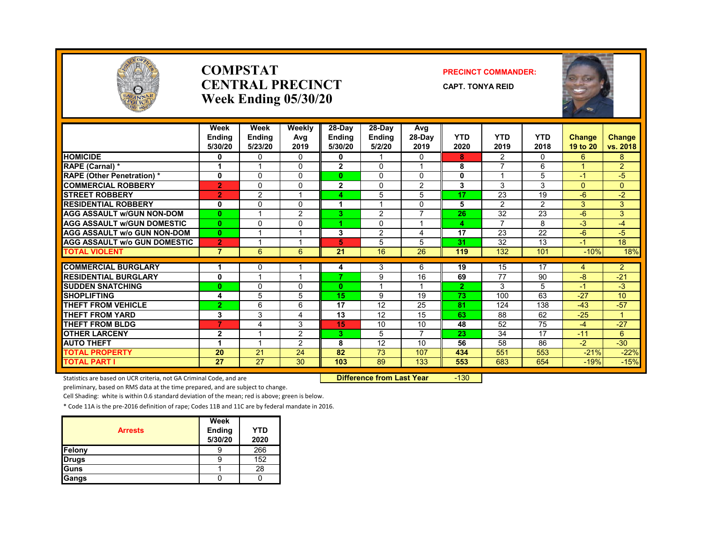

#### **COMPSTATCENTRAL PRECINCTWeek Ending 05/30/20**

#### **PRECINCT COMMANDER:**

**CAPT. TONYA REID**



|                                     | Week<br><b>Endina</b><br>5/30/20 | Week<br>Ending<br>5/23/20 | Weekly<br>Avg<br>2019 | 28-Day<br><b>Ending</b><br>5/30/20 | 28-Day<br><b>Ending</b><br>5/2/20 | Avg<br>28-Day<br>2019 | <b>YTD</b><br>2020 | <b>YTD</b><br>2019       | <b>YTD</b><br>2018 | <b>Change</b><br>19 to 20 | <b>Change</b><br>vs. 2018 |
|-------------------------------------|----------------------------------|---------------------------|-----------------------|------------------------------------|-----------------------------------|-----------------------|--------------------|--------------------------|--------------------|---------------------------|---------------------------|
| <b>HOMICIDE</b>                     | 0                                | $\Omega$                  | $\Omega$              | 0                                  |                                   | $\Omega$              | 8                  | 2                        | 0                  | 6                         | 8                         |
| RAPE (Carnal) *                     | 1                                |                           | 0                     | $\overline{2}$                     | $\Omega$                          | $\overline{ }$        | 8                  | 7                        | 6                  |                           | $\overline{2}$            |
| <b>RAPE (Other Penetration) *</b>   | 0                                | $\Omega$                  | 0                     | $\bf{0}$                           | $\mathbf{0}$                      | $\mathbf{0}$          | 0                  | $\overline{\phantom{a}}$ | 5                  | $-1$                      | $-5$                      |
| <b>COMMERCIAL ROBBERY</b>           | $\overline{2}$                   | $\Omega$                  | 0                     | $\mathbf{2}$                       | $\mathbf{0}$                      | 2                     | 3                  | 3                        | 3                  | $\Omega$                  | $\Omega$                  |
| <b>STREET ROBBERY</b>               | $\overline{2}$                   | 2                         |                       | 4                                  | 5                                 | 5                     | 17                 | 23                       | 19                 | $-6$                      | $-2$                      |
| <b>RESIDENTIAL ROBBERY</b>          | 0                                | $\mathbf{0}$              | 0                     | 1                                  |                                   | $\Omega$              | 5                  | 2                        | $\overline{2}$     | 3                         | 3                         |
| <b>AGG ASSAULT W/GUN NON-DOM</b>    | $\bf{0}$                         | $\overline{\mathbf{A}}$   | $\overline{2}$        | 3                                  | 2                                 | $\overline{7}$        | 26                 | 32                       | 23                 | $-6$                      | 3                         |
| <b>AGG ASSAULT W/GUN DOMESTIC</b>   | $\bf{0}$                         | $\Omega$                  | $\Omega$              | 4                                  | $\mathbf{0}$                      | $\overline{ }$        | 4                  | $\overline{ }$           | 8                  | $-3$                      | $-4$                      |
| <b>AGG ASSAULT w/o GUN NON-DOM</b>  | $\bf{0}$                         |                           |                       | 3                                  | $\overline{2}$                    | 4                     | 17                 | 23                       | 22                 | $-6$                      | $-5$                      |
| <b>AGG ASSAULT W/o GUN DOMESTIC</b> | $\overline{2}$                   |                           |                       | 5                                  | 5                                 | 5                     | 31                 | 32                       | 13                 | $-1$                      | 18                        |
| <b>TOTAL VIOLENT</b>                | $\overline{7}$                   | 6                         | 6                     | 21                                 | 16                                | 26                    | 119                | 132                      | 101                | $-10%$                    | 18%                       |
|                                     |                                  |                           |                       |                                    |                                   |                       |                    |                          |                    |                           |                           |
| <b>COMMERCIAL BURGLARY</b>          | 1                                | $\mathbf{0}$              |                       | 4<br>7                             | 3                                 | 6                     | 19                 | 15                       | 17                 | 4                         | $\overline{2}$            |
| <b>RESIDENTIAL BURGLARY</b>         | 0                                |                           |                       |                                    | 9                                 | 16                    | 69                 | 77                       | 90                 | $-8$                      | $-21$                     |
| <b>SUDDEN SNATCHING</b>             | $\bf{0}$                         | $\Omega$                  | 0                     | $\mathbf{0}$                       |                                   |                       | $\overline{2}$     | 3                        | 5                  | $-1$                      | $-3$                      |
| <b>SHOPLIFTING</b>                  | 4                                | 5                         | 5                     | 15                                 | 9                                 | 19                    | 73                 | 100                      | 63                 | $-27$                     | 10 <sup>10</sup>          |
| THEFT FROM VEHICLE                  | $\overline{2}$                   | 6                         | 6                     | 17                                 | 12                                | 25                    | 81                 | 124                      | 138                | $-43$                     | $-57$                     |
| <b>THEFT FROM YARD</b>              | 3                                | 3                         | 4                     | 13                                 | 12                                | 15                    | 63                 | 88                       | 62                 | $-25$                     | $\mathbf{1}$              |
| <b>THEFT FROM BLDG</b>              | 7                                | 4                         | 3                     | 15                                 | 10                                | 10                    | 48                 | 52                       | 75                 | $-4$                      | $-27$                     |
| <b>OTHER LARCENY</b>                | $\mathbf{2}$                     |                           | $\overline{2}$        | 3.                                 | 5                                 | $\overline{7}$        | 23                 | 34                       | 17                 | $-11$                     | 6                         |
| <b>AUTO THEFT</b>                   | 1                                |                           | $\overline{2}$        | 8                                  | 12                                | 10                    | 56                 | 58                       | 86                 | $-2$                      | $-30$                     |
| <b>TOTAL PROPERTY</b>               | 20                               | $\overline{21}$           | 24                    | 82                                 | 73                                | 107                   | 434                | 551                      | 553                | $-21%$                    | $-22%$                    |
| <b>TOTAL PART I</b>                 | 27                               | 27                        | 30                    | 103                                | 89                                | 133                   | 553                | 683                      | 654                | $-19%$                    | $-15%$                    |

Statistics are based on UCR criteria, not GA Criminal Code, and are **Difference from Last Year** -130

preliminary, based on RMS data at the time prepared, and are subject to change.

Cell Shading: white is within 0.6 standard deviation of the mean; red is above; green is below.

|                | Week              |                    |
|----------------|-------------------|--------------------|
| <b>Arrests</b> | Ending<br>5/30/20 | <b>YTD</b><br>2020 |
| Felony         |                   | 266                |
| <b>Drugs</b>   |                   | 152                |
| <b>Guns</b>    |                   | 28                 |
| <b>Gangs</b>   |                   |                    |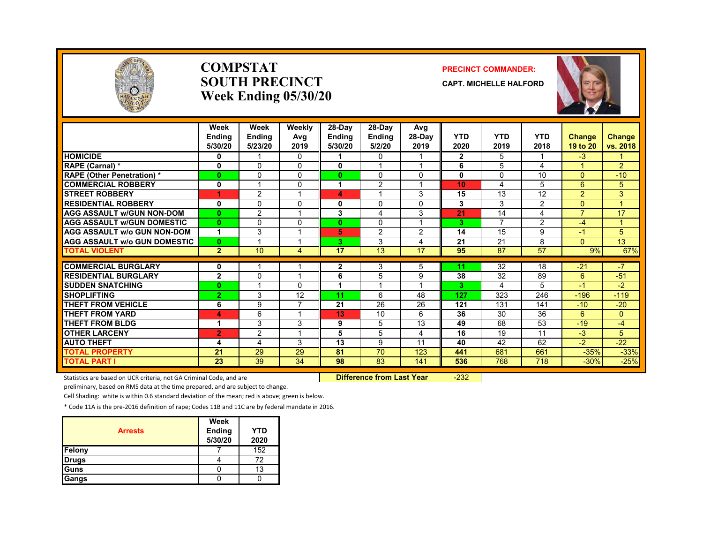

#### **COMPSTATSOUTH PRECINCTWeek Ending 05/30/20**

#### **PRECINCT COMMANDER:**

**CAPT. MICHELLE HALFORD**



|                                               | Week<br><b>Endina</b><br>5/30/20 | Week<br><b>Ending</b><br>5/23/20 | Weekly<br>Avg<br>2019 | 28-Day<br><b>Ending</b><br>5/30/20 | 28-Day<br><b>Ending</b><br>5/2/20 | Avg<br>28-Day<br>2019   | <b>YTD</b><br>2020 | <b>YTD</b><br>2019 | <b>YTD</b><br>2018 | Change<br>19 to 20 | <b>Change</b><br>vs. 2018 |
|-----------------------------------------------|----------------------------------|----------------------------------|-----------------------|------------------------------------|-----------------------------------|-------------------------|--------------------|--------------------|--------------------|--------------------|---------------------------|
| <b>HOMICIDE</b>                               | 0                                |                                  | $\mathbf{0}$          | 1                                  | 0                                 |                         | $\mathbf{2}$       | 5                  |                    | $-3$               |                           |
| RAPE (Carnal) *                               | $\mathbf 0$                      | $\Omega$                         | 0                     | 0                                  | $\overline{A}$                    | $\overline{ }$          | 6                  | 5                  | 4                  | $\overline{A}$     | $\overline{2}$            |
| <b>RAPE</b> (Other Penetration) *             | $\bf{0}$                         | $\mathbf{0}$                     | 0                     | $\mathbf{0}$                       | $\Omega$                          | $\mathbf{0}$            | 0                  | $\Omega$           | 10                 | $\Omega$           | $-10$                     |
| <b>COMMERCIAL ROBBERY</b>                     | 0                                |                                  | 0                     | 1                                  | $\overline{2}$                    |                         | 10                 | 4                  | 5                  | 6                  | 5                         |
| <b>STREET ROBBERY</b>                         |                                  | $\overline{2}$                   |                       | 4                                  |                                   | 3                       | 15                 | 13                 | 12                 | $\overline{2}$     | 3                         |
| <b>RESIDENTIAL ROBBERY</b>                    | 0                                | $\Omega$                         | 0                     | 0                                  | 0                                 | $\Omega$                | 3                  | 3                  | $\overline{2}$     | $\Omega$           | $\overline{4}$            |
| <b>AGG ASSAULT w/GUN NON-DOM</b>              | $\mathbf{0}$                     | 2                                |                       | 3                                  | 4                                 | 3                       | 21                 | 14                 | 4                  | $\overline{7}$     | 17                        |
| <b>AGG ASSAULT W/GUN DOMESTIC</b>             | $\bf{0}$                         | $\Omega$                         | 0                     | $\bf{0}$                           | $\Omega$                          | $\overline{A}$          | 3                  | 7                  | $\overline{2}$     | -4                 | $\mathbf{1}$              |
| <b>AGG ASSAULT w/o GUN NON-DOM</b>            | 1                                | 3                                |                       | 5                                  | 2                                 | 2                       | 14                 | 15                 | 9                  | -1                 | 5                         |
| <b>AGG ASSAULT w/o GUN DOMESTIC</b>           | $\mathbf{0}$                     |                                  |                       | 3                                  | 3                                 | 4                       | 21                 | 21                 | 8                  | $\Omega$           | 13                        |
| <b>TOTAL VIOLENT</b>                          | $\overline{2}$                   | 10                               | 4                     | 17                                 | 13                                | 17                      | 95                 | 87                 | 57                 | 9%                 | 67%                       |
| <b>COMMERCIAL BURGLARY</b>                    |                                  |                                  |                       |                                    | 3                                 | 5                       | 11                 | 32                 | 18                 | $-21$              | $-7$                      |
| <b>RESIDENTIAL BURGLARY</b>                   | 0<br>$\overline{2}$              | $\Omega$                         |                       | 2<br>6                             | 5                                 | 9                       | 38                 | $\overline{32}$    | 89                 | 6                  | $-51$                     |
|                                               |                                  |                                  |                       |                                    | $\overline{\mathbf{A}}$           | $\overline{\mathbf{A}}$ |                    |                    |                    | $-1$               |                           |
| <b>SUDDEN SNATCHING</b><br><b>SHOPLIFTING</b> | $\bf{0}$                         | 3                                | 0<br>12               | 1<br>11                            | 6                                 | 48                      | 3<br>127           | 4<br>323           | 5                  |                    | $-2$                      |
|                                               | $\overline{2}$                   |                                  |                       |                                    |                                   |                         |                    |                    | 246                | $-196$             | $-119$                    |
| <b>THEFT FROM VEHICLE</b>                     | 6                                | 9                                |                       | 21                                 | 26                                | 26                      | 121                | 131                | 141                | $-10$              | $-20$                     |
| <b>THEFT FROM YARD</b>                        | 4                                | 6                                |                       | 13                                 | 10                                | 6                       | 36                 | 30                 | 36                 | 6                  | $\mathbf{0}$              |
| <b>THEFT FROM BLDG</b>                        |                                  | 3                                | 3                     | 9                                  | 5                                 | 13                      | 49                 | 68                 | 53                 | $-19$              | $-4$                      |
| <b>OTHER LARCENY</b>                          | $\overline{2}$                   | 2                                |                       | 5                                  | 5                                 | $\overline{4}$          | 16                 | 19                 | 11                 | $-3$               | 5                         |
| <b>AUTO THEFT</b>                             | 4                                | 4                                | 3                     | 13                                 | 9                                 | 11                      | 40                 | 42                 | 62                 | $-2$               | $-22$                     |
| <b>TOTAL PROPERTY</b>                         | 21                               | 29                               | 29                    | 81                                 | 70                                | 123                     | 441                | 681                | 661                | $-35%$             | $-33%$                    |
| <b>TOTAL PART I</b>                           | 23                               | 39                               | 34                    | 98                                 | 83                                | 141                     | 536                | 768                | 718                | $-30%$             | $-25%$                    |

Statistics are based on UCR criteria, not GA Criminal Code, and are **Difference from Last Year** -232

preliminary, based on RMS data at the time prepared, and are subject to change.

Cell Shading: white is within 0.6 standard deviation of the mean; red is above; green is below.

| <b>Arrests</b> | Week<br>Ending<br>5/30/20 | <b>YTD</b><br>2020 |
|----------------|---------------------------|--------------------|
| Felony         |                           | 152                |
| <b>Drugs</b>   |                           | 72                 |
| Guns           |                           | 13                 |
| Gangs          |                           |                    |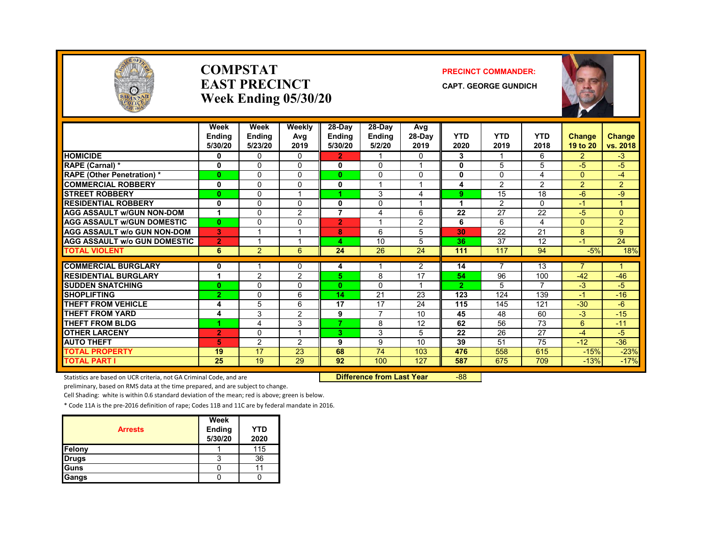

#### **COMPSTATEAST PRECINCTWeek Ending 05/30/20**

#### **PRECINCT COMMANDER:**

**CAPT. GEORGE GUNDICH**



|                                     | Week<br>Endina<br>5/30/20 | Week<br><b>Ending</b><br>5/23/20 | Weekly<br>Avg<br>2019 | 28-Day<br><b>Ending</b><br>5/30/20 | 28-Day<br><b>Endina</b><br>5/2/20 | Avg<br>28-Day<br>2019 | <b>YTD</b><br>2020 | <b>YTD</b><br>2019 | <b>YTD</b><br>2018 | <b>Change</b><br>19 to 20 | <b>Change</b><br>vs. 2018 |
|-------------------------------------|---------------------------|----------------------------------|-----------------------|------------------------------------|-----------------------------------|-----------------------|--------------------|--------------------|--------------------|---------------------------|---------------------------|
| <b>HOMICIDE</b>                     | 0                         | $\Omega$                         | $\Omega$              | $\overline{2}$                     |                                   | $\Omega$              | 3                  | -1                 | 6                  | $\overline{2}$            | $-3$                      |
| RAPE (Carnal) *                     | 0                         | $\Omega$                         | $\Omega$              | 0                                  | 0                                 | 1                     | 0                  | 5                  | 5                  | $-5$                      | -5                        |
| <b>RAPE (Other Penetration)</b> *   | $\mathbf{0}$              | $\Omega$                         | $\Omega$              | 0                                  | 0                                 | 0                     | $\mathbf{0}$       | $\Omega$           | 4                  | $\Omega$                  | $-4$                      |
| <b>COMMERCIAL ROBBERY</b>           | $\mathbf 0$               | $\Omega$                         | 0                     | 0                                  |                                   |                       | 4                  | 2                  | $\overline{2}$     | 2                         | $\overline{2}$            |
| <b>STREET ROBBERY</b>               | $\mathbf{0}$              | $\Omega$                         | 1                     |                                    | 3                                 | 4                     | 9                  | 15                 | 18                 | $-6$                      | -9                        |
| <b>RESIDENTIAL ROBBERY</b>          | 0                         | $\Omega$                         | 0                     | 0                                  | $\Omega$                          |                       |                    | 2                  | <sup>n</sup>       | $-1$                      | 1                         |
| <b>AGG ASSAULT W/GUN NON-DOM</b>    | 1                         | $\Omega$                         | 2                     | $\overline{7}$                     | 4                                 | 6                     | 22                 | 27                 | 22                 | $-5$                      | $\Omega$                  |
| <b>AGG ASSAULT W/GUN DOMESTIC</b>   | $\mathbf{0}$              | $\Omega$                         | $\Omega$              | $\overline{2}$                     | $\overline{ }$                    | 2                     | 6                  | 6                  | 4                  | $\Omega$                  | $\overline{2}$            |
| <b>AGG ASSAULT w/o GUN NON-DOM</b>  | в.                        |                                  | 1                     | 8                                  | 6                                 | 5                     | 30                 | 22                 | 21                 | 8                         | 9                         |
| <b>AGG ASSAULT w/o GUN DOMESTIC</b> | $\overline{2}$            |                                  | 4                     | 4                                  | 10                                | 5                     | 36                 | 37                 | 12                 | $\blacktriangleleft$      | 24                        |
| <b>TOTAL VIOLENT</b>                | 6                         | $\overline{2}$                   | 6                     | 24                                 | 26                                | 24                    | 111                | 117                | 94                 | $-5%$                     | 18%                       |
|                                     |                           |                                  |                       |                                    |                                   |                       |                    |                    |                    |                           |                           |
| <b>COMMERCIAL BURGLARY</b>          | 0                         |                                  | 0                     | 4                                  |                                   | 2                     | 14                 | 7                  | 13                 | $\overline{7}$            | 1                         |
| <b>RESIDENTIAL BURGLARY</b>         | $\blacktriangleleft$      | $\mathcal{P}$                    | 2                     | 5.                                 | 8                                 | 17                    | 54                 | 96                 | 100                | $-42$                     | $-46$                     |
| <b>SUDDEN SNATCHING</b>             | $\mathbf{0}$              | $\Omega$                         | 0                     | $\mathbf{0}$                       | 0                                 | 1                     | $\overline{2}$     | 5                  | 7                  | $-3$                      | -5                        |
| <b>SHOPLIFTING</b>                  | $\overline{2}$            | $\Omega$                         | 6                     | 14                                 | 21                                | 23                    | 123                | 124                | 139                | $-1$                      | $-16$                     |
| THEFT FROM VEHICLE                  | 4                         | 5                                | 6                     | 17                                 | 17                                | 24                    | 115                | 145                | 121                | $-30$                     | $-6$                      |
| <b>THEFT FROM YARD</b>              | 4                         | 3                                | 2                     | 9                                  | $\overline{7}$                    | 10                    | 45                 | 48                 | 60                 | $-3$                      | $-15$                     |
| <b>THEFT FROM BLDG</b>              | и                         | 4                                | 3                     | 7                                  | 8                                 | 12                    | 62                 | 56                 | 73                 | 6                         | $-11$                     |
| <b>OTHER LARCENY</b>                | $\overline{2}$            | $\Omega$                         | 1                     | 3.                                 | 3                                 | 5                     | 22                 | 26                 | 27                 | $-4$                      | $-5$                      |
| <b>AUTO THEFT</b>                   | 5.                        | 2                                | $\overline{2}$        | 9                                  | 9                                 | 10                    | 39                 | 51                 | 75                 | $-12$                     | $-36$                     |
| <b>TOTAL PROPERTY</b>               | 19                        | 17                               | 23                    | 68                                 | 74                                | 103                   | 476                | 558                | 615                | $-15%$                    | $-23%$                    |
| <b>TOTAL PART I</b>                 | 25                        | 19                               | 29                    | 92                                 | 100                               | 127                   | 587                | 675                | 709                | $-13%$                    | $-17%$                    |

Statistics are based on UCR criteria, not GA Criminal Code, and are **Difference from Last Year** -88

preliminary, based on RMS data at the time prepared, and are subject to change.

Cell Shading: white is within 0.6 standard deviation of the mean; red is above; green is below.

| <b>Arrests</b> | Week<br>Ending<br>5/30/20 | YTD<br>2020 |
|----------------|---------------------------|-------------|
| Felony         |                           | 115         |
| <b>Drugs</b>   |                           | 36          |
| <b>Guns</b>    |                           |             |
| Gangs          |                           |             |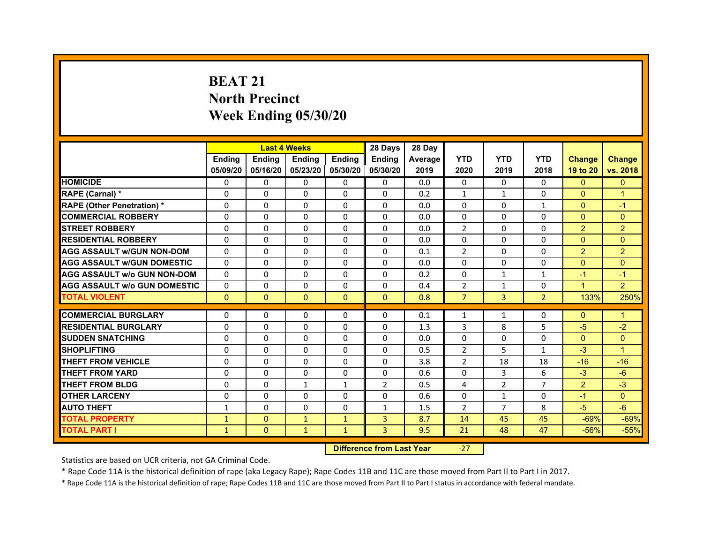# **BEAT 21North PrecinctWeek Ending 05/30/20**

|                                     |               | <b>Last 4 Weeks</b> |                     |               | 28 Days        | 28 Day  |                |                |                |                      |                      |
|-------------------------------------|---------------|---------------------|---------------------|---------------|----------------|---------|----------------|----------------|----------------|----------------------|----------------------|
|                                     | <b>Endina</b> | <b>Ending</b>       | <b>Endina</b>       | <b>Ending</b> | <b>Endina</b>  | Average | <b>YTD</b>     | <b>YTD</b>     | <b>YTD</b>     | <b>Change</b>        | <b>Change</b>        |
|                                     | 05/09/20      | 05/16/20            | 05/23/20   05/30/20 |               | 05/30/20       | 2019    | 2020           | 2019           | 2018           | 19 to 20             | vs. 2018             |
| <b>HOMICIDE</b>                     | $\Omega$      | 0                   | $\Omega$            | 0             | 0              | 0.0     | $\mathbf{0}$   | $\Omega$       | $\Omega$       | $\Omega$             | $\mathbf{0}$         |
| RAPE (Carnal) *                     | $\Omega$      | $\Omega$            | $\Omega$            | $\Omega$      | $\mathbf{0}$   | 0.2     | $\mathbf{1}$   | $\mathbf{1}$   | $\Omega$       | $\Omega$             | $\overline{1}$       |
| <b>RAPE (Other Penetration)*</b>    | 0             | $\Omega$            | $\Omega$            | $\mathbf{0}$  | $\Omega$       | 0.0     | $\Omega$       | $\Omega$       | $\mathbf{1}$   | $\Omega$             | $-1$                 |
| <b>COMMERCIAL ROBBERY</b>           | 0             | 0                   | $\Omega$            | 0             | $\Omega$       | 0.0     | $\Omega$       | 0              | $\Omega$       | $\mathbf{0}$         | $\Omega$             |
| <b>STREET ROBBERY</b>               | 0             | 0                   | 0                   | 0             | 0              | 0.0     | $\overline{2}$ | 0              | $\Omega$       | 2                    | $\overline{2}$       |
| <b>RESIDENTIAL ROBBERY</b>          | 0             | $\Omega$            | 0                   | $\Omega$      | 0              | 0.0     | 0              | 0              | 0              | $\Omega$             | $\Omega$             |
| <b>AGG ASSAULT w/GUN NON-DOM</b>    | $\Omega$      | $\Omega$            | $\Omega$            | $\Omega$      | $\Omega$       | 0.1     | $\overline{2}$ | $\Omega$       | $\Omega$       | $\overline{2}$       | $\overline{2}$       |
| <b>AGG ASSAULT W/GUN DOMESTIC</b>   | 0             | 0                   | $\Omega$            | 0             | $\Omega$       | 0.0     | $\Omega$       | $\Omega$       | $\Omega$       | $\Omega$             | $\Omega$             |
| AGG ASSAULT w/o GUN NON-DOM         | $\Omega$      | 0                   | $\Omega$            | $\Omega$      | $\Omega$       | 0.2     | $\Omega$       | $\mathbf{1}$   | 1              | $-1$                 | $\blacktriangleleft$ |
| <b>AGG ASSAULT W/o GUN DOMESTIC</b> | $\Omega$      | 0                   | 0                   | 0             | 0              | 0.4     | $\overline{2}$ | $\mathbf{1}$   | $\Omega$       | $\blacktriangleleft$ | $\overline{2}$       |
| <b>TOTAL VIOLENT</b>                | $\mathbf{0}$  | $\mathbf{0}$        | $\mathbf{0}$        | $\mathbf{0}$  | $\mathbf{0}$   | 0.8     | $\overline{7}$ | 3              | $\overline{2}$ | 133%                 | 250%                 |
|                                     |               |                     |                     |               |                |         |                |                |                |                      |                      |
| <b>COMMERCIAL BURGLARY</b>          | 0             | 0                   | 0                   | 0             | 0              | 0.1     | $\mathbf{1}$   | $\mathbf{1}$   | 0              | $\mathbf{0}$         | 1                    |
| <b>RESIDENTIAL BURGLARY</b>         | 0             | 0                   | 0                   | 0             | 0              | 1.3     | 3              | 8              | 5              | $-5$                 | $-2$                 |
| <b>SUDDEN SNATCHING</b>             | 0             | $\Omega$            | $\Omega$            | $\Omega$      | $\Omega$       | 0.0     | $\Omega$       | $\Omega$       | $\Omega$       | $\Omega$             | $\Omega$             |
| <b>SHOPLIFTING</b>                  | $\Omega$      | $\Omega$            | $\Omega$            | $\mathbf{0}$  | $\Omega$       | 0.5     | $\overline{2}$ | 5              | $\mathbf{1}$   | $-3$                 | 1                    |
| THEFT FROM VEHICLE                  | $\Omega$      | $\Omega$            | $\Omega$            | 0             | $\Omega$       | 3.8     | $\mathcal{P}$  | 18             | 18             | $-16$                | $-16$                |
| <b>THEFT FROM YARD</b>              | 0             | 0                   | $\Omega$            | $\Omega$      | $\Omega$       | 0.6     | $\Omega$       | 3              | 6              | $-3$                 | $-6$                 |
| <b>THEFT FROM BLDG</b>              | 0             | 0                   | $\mathbf{1}$        | $\mathbf{1}$  | $\overline{2}$ | 0.5     | 4              | $\overline{2}$ | 7              | $\overline{2}$       | $-3$                 |
| <b>OTHER LARCENY</b>                | 0             | $\Omega$            | $\Omega$            | $\Omega$      | $\Omega$       | 0.6     | $\Omega$       | $\mathbf{1}$   | $\Omega$       | $-1$                 | $\Omega$             |
| <b>AUTO THEFT</b>                   | $\mathbf{1}$  | $\Omega$            | $\Omega$            | $\mathbf{0}$  | $\mathbf{1}$   | 1.5     | $\overline{2}$ | $\overline{7}$ | 8              | $-5$                 | $-6$                 |
| <b>TOTAL PROPERTY</b>               | $\mathbf{1}$  | $\mathbf{0}$        | $\mathbf{1}$        | $\mathbf{1}$  | 3              | 8.7     | 14             | 45             | 45             | $-69%$               | $-69%$               |
| <b>TOTAL PART I</b>                 | $\mathbf{1}$  | $\Omega$            | $\mathbf{1}$        | $\mathbf{1}$  | 3              | 9.5     | 21             | 48             | 47             | $-56%$               | $-55%$               |

 **Difference from Last Year**

‐27

Statistics are based on UCR criteria, not GA Criminal Code.

\* Rape Code 11A is the historical definition of rape (aka Legacy Rape); Rape Codes 11B and 11C are those moved from Part II to Part I in 2017.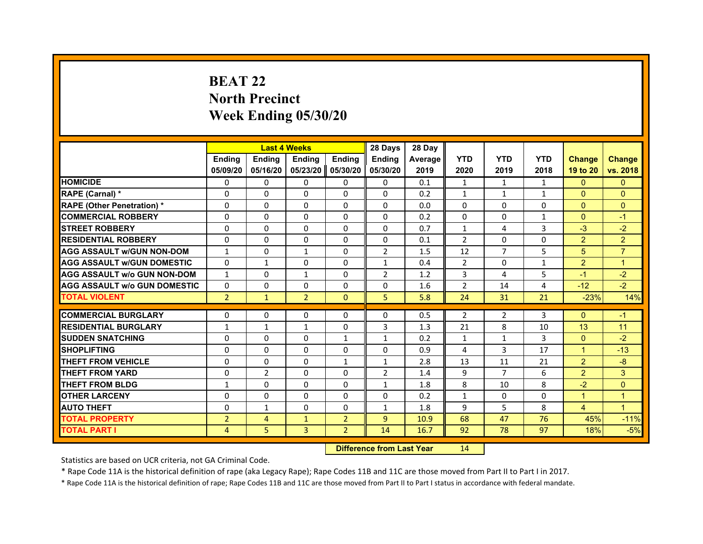# **BEAT 22North Precinct Week Ending 05/30/20**

|                                     |                | <b>Last 4 Weeks</b> |                |                | 28 Days        | 28 Day  |                |                |              |                      |                |
|-------------------------------------|----------------|---------------------|----------------|----------------|----------------|---------|----------------|----------------|--------------|----------------------|----------------|
|                                     | <b>Endina</b>  | <b>Ending</b>       | <b>Endina</b>  | <b>Endina</b>  | <b>Endina</b>  | Average | <b>YTD</b>     | <b>YTD</b>     | <b>YTD</b>   | <b>Change</b>        | <b>Change</b>  |
|                                     | 05/09/20       | 05/16/20            | 05/23/20       | 05/30/20       | 05/30/20       | 2019    | 2020           | 2019           | 2018         | 19 to 20             | vs. 2018       |
| <b>HOMICIDE</b>                     | $\Omega$       | 0                   | 0              | 0              | 0              | 0.1     | $\mathbf{1}$   | $\mathbf{1}$   | $\mathbf{1}$ | $\Omega$             | $\Omega$       |
| RAPE (Carnal) *                     | $\Omega$       | $\Omega$            | $\Omega$       | $\Omega$       | $\Omega$       | 0.2     | $\mathbf{1}$   | $\mathbf{1}$   | $\mathbf{1}$ | $\Omega$             | $\Omega$       |
| <b>RAPE (Other Penetration)*</b>    | $\Omega$       | 0                   | $\Omega$       | 0              | $\Omega$       | 0.0     | $\Omega$       | 0              | $\Omega$     | $\Omega$             | $\Omega$       |
| <b>COMMERCIAL ROBBERY</b>           | $\Omega$       | $\Omega$            | 0              | $\Omega$       | $\Omega$       | 0.2     | $\Omega$       | $\Omega$       | $\mathbf{1}$ | $\Omega$             | $-1$           |
| <b>STREET ROBBERY</b>               | $\Omega$       | $\Omega$            | $\Omega$       | $\Omega$       | $\Omega$       | 0.7     | $\mathbf{1}$   | 4              | 3            | $-3$                 | $-2$           |
| <b>RESIDENTIAL ROBBERY</b>          | 0              | 0                   | 0              | 0              | 0              | 0.1     | $\overline{2}$ | 0              | 0            | 2                    | $\overline{2}$ |
| <b>AGG ASSAULT W/GUN NON-DOM</b>    | $\mathbf{1}$   | $\Omega$            | $\mathbf{1}$   | $\Omega$       | $\overline{2}$ | 1.5     | 12             | $\overline{7}$ | 5            | 5                    | $\overline{7}$ |
| <b>AGG ASSAULT W/GUN DOMESTIC</b>   | $\Omega$       | $\mathbf{1}$        | $\Omega$       | $\Omega$       | $\mathbf{1}$   | 0.4     | $\overline{2}$ | $\Omega$       | $\mathbf{1}$ | 2                    | $\overline{1}$ |
| <b>AGG ASSAULT w/o GUN NON-DOM</b>  | $\mathbf{1}$   | $\Omega$            | $\mathbf{1}$   | 0              | 2              | 1.2     | 3              | 4              | 5            | $-1$                 | $-2$           |
| <b>AGG ASSAULT W/o GUN DOMESTIC</b> | $\Omega$       | $\Omega$            | 0              | $\Omega$       | $\Omega$       | 1.6     | $\overline{2}$ | 14             | 4            | $-12$                | $-2$           |
| <b>TOTAL VIOLENT</b>                | $\overline{2}$ | $\mathbf{1}$        | $\overline{2}$ | $\Omega$       | 5              | 5.8     | 24             | 31             | 21           | $-23%$               | 14%            |
|                                     |                |                     |                |                |                |         |                |                |              |                      |                |
| <b>COMMERCIAL BURGLARY</b>          | 0              | 0                   | 0              | 0              | 0              | 0.5     | 2              | 2              | 3            | $\mathbf{0}$         | $-1$           |
| <b>RESIDENTIAL BURGLARY</b>         | $\mathbf{1}$   | $\mathbf{1}$        | $\mathbf{1}$   | 0              | 3              | 1.3     | 21             | 8              | 10           | 13                   | 11             |
| <b>SUDDEN SNATCHING</b>             | $\Omega$       | $\Omega$            | $\Omega$       | $\mathbf{1}$   | $\mathbf{1}$   | 0.2     | $\mathbf{1}$   | $\mathbf{1}$   | 3            | $\Omega$             | $-2$           |
| <b>SHOPLIFTING</b>                  | $\Omega$       | $\Omega$            | $\Omega$       | $\Omega$       | $\Omega$       | 0.9     | 4              | 3              | 17           | $\mathbf{1}$         | $-13$          |
| <b>THEFT FROM VEHICLE</b>           | $\Omega$       | $\Omega$            | $\Omega$       | $\mathbf{1}$   | $\mathbf{1}$   | 2.8     | 13             | 11             | 21           | 2                    | $-8$           |
| <b>THEFT FROM YARD</b>              | 0              | 2                   | $\Omega$       | 0              | $\overline{2}$ | 1.4     | 9              | $\overline{7}$ | 6            | $\overline{2}$       | 3              |
| <b>THEFT FROM BLDG</b>              | $\mathbf{1}$   | $\Omega$            | $\Omega$       | 0              | $\mathbf{1}$   | 1.8     | 8              | 10             | 8            | $-2$                 | $\Omega$       |
| <b>OTHER LARCENY</b>                | $\Omega$       | $\Omega$            | $\Omega$       | $\Omega$       | $\Omega$       | 0.2     | $\mathbf{1}$   | $\Omega$       | $\Omega$     | $\blacktriangleleft$ | $\mathbf{1}$   |
| <b>AUTO THEFT</b>                   | $\Omega$       | $\mathbf{1}$        | $\Omega$       | $\Omega$       | $\mathbf{1}$   | 1.8     | 9              | 5              | 8            | $\overline{4}$       | $\overline{1}$ |
| <b>TOTAL PROPERTY</b>               | $\overline{2}$ | 4                   | $\mathbf{1}$   | $\overline{2}$ | $\overline{9}$ | 10.9    | 68             | 47             | 76           | 45%                  | $-11%$         |
| <b>TOTAL PART I</b>                 | 4              | 5.                  | 3              | $\overline{2}$ | 14             | 16.7    | 92             | 78             | 97           | 18%                  | $-5%$          |

 **Difference from Last Year**r 14

Statistics are based on UCR criteria, not GA Criminal Code.

\* Rape Code 11A is the historical definition of rape (aka Legacy Rape); Rape Codes 11B and 11C are those moved from Part II to Part I in 2017.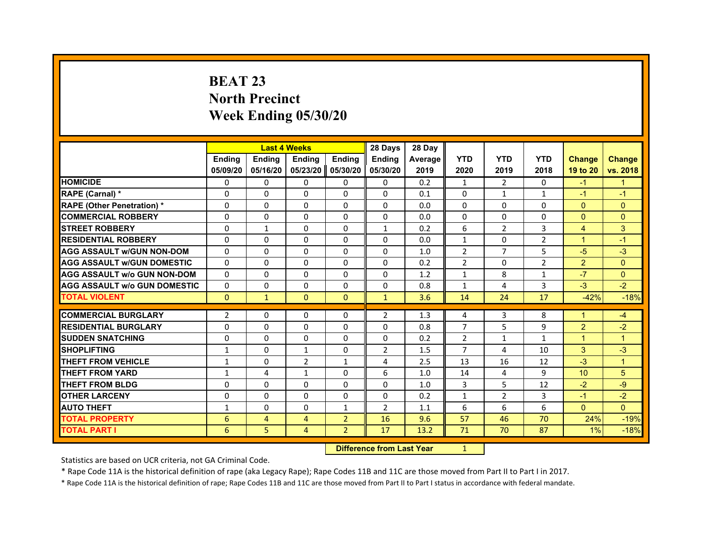# **BEAT 23North Precinct Week Ending 05/30/20**

|                                     |                |                | <b>Last 4 Weeks</b> |                | 28 Days        | 28 Day         |                |                |                |                |                |
|-------------------------------------|----------------|----------------|---------------------|----------------|----------------|----------------|----------------|----------------|----------------|----------------|----------------|
|                                     | <b>Endina</b>  | <b>Ending</b>  | <b>Endina</b>       | <b>Endina</b>  | <b>Endina</b>  | <b>Average</b> | <b>YTD</b>     | <b>YTD</b>     | <b>YTD</b>     | <b>Change</b>  | <b>Change</b>  |
|                                     | 05/09/20       | 05/16/20       | 05/23/20            | 05/30/20       | 05/30/20       | 2019           | 2020           | 2019           | 2018           | 19 to 20       | vs. 2018       |
| <b>HOMICIDE</b>                     | 0              | 0              | 0                   | 0              | 0              | 0.2            | $\mathbf{1}$   | $\overline{2}$ | 0              | $-1$           | $\mathbf{1}$   |
| RAPE (Carnal) *                     | $\Omega$       | $\Omega$       | $\Omega$            | $\Omega$       | $\Omega$       | 0.1            | $\Omega$       | $\mathbf{1}$   | $\mathbf{1}$   | $-1$           | $-1$           |
| <b>RAPE (Other Penetration) *</b>   | $\Omega$       | $\Omega$       | $\Omega$            | $\Omega$       | $\Omega$       | 0.0            | $\Omega$       | $\Omega$       | $\Omega$       | $\Omega$       | $\Omega$       |
| <b>COMMERCIAL ROBBERY</b>           | $\Omega$       | $\Omega$       | $\Omega$            | $\Omega$       | $\Omega$       | 0.0            | $\Omega$       | $\Omega$       | $\Omega$       | $\mathbf{0}$   | $\Omega$       |
| <b>STREET ROBBERY</b>               | $\Omega$       | $\mathbf{1}$   | $\Omega$            | $\Omega$       | $\mathbf{1}$   | 0.2            | 6              | 2              | 3              | $\overline{4}$ | 3              |
| <b>RESIDENTIAL ROBBERY</b>          | $\Omega$       | $\Omega$       | $\Omega$            | $\Omega$       | $\Omega$       | 0.0            | $\mathbf{1}$   | $\Omega$       | $\overline{2}$ | $\overline{1}$ | $-1$           |
| <b>AGG ASSAULT w/GUN NON-DOM</b>    | $\Omega$       | $\Omega$       | $\Omega$            | $\Omega$       | $\Omega$       | 1.0            | $\overline{2}$ | $\overline{7}$ | 5              | $-5$           | $-3$           |
| <b>AGG ASSAULT W/GUN DOMESTIC</b>   | $\Omega$       | $\Omega$       | $\Omega$            | $\Omega$       | $\Omega$       | 0.2            | $\overline{2}$ | $\Omega$       | $\overline{2}$ | 2              | $\Omega$       |
| <b>AGG ASSAULT W/o GUN NON-DOM</b>  | 0              | 0              | 0                   | 0              | 0              | 1.2            | $\mathbf{1}$   | 8              | $\mathbf{1}$   | $-7$           | $\Omega$       |
| <b>AGG ASSAULT W/o GUN DOMESTIC</b> | $\Omega$       | $\Omega$       | $\Omega$            | $\Omega$       | $\Omega$       | 0.8            | $\mathbf{1}$   | 4              | 3              | $-3$           | $-2$           |
| <b>TOTAL VIOLENT</b>                | $\mathbf{0}$   | $\mathbf{1}$   | $\mathbf{0}$        | $\mathbf{0}$   | $\mathbf{1}$   | 3.6            | 14             | 24             | 17             | $-42%$         | $-18%$         |
|                                     |                |                |                     |                |                |                |                |                |                |                |                |
| <b>COMMERCIAL BURGLARY</b>          | $\overline{2}$ | $\Omega$       | 0                   | $\Omega$       | $\overline{2}$ | 1.3            | 4              | 3              | 8              | 1              | $-4$           |
| <b>RESIDENTIAL BURGLARY</b>         | $\Omega$       | $\Omega$       | $\Omega$            | $\Omega$       | $\Omega$       | 0.8            | $\overline{7}$ | 5              | 9              | $\overline{2}$ | $-2$           |
| <b>SUDDEN SNATCHING</b>             | $\Omega$       | $\Omega$       | $\Omega$            | $\Omega$       | $\Omega$       | 0.2            | $\overline{2}$ | $\mathbf{1}$   | $\mathbf{1}$   | $\mathbf 1$    | $\overline{1}$ |
| <b>SHOPLIFTING</b>                  | $\mathbf{1}$   | $\Omega$       | $\mathbf{1}$        | $\Omega$       | $\overline{2}$ | 1.5            | $\overline{7}$ | 4              | 10             | 3              | $-3$           |
| <b>THEFT FROM VEHICLE</b>           | 1              | $\Omega$       | 2                   | $\mathbf{1}$   | 4              | 2.5            | 13             | 16             | 12             | $-3$           | $\overline{1}$ |
| <b>THEFT FROM YARD</b>              | 1              | 4              | $\mathbf{1}$        | $\Omega$       | 6              | 1.0            | 14             | 4              | 9              | 10             | 5              |
| <b>THEFT FROM BLDG</b>              | $\Omega$       | $\Omega$       | $\Omega$            | $\Omega$       | $\Omega$       | 1.0            | 3              | 5              | 12             | $-2$           | -9             |
| <b>OTHER LARCENY</b>                | 0              | 0              | 0                   | $\Omega$       | 0              | 0.2            | $\mathbf{1}$   | 2              | 3              | $-1$           | $-2$           |
| <b>AUTO THEFT</b>                   | $\mathbf{1}$   | $\Omega$       | $\Omega$            | $\mathbf{1}$   | 2              | 1.1            | 6              | 6              | 6              | $\Omega$       | $\Omega$       |
| <b>TOTAL PROPERTY</b>               | 6              | $\overline{4}$ | $\overline{4}$      | $\overline{2}$ | 16             | 9.6            | 57             | 46             | 70             | 24%            | $-19%$         |
| <b>TOTAL PART I</b>                 | 6              | 5              | $\overline{4}$      | $\overline{2}$ | 17             | 13.2           | 71             | 70             | 87             | 1%             | $-18%$         |

 **Difference from Last Year**r 1

Statistics are based on UCR criteria, not GA Criminal Code.

\* Rape Code 11A is the historical definition of rape (aka Legacy Rape); Rape Codes 11B and 11C are those moved from Part II to Part I in 2017.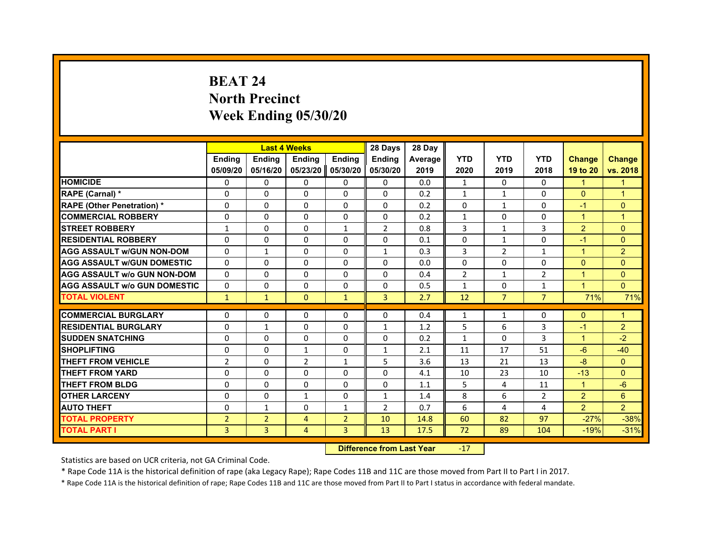# **BEAT 24North Precinct Week Ending 05/30/20**

|                                     |                | <b>Last 4 Weeks</b> |                |                | 28 Days        | 28 Day  |                |                |                |                      |                      |
|-------------------------------------|----------------|---------------------|----------------|----------------|----------------|---------|----------------|----------------|----------------|----------------------|----------------------|
|                                     | <b>Endina</b>  | <b>Ending</b>       | <b>Endina</b>  | <b>Endina</b>  | <b>Endina</b>  | Average | <b>YTD</b>     | <b>YTD</b>     | <b>YTD</b>     | <b>Change</b>        | <b>Change</b>        |
|                                     | 05/09/20       | 05/16/20            | 05/23/20       | 05/30/20       | 05/30/20       | 2019    | 2020           | 2019           | 2018           | 19 to 20             | vs. 2018             |
| <b>HOMICIDE</b>                     | $\Omega$       | 0                   | 0              | 0              | 0              | 0.0     | $\mathbf{1}$   | $\Omega$       | $\Omega$       | 1                    | 1                    |
| RAPE (Carnal) *                     | $\Omega$       | $\Omega$            | $\Omega$       | $\Omega$       | $\Omega$       | 0.2     | $\mathbf{1}$   | $\mathbf{1}$   | $\Omega$       | $\Omega$             | $\overline{1}$       |
| <b>RAPE (Other Penetration)*</b>    | $\Omega$       | 0                   | $\Omega$       | $\Omega$       | $\Omega$       | 0.2     | $\Omega$       | $\mathbf{1}$   | $\Omega$       | $-1$                 | $\Omega$             |
| <b>COMMERCIAL ROBBERY</b>           | $\Omega$       | $\Omega$            | 0              | $\Omega$       | 0              | 0.2     | $\mathbf{1}$   | $\Omega$       | 0              | 1                    | $\blacktriangleleft$ |
| <b>STREET ROBBERY</b>               | 1              | $\Omega$            | $\Omega$       | $\mathbf{1}$   | $\overline{2}$ | 0.8     | 3              | $\mathbf{1}$   | 3              | 2                    | $\Omega$             |
| <b>RESIDENTIAL ROBBERY</b>          | 0              | 0                   | 0              | 0              | 0              | 0.1     | 0              | $\mathbf{1}$   | 0              | $-1$                 | $\Omega$             |
| <b>AGG ASSAULT W/GUN NON-DOM</b>    | $\Omega$       | $\mathbf{1}$        | $\Omega$       | $\Omega$       | $\mathbf{1}$   | 0.3     | $\overline{3}$ | $\overline{2}$ | $\mathbf{1}$   | $\overline{1}$       | $\overline{2}$       |
| <b>AGG ASSAULT W/GUN DOMESTIC</b>   | $\Omega$       | $\Omega$            | $\Omega$       | $\Omega$       | $\Omega$       | 0.0     | $\Omega$       | $\Omega$       | $\Omega$       | $\Omega$             | $\Omega$             |
| <b>AGG ASSAULT w/o GUN NON-DOM</b>  | $\Omega$       | $\Omega$            | $\Omega$       | 0              | $\Omega$       | 0.4     | $\overline{2}$ | $\mathbf{1}$   | 2              | 1                    | $\Omega$             |
| <b>AGG ASSAULT W/o GUN DOMESTIC</b> | $\Omega$       | $\Omega$            | $\Omega$       | $\Omega$       | $\Omega$       | 0.5     | $\mathbf{1}$   | $\Omega$       | $\mathbf{1}$   | $\overline{1}$       | $\Omega$             |
| <b>TOTAL VIOLENT</b>                | $\mathbf{1}$   | $\mathbf{1}$        | $\mathbf{0}$   | $\mathbf{1}$   | 3              | 2.7     | 12             | $\overline{7}$ | $\overline{7}$ | 71%                  | 71%                  |
|                                     |                |                     |                |                |                |         |                |                |                |                      |                      |
| <b>COMMERCIAL BURGLARY</b>          | 0              | 0                   | 0              | 0              | 0              | 0.4     | $\mathbf{1}$   | $\mathbf{1}$   | 0              | $\Omega$             | 1                    |
| <b>RESIDENTIAL BURGLARY</b>         | $\Omega$       | $\mathbf{1}$        | $\Omega$       | 0              | $\mathbf{1}$   | 1.2     | 5              | 6              | 3              | $-1$                 | $\overline{2}$       |
| <b>SUDDEN SNATCHING</b>             | $\Omega$       | $\Omega$            | $\Omega$       | $\Omega$       | $\Omega$       | 0.2     | $\mathbf{1}$   | $\Omega$       | 3              | $\blacktriangleleft$ | $-2$                 |
| <b>SHOPLIFTING</b>                  | $\Omega$       | $\Omega$            | $\mathbf{1}$   | $\Omega$       | $\mathbf{1}$   | 2.1     | 11             | 17             | 51             | $-6$                 | $-40$                |
| <b>THEFT FROM VEHICLE</b>           | $\overline{2}$ | $\Omega$            | $\mathcal{P}$  | $\mathbf{1}$   | 5              | 3.6     | 13             | 21             | 13             | $-8$                 | $\Omega$             |
| <b>THEFT FROM YARD</b>              | $\Omega$       | $\Omega$            | $\Omega$       | 0              | $\Omega$       | 4.1     | 10             | 23             | 10             | $-13$                | $\Omega$             |
| <b>THEFT FROM BLDG</b>              | $\Omega$       | 0                   | $\Omega$       | $\Omega$       | $\Omega$       | 1.1     | 5              | 4              | 11             | $\blacktriangleleft$ | $-6$                 |
| <b>OTHER LARCENY</b>                | $\Omega$       | $\Omega$            | $\mathbf{1}$   | $\Omega$       | $\mathbf{1}$   | 1.4     | 8              | 6              | $\overline{2}$ | 2                    | 6                    |
| <b>AUTO THEFT</b>                   | $\Omega$       | $\mathbf{1}$        | $\Omega$       | $\mathbf{1}$   | $\overline{2}$ | 0.7     | 6              | 4              | $\overline{a}$ | $\overline{2}$       | $\overline{2}$       |
| <b>TOTAL PROPERTY</b>               | $\overline{2}$ | $\overline{2}$      | $\overline{4}$ | $\overline{2}$ | 10             | 14.8    | 60             | 82             | 97             | $-27%$               | $-38%$               |
| <b>TOTAL PART I</b>                 | 3              | 3                   | 4              | 3              | 13             | 17.5    | 72             | 89             | 104            | $-19%$               | $-31%$               |

 **Difference from Last Year**r -17

Statistics are based on UCR criteria, not GA Criminal Code.

\* Rape Code 11A is the historical definition of rape (aka Legacy Rape); Rape Codes 11B and 11C are those moved from Part II to Part I in 2017.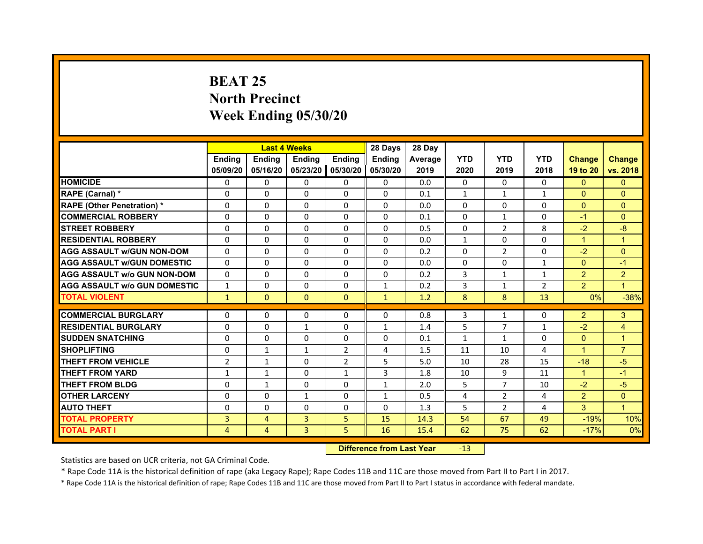# **BEAT 25North Precinct Week Ending 05/30/20**

|                                     |                |                | <b>Last 4 Weeks</b> |                | 28 Days       | 28 Day         |                |                |                |                |                |
|-------------------------------------|----------------|----------------|---------------------|----------------|---------------|----------------|----------------|----------------|----------------|----------------|----------------|
|                                     | <b>Endina</b>  | <b>Ending</b>  | <b>Endina</b>       | <b>Endina</b>  | <b>Endina</b> | <b>Average</b> | <b>YTD</b>     | <b>YTD</b>     | <b>YTD</b>     | <b>Change</b>  | <b>Change</b>  |
|                                     | 05/09/20       | 05/16/20       | 05/23/20            | 05/30/20       | 05/30/20      | 2019           | 2020           | 2019           | 2018           | 19 to 20       | vs. 2018       |
| <b>HOMICIDE</b>                     | 0              | $\Omega$       | $\Omega$            | 0              | 0             | 0.0            | 0              | $\Omega$       | $\Omega$       | $\Omega$       | $\mathbf{0}$   |
| RAPE (Carnal) *                     | $\Omega$       | $\Omega$       | $\Omega$            | $\Omega$       | $\Omega$      | 0.1            | $\mathbf{1}$   | $\mathbf{1}$   | $\mathbf{1}$   | $\mathbf{0}$   | $\Omega$       |
| <b>RAPE (Other Penetration)*</b>    | $\Omega$       | $\Omega$       | $\Omega$            | 0              | $\Omega$      | 0.0            | $\Omega$       | 0              | $\Omega$       | $\Omega$       | $\Omega$       |
| <b>COMMERCIAL ROBBERY</b>           | 0              | $\Omega$       | 0                   | $\Omega$       | $\Omega$      | 0.1            | $\Omega$       | $\mathbf{1}$   | $\Omega$       | $-1$           | $\Omega$       |
| <b>STREET ROBBERY</b>               | $\Omega$       | $\Omega$       | 0                   | 0              | 0             | 0.5            | $\Omega$       | $\overline{2}$ | 8              | $-2$           | $-8$           |
| <b>RESIDENTIAL ROBBERY</b>          | 0              | $\Omega$       | $\Omega$            | 0              | 0             | 0.0            | $\mathbf{1}$   | 0              | 0              | $\mathbf{1}$   | $\mathbf{1}$   |
| <b>AGG ASSAULT w/GUN NON-DOM</b>    | $\Omega$       | $\Omega$       | $\Omega$            | $\Omega$       | $\Omega$      | 0.2            | $\Omega$       | $\overline{2}$ | $\Omega$       | $-2$           | $\overline{0}$ |
| <b>AGG ASSAULT W/GUN DOMESTIC</b>   | $\Omega$       | $\Omega$       | $\Omega$            | $\Omega$       | $\Omega$      | 0.0            | $\Omega$       | 0              | $\mathbf{1}$   | $\Omega$       | $-1$           |
| <b>AGG ASSAULT w/o GUN NON-DOM</b>  | $\Omega$       | 0              | $\Omega$            | $\Omega$       | $\Omega$      | 0.2            | 3              | $\mathbf{1}$   | $\mathbf{1}$   | $\overline{2}$ | $\overline{2}$ |
| <b>AGG ASSAULT w/o GUN DOMESTIC</b> | $\mathbf{1}$   | $\Omega$       | $\Omega$            | $\Omega$       | $\mathbf{1}$  | 0.2            | 3              | $\mathbf{1}$   | $\overline{2}$ | $\overline{2}$ | $\overline{1}$ |
| <b>TOTAL VIOLENT</b>                | $\mathbf{1}$   | $\mathbf{0}$   | $\mathbf{0}$        | $\Omega$       | $\mathbf{1}$  | 1.2            | 8              | 8              | 13             | 0%             | $-38%$         |
|                                     |                |                |                     |                |               |                |                |                |                |                |                |
| <b>COMMERCIAL BURGLARY</b>          | 0              | 0              | 0                   | 0              | 0             | 0.8            | 3              | $\mathbf{1}$   | 0              | $\overline{2}$ | 3              |
| <b>RESIDENTIAL BURGLARY</b>         | $\Omega$       | $\Omega$       | $\mathbf{1}$        | 0              | $\mathbf{1}$  | 1.4            | 5              | 7              | $\mathbf{1}$   | $-2$           | $\overline{4}$ |
| <b>SUDDEN SNATCHING</b>             | 0              | $\Omega$       | $\Omega$            | $\Omega$       | $\Omega$      | 0.1            | $\mathbf{1}$   | $\mathbf{1}$   | $\Omega$       | $\Omega$       | $\mathbf{1}$   |
| <b>SHOPLIFTING</b>                  | $\Omega$       | $\mathbf{1}$   | $\mathbf{1}$        | $\overline{2}$ | 4             | 1.5            | 11             | 10             | 4              | $\mathbf{1}$   | $\overline{7}$ |
| <b>THEFT FROM VEHICLE</b>           | $\overline{2}$ | $\mathbf{1}$   | $\Omega$            | $\mathcal{P}$  | 5             | 5.0            | 10             | 28             | 15             | $-18$          | $-5$           |
| <b>THEFT FROM YARD</b>              | $\mathbf{1}$   | $\mathbf{1}$   | $\Omega$            | $\mathbf{1}$   | 3             | 1.8            | 10             | 9              | 11             | $\mathbf{1}$   | $-1$           |
| <b>THEFT FROM BLDG</b>              | 0              | 1              | $\Omega$            | 0              | $\mathbf{1}$  | 2.0            | 5              | 7              | 10             | $-2$           | $-5$           |
| <b>OTHER LARCENY</b>                | $\Omega$       | $\Omega$       | $\mathbf{1}$        | $\Omega$       | $\mathbf{1}$  | 0.5            | $\overline{a}$ | 2              | 4              | $\overline{2}$ | $\Omega$       |
| <b>AUTO THEFT</b>                   | $\Omega$       | $\Omega$       | $\Omega$            | $\Omega$       | $\Omega$      | 1.3            | 5              | $\overline{2}$ | $\overline{a}$ | 3              | $\overline{1}$ |
| <b>TOTAL PROPERTY</b>               | 3              | $\overline{4}$ | 3                   | 5              | 15            | 14.3           | 54             | 67             | 49             | $-19%$         | 10%            |
| <b>TOTAL PART I</b>                 | 4              | 4              | 3                   | 5.             | 16            | 15.4           | 62             | 75             | 62             | $-17%$         | 0%             |

 **Difference from Last Year**r -13

Statistics are based on UCR criteria, not GA Criminal Code.

\* Rape Code 11A is the historical definition of rape (aka Legacy Rape); Rape Codes 11B and 11C are those moved from Part II to Part I in 2017.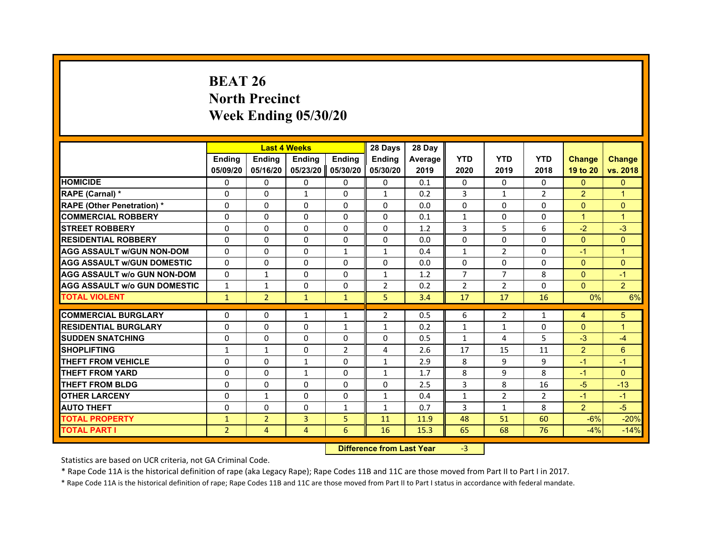# **BEAT 26North Precinct Week Ending 05/30/20**

|                                     |                | <b>Last 4 Weeks</b> |                |                | 28 Days        | 28 Day  |                |                |                |                |                |
|-------------------------------------|----------------|---------------------|----------------|----------------|----------------|---------|----------------|----------------|----------------|----------------|----------------|
|                                     | <b>Endina</b>  | <b>Ending</b>       | <b>Endina</b>  | <b>Endina</b>  | <b>Endina</b>  | Average | <b>YTD</b>     | <b>YTD</b>     | <b>YTD</b>     | <b>Change</b>  | <b>Change</b>  |
|                                     | 05/09/20       | 05/16/20            | 05/23/20       | 05/30/20       | 05/30/20       | 2019    | 2020           | 2019           | 2018           | 19 to 20       | vs. 2018       |
| <b>HOMICIDE</b>                     | 0              | 0                   | 0              | 0              | 0              | 0.1     | 0              | 0              | 0              | $\mathbf{0}$   | $\mathbf{0}$   |
| RAPE (Carnal) *                     | $\Omega$       | $\Omega$            | $\mathbf{1}$   | $\Omega$       | $\mathbf{1}$   | 0.2     | 3              | $\mathbf{1}$   | $\overline{2}$ | 2              | $\overline{1}$ |
| <b>RAPE (Other Penetration) *</b>   | $\Omega$       | $\Omega$            | $\Omega$       | $\Omega$       | $\Omega$       | 0.0     | $\Omega$       | $\Omega$       | $\Omega$       | $\Omega$       | $\Omega$       |
| <b>COMMERCIAL ROBBERY</b>           | $\Omega$       | $\Omega$            | $\Omega$       | $\Omega$       | $\Omega$       | 0.1     | 1              | 0              | $\Omega$       | 1              | 1              |
| <b>STREET ROBBERY</b>               | $\Omega$       | $\Omega$            | $\Omega$       | $\Omega$       | $\Omega$       | 1.2     | $\overline{3}$ | 5              | 6              | $-2$           | $-3$           |
| <b>RESIDENTIAL ROBBERY</b>          | $\Omega$       | $\Omega$            | $\Omega$       | $\Omega$       | $\Omega$       | 0.0     | $\Omega$       | $\Omega$       | $\Omega$       | $\Omega$       | $\Omega$       |
| <b>AGG ASSAULT w/GUN NON-DOM</b>    | $\Omega$       | $\Omega$            | $\Omega$       | $\mathbf{1}$   | $\mathbf{1}$   | 0.4     | $\mathbf{1}$   | $\overline{2}$ | $\Omega$       | $-1$           | $\overline{1}$ |
| <b>AGG ASSAULT W/GUN DOMESTIC</b>   | $\Omega$       | $\Omega$            | $\Omega$       | $\Omega$       | $\Omega$       | 0.0     | $\Omega$       | $\Omega$       | $\Omega$       | $\Omega$       | $\Omega$       |
| <b>AGG ASSAULT W/o GUN NON-DOM</b>  | 0              | $\mathbf{1}$        | 0              | 0              | $\mathbf{1}$   | 1.2     | $\overline{7}$ | $\overline{7}$ | 8              | $\Omega$       | $-1$           |
| <b>AGG ASSAULT W/o GUN DOMESTIC</b> | $\mathbf{1}$   | $\mathbf{1}$        | $\Omega$       | $\Omega$       | $\overline{2}$ | 0.2     | $\overline{2}$ | 2              | $\Omega$       | $\Omega$       | $\overline{2}$ |
| <b>TOTAL VIOLENT</b>                | $\mathbf{1}$   | $\overline{2}$      | $\mathbf{1}$   | $\mathbf{1}$   | 5              | 3.4     | 17             | 17             | 16             | 0%             | 6%             |
|                                     |                |                     |                |                |                |         |                |                |                |                |                |
| <b>COMMERCIAL BURGLARY</b>          | $\Omega$       | $\Omega$            | 1              | $\mathbf{1}$   | $\overline{2}$ | 0.5     | 6              | $\overline{2}$ | 1              | 4              | 5              |
| <b>RESIDENTIAL BURGLARY</b>         | $\Omega$       | $\Omega$            | $\Omega$       | $\mathbf{1}$   | $\mathbf{1}$   | 0.2     | $\mathbf{1}$   | $\mathbf{1}$   | $\Omega$       | $\Omega$       | $\overline{1}$ |
| <b>SUDDEN SNATCHING</b>             | $\Omega$       | $\Omega$            | $\Omega$       | $\Omega$       | $\Omega$       | 0.5     | $\mathbf{1}$   | 4              | 5              | $-3$           | $-4$           |
| <b>SHOPLIFTING</b>                  | $\mathbf{1}$   | $\mathbf{1}$        | $\Omega$       | $\overline{2}$ | 4              | 2.6     | 17             | 15             | 11             | $\mathcal{P}$  | 6              |
| <b>THEFT FROM VEHICLE</b>           | $\Omega$       | $\Omega$            | $\mathbf{1}$   | $\Omega$       | $\mathbf{1}$   | 2.9     | 8              | 9              | 9              | $-1$           | $-1$           |
| <b>THEFT FROM YARD</b>              | $\Omega$       | $\Omega$            | 1              | $\Omega$       | 1              | 1.7     | 8              | 9              | 8              | $-1$           | $\Omega$       |
| <b>THEFT FROM BLDG</b>              | $\Omega$       | $\Omega$            | $\Omega$       | $\Omega$       | $\Omega$       | 2.5     | 3              | 8              | 16             | $-5$           | $-13$          |
| <b>OTHER LARCENY</b>                | 0              | $\mathbf{1}$        | 0              | $\Omega$       | $\mathbf{1}$   | 0.4     | $\mathbf{1}$   | 2              | 2              | $-1$           | $-1$           |
| <b>AUTO THEFT</b>                   | $\Omega$       | $\Omega$            | $\Omega$       | $\mathbf{1}$   | $\mathbf{1}$   | 0.7     | 3              | $\mathbf{1}$   | 8              | $\overline{2}$ | $-5$           |
| <b>TOTAL PROPERTY</b>               | $\mathbf{1}$   | $\overline{2}$      | 3              | 5              | 11             | 11.9    | 48             | 51             | 60             | $-6%$          | $-20%$         |
| <b>TOTAL PART I</b>                 | $\overline{2}$ | $\overline{4}$      | $\overline{4}$ | 6              | 16             | 15.3    | 65             | 68             | 76             | $-4%$          | $-14%$         |

 **Difference from Last Year**r -3

Statistics are based on UCR criteria, not GA Criminal Code.

\* Rape Code 11A is the historical definition of rape (aka Legacy Rape); Rape Codes 11B and 11C are those moved from Part II to Part I in 2017.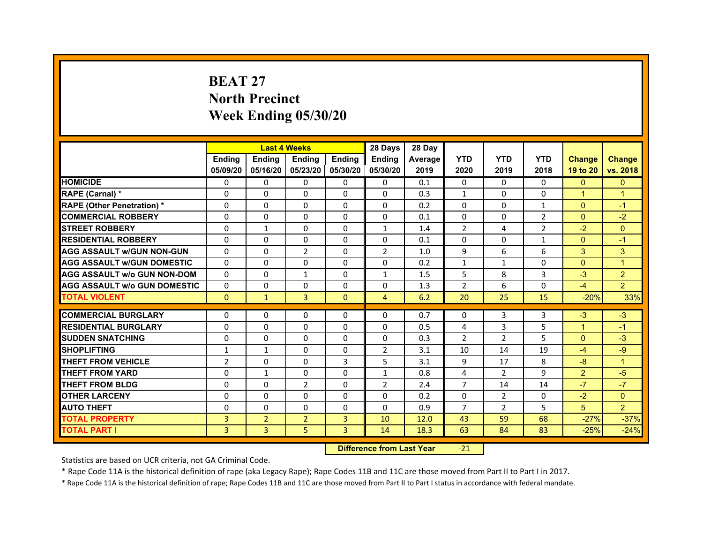# **BEAT 27North PrecinctWeek Ending 05/30/20**

|                                     |                | <b>Last 4 Weeks</b> |                     |               | 28 Days        | 28 Day  |                |                |                |                |                |
|-------------------------------------|----------------|---------------------|---------------------|---------------|----------------|---------|----------------|----------------|----------------|----------------|----------------|
|                                     | <b>Endina</b>  | <b>Endina</b>       | <b>Endina</b>       | <b>Endina</b> | <b>Endina</b>  | Average | <b>YTD</b>     | <b>YTD</b>     | <b>YTD</b>     | <b>Change</b>  | <b>Change</b>  |
|                                     | 05/09/20       | 05/16/20            | 05/23/20   05/30/20 |               | 05/30/20       | 2019    | 2020           | 2019           | 2018           | 19 to 20       | vs. 2018       |
| <b>HOMICIDE</b>                     | 0              | 0                   | 0                   | 0             | 0              | 0.1     | $\mathbf{0}$   | 0              | $\Omega$       | $\mathbf{0}$   | $\mathbf{0}$   |
| RAPE (Carnal) *                     | $\Omega$       | $\Omega$            | $\Omega$            | $\Omega$      | $\Omega$       | 0.3     | $\mathbf{1}$   | $\Omega$       | $\Omega$       | $\overline{1}$ | $\overline{1}$ |
| <b>RAPE (Other Penetration) *</b>   | 0              | $\Omega$            | $\Omega$            | $\Omega$      | 0              | 0.2     | $\Omega$       | 0              | $\mathbf{1}$   | $\Omega$       | $-1$           |
| <b>COMMERCIAL ROBBERY</b>           | 0              | 0                   | $\Omega$            | 0             | 0              | 0.1     | $\Omega$       | 0              | $\overline{2}$ | $\mathbf{0}$   | $-2$           |
| <b>STREET ROBBERY</b>               | 0              | $\mathbf{1}$        | 0                   | 0             | $\mathbf{1}$   | 1.4     | $\overline{2}$ | 4              | $\overline{2}$ | $-2$           | $\Omega$       |
| <b>RESIDENTIAL ROBBERY</b>          | 0              | $\Omega$            | $\Omega$            | $\Omega$      | 0              | 0.1     | $\Omega$       | $\Omega$       | $\mathbf{1}$   | $\Omega$       | $-1$           |
| <b>AGG ASSAULT w/GUN NON-GUN</b>    | $\Omega$       | 0                   | $\overline{2}$      | $\mathbf{0}$  | $\overline{2}$ | 1.0     | 9              | 6              | 6              | 3              | 3              |
| <b>AGG ASSAULT w/GUN DOMESTIC</b>   | $\Omega$       | $\Omega$            | $\Omega$            | 0             | $\Omega$       | 0.2     | $\mathbf{1}$   | $\mathbf{1}$   | $\Omega$       | $\Omega$       | $\overline{1}$ |
| <b>AGG ASSAULT w/o GUN NON-DOM</b>  | $\Omega$       | $\Omega$            | $\mathbf{1}$        | $\Omega$      | $\mathbf{1}$   | 1.5     | 5              | 8              | 3              | $-3$           | 2              |
| <b>AGG ASSAULT W/o GUN DOMESTIC</b> | $\Omega$       | $\Omega$            | 0                   | $\Omega$      | 0              | 1.3     | $\overline{2}$ | 6              | $\Omega$       | $-4$           | $\overline{2}$ |
| <b>TOTAL VIOLENT</b>                | $\Omega$       | $\mathbf{1}$        | $\overline{3}$      | $\mathbf{0}$  | 4              | 6.2     | 20             | 25             | 15             | $-20%$         | 33%            |
|                                     |                |                     |                     |               |                |         |                |                |                |                |                |
| <b>COMMERCIAL BURGLARY</b>          | 0              | 0                   | $\Omega$            | 0             | $\Omega$       | 0.7     | $\Omega$       | 3              | 3              | $-3$<br>1      | $-3$           |
| <b>RESIDENTIAL BURGLARY</b>         | 0              | $\Omega$            | 0                   | $\Omega$      | $\Omega$       | 0.5     | 4              | 3              | 5              |                | $-1$           |
| <b>SUDDEN SNATCHING</b>             | 0              | 0                   | $\Omega$            | 0             | 0              | 0.3     | $\mathfrak{p}$ | $\overline{2}$ | 5              | $\Omega$       | $-3$           |
| <b>SHOPLIFTING</b>                  | 1              | 1                   | $\Omega$            | $\Omega$      | $\overline{2}$ | 3.1     | 10             | 14             | 19             | $-4$           | $-9$           |
| <b>THEFT FROM VEHICLE</b>           | $\overline{2}$ | $\Omega$            | $\Omega$            | 3             | 5              | 3.1     | 9              | 17             | 8              | $-8$           | $\overline{1}$ |
| <b>THEFT FROM YARD</b>              | $\Omega$       | $\mathbf{1}$        | $\Omega$            | $\Omega$      | $\mathbf{1}$   | 0.8     | 4              | $\mathcal{P}$  | 9              | $\overline{2}$ | $-5$           |
| <b>THEFT FROM BLDG</b>              | 0              | 0                   | $\overline{2}$      | 0             | $\overline{2}$ | 2.4     | 7              | 14             | 14             | $-7$           | $-7$           |
| <b>OTHER LARCENY</b>                | 0              | 0                   | $\Omega$            | $\mathbf{0}$  | $\Omega$       | 0.2     | $\Omega$       | $\overline{2}$ | $\Omega$       | $-2$           | $\Omega$       |
| <b>AUTO THEFT</b>                   | $\Omega$       | 0                   | 0                   | 0             | $\Omega$       | 0.9     | $\overline{7}$ | $\overline{2}$ | 5              | 5              | $\overline{2}$ |
| <b>TOTAL PROPERTY</b>               | 3              | $\overline{2}$      | $\overline{2}$      | 3             | 10             | 12.0    | 43             | 59             | 68             | $-27%$         | $-37%$         |
| <b>TOTAL PART I</b>                 | 3              | 3                   | 5                   | 3             | 14             | 18.3    | 63             | 84             | 83             | $-25%$         | $-24%$         |

 **Difference from Last Year**‐21

Statistics are based on UCR criteria, not GA Criminal Code.

\* Rape Code 11A is the historical definition of rape (aka Legacy Rape); Rape Codes 11B and 11C are those moved from Part II to Part I in 2017.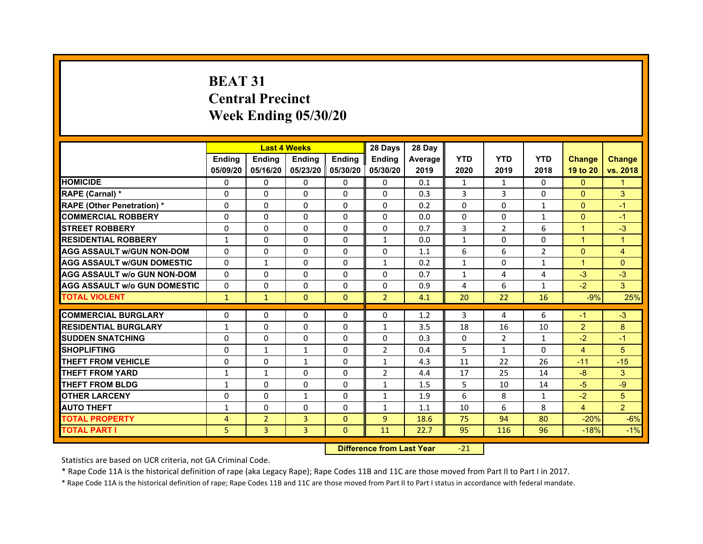# **BEAT 31Central PrecinctWeek Ending 05/30/20**

|                                     |               | <b>Last 4 Weeks</b> |                     |               | 28 Days        | 28 Day  |              |              |                |                |                |
|-------------------------------------|---------------|---------------------|---------------------|---------------|----------------|---------|--------------|--------------|----------------|----------------|----------------|
|                                     | <b>Endina</b> | <b>Endina</b>       | <b>Endina</b>       | <b>Endina</b> | <b>Endina</b>  | Average | <b>YTD</b>   | <b>YTD</b>   | <b>YTD</b>     | <b>Change</b>  | <b>Change</b>  |
|                                     | 05/09/20      | 05/16/20            | 05/23/20   05/30/20 |               | 05/30/20       | 2019    | 2020         | 2019         | 2018           | 19 to 20       | vs. 2018       |
| <b>HOMICIDE</b>                     | 0             | 0                   | $\Omega$            | 0             | 0              | 0.1     | $\mathbf{1}$ | $\mathbf{1}$ | $\Omega$       | $\mathbf{0}$   | 1              |
| RAPE (Carnal) *                     | $\Omega$      | $\Omega$            | $\Omega$            | $\Omega$      | $\Omega$       | 0.3     | 3            | 3            | $\Omega$       | $\Omega$       | 3              |
| <b>RAPE (Other Penetration)*</b>    | $\Omega$      | $\Omega$            | $\Omega$            | $\Omega$      | $\Omega$       | 0.2     | $\Omega$     | $\Omega$     | $\mathbf{1}$   | $\Omega$       | $-1$           |
| <b>COMMERCIAL ROBBERY</b>           | 0             | 0                   | $\Omega$            | 0             | 0              | 0.0     | $\Omega$     | 0            | $\mathbf{1}$   | $\mathbf{0}$   | $-1$           |
| <b>STREET ROBBERY</b>               | 0             | $\Omega$            | 0                   | 0             | 0              | 0.7     | 3            | 2            | 6              | 1              | $-3$           |
| <b>RESIDENTIAL ROBBERY</b>          | 1             | $\Omega$            | $\Omega$            | $\Omega$      | $\mathbf{1}$   | 0.0     | $\mathbf{1}$ | $\Omega$     | $\Omega$       | $\overline{1}$ | $\overline{1}$ |
| <b>AGG ASSAULT w/GUN NON-DOM</b>    | $\Omega$      | $\Omega$            | $\Omega$            | $\Omega$      | $\Omega$       | 1.1     | 6            | 6            | $\overline{2}$ | $\Omega$       | $\overline{4}$ |
| <b>AGG ASSAULT W/GUN DOMESTIC</b>   | $\Omega$      | $\mathbf{1}$        | $\Omega$            | $\Omega$      | $\mathbf{1}$   | 0.2     | $\mathbf{1}$ | $\Omega$     | $\mathbf{1}$   | $\mathbf{1}$   | $\Omega$       |
| <b>AGG ASSAULT W/o GUN NON-DOM</b>  | $\Omega$      | 0                   | $\Omega$            | 0             | $\Omega$       | 0.7     | $\mathbf{1}$ | 4            | 4              | $-3$           | $-3$           |
| <b>AGG ASSAULT W/o GUN DOMESTIC</b> | 0             | 0                   | 0                   | $\mathbf{0}$  | 0              | 0.9     | 4            | 6            | $\mathbf{1}$   | $-2$           | 3              |
| <b>TOTAL VIOLENT</b>                | $\mathbf{1}$  | $\mathbf{1}$        | $\mathbf{0}$        | $\Omega$      | $\overline{2}$ | 4.1     | 20           | 22           | 16             | $-9%$          | 25%            |
|                                     |               |                     |                     |               |                |         |              |              |                |                |                |
| <b>COMMERCIAL BURGLARY</b>          | 0             | 0                   | $\Omega$            | 0             | $\Omega$       | 1.2     | 3            | 4            | 6              | $-1$           | $-3$           |
| <b>RESIDENTIAL BURGLARY</b>         | $\mathbf{1}$  | 0                   | 0                   | $\Omega$      | $\mathbf{1}$   | 3.5     | 18           | 16           | 10             | $\overline{2}$ | 8              |
| <b>SUDDEN SNATCHING</b>             | 0             | $\Omega$            | $\Omega$            | $\Omega$      | $\Omega$       | 0.3     | $\Omega$     | 2            | $\mathbf{1}$   | $-2$           | $-1$           |
| <b>SHOPLIFTING</b>                  | $\Omega$      | $\mathbf{1}$        | $\mathbf{1}$        | $\mathbf{0}$  | $\overline{2}$ | 0.4     | 5            | $\mathbf{1}$ | $\Omega$       | $\overline{4}$ | 5              |
| <b>THEFT FROM VEHICLE</b>           | 0             | $\Omega$            | $\mathbf{1}$        | $\mathbf{0}$  | $\mathbf{1}$   | 4.3     | 11           | 22           | 26             | $-11$          | $-15$          |
| <b>THEFT FROM YARD</b>              | 1             | $\mathbf{1}$        | $\Omega$            | $\Omega$      | $\overline{2}$ | 4.4     | 17           | 25           | 14             | $-8$           | 3              |
| <b>THEFT FROM BLDG</b>              | 1             | $\Omega$            | $\Omega$            | $\mathbf{0}$  | 1              | 1.5     | 5            | 10           | 14             | $-5$           | -9             |
| <b>OTHER LARCENY</b>                | 0             | 0                   | $\mathbf{1}$        | $\Omega$      | $\mathbf{1}$   | 1.9     | 6            | 8            | 1              | $-2$           | 5              |
| <b>AUTO THEFT</b>                   | $\mathbf{1}$  | 0                   | $\Omega$            | $\mathbf{0}$  | $\mathbf{1}$   | 1.1     | 10           | 6            | 8              | $\overline{4}$ | $\overline{2}$ |
| <b>TOTAL PROPERTY</b>               | 4             | $\overline{2}$      | 3                   | $\mathbf{0}$  | 9              | 18.6    | 75           | 94           | 80             | $-20%$         | $-6%$          |
| <b>TOTAL PART I</b>                 | 5             | 3                   | 3                   | $\Omega$      | 11             | 22.7    | 95           | 116          | 96             | $-18%$         | $-1%$          |

 **Difference from Last Year**‐21

Statistics are based on UCR criteria, not GA Criminal Code.

\* Rape Code 11A is the historical definition of rape (aka Legacy Rape); Rape Codes 11B and 11C are those moved from Part II to Part I in 2017.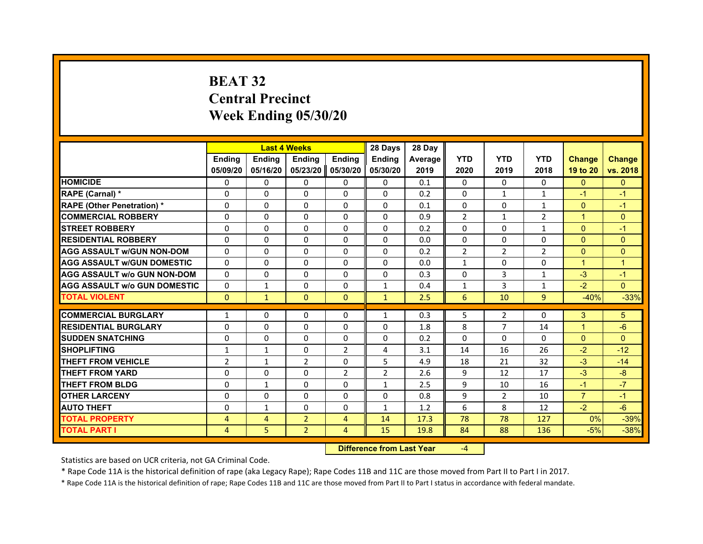# **BEAT 32Central Precinct Week Ending 05/30/20**

|                                     |                | <b>Last 4 Weeks</b> |                   |                | 28 Days        | 28 Day         |                |                |                |                |               |
|-------------------------------------|----------------|---------------------|-------------------|----------------|----------------|----------------|----------------|----------------|----------------|----------------|---------------|
|                                     | <b>Endina</b>  | <b>Ending</b>       | <b>Endina</b>     | <b>Endina</b>  | <b>Endina</b>  | <b>Average</b> | <b>YTD</b>     | <b>YTD</b>     | <b>YTD</b>     | <b>Change</b>  | <b>Change</b> |
|                                     | 05/09/20       | 05/16/20            | 05/23/20 05/30/20 |                | 05/30/20       | 2019           | 2020           | 2019           | 2018           | 19 to 20       | vs. 2018      |
| <b>HOMICIDE</b>                     | 0              | $\Omega$            | $\Omega$          | 0              | 0              | 0.1            | $\mathbf{0}$   | 0              | $\mathbf{0}$   | $\mathbf{0}$   | $\Omega$      |
| RAPE (Carnal) *                     | $\Omega$       | $\Omega$            | $\Omega$          | $\Omega$       | $\Omega$       | 0.2            | $\Omega$       | $\mathbf{1}$   | $\mathbf{1}$   | $-1$           | $-1$          |
| <b>RAPE (Other Penetration) *</b>   | $\Omega$       | $\Omega$            | $\Omega$          | 0              | $\Omega$       | 0.1            | 0              | $\mathbf{0}$   | $\mathbf{1}$   | $\Omega$       | $-1$          |
| <b>COMMERCIAL ROBBERY</b>           | $\Omega$       | $\Omega$            | $\Omega$          | $\Omega$       | $\Omega$       | 0.9            | $\overline{2}$ | $\mathbf{1}$   | $\overline{2}$ | $\mathbf{1}$   | $\Omega$      |
| <b>STREET ROBBERY</b>               | $\Omega$       | $\Omega$            | $\Omega$          | $\Omega$       | $\Omega$       | 0.2            | 0              | $\Omega$       | 1              | $\Omega$       | $-1$          |
| <b>RESIDENTIAL ROBBERY</b>          | 0              | 0                   | 0                 | 0              | 0              | 0.0            | 0              | $\Omega$       | 0              | $\Omega$       | $\Omega$      |
| <b>AGG ASSAULT w/GUN NON-DOM</b>    | $\Omega$       | $\Omega$            | $\mathbf 0$       | $\Omega$       | $\Omega$       | 0.2            | $\overline{2}$ | $\overline{2}$ | $\overline{2}$ | $\mathbf{0}$   | $\mathbf 0$   |
| <b>AGG ASSAULT W/GUN DOMESTIC</b>   | $\Omega$       | 0                   | $\Omega$          | 0              | $\Omega$       | 0.0            | $\mathbf{1}$   | $\mathbf{0}$   | 0              | $\mathbf{1}$   | $\mathbf{1}$  |
| <b>AGG ASSAULT W/o GUN NON-DOM</b>  | $\Omega$       | $\Omega$            | $\Omega$          | $\Omega$       | $\Omega$       | 0.3            | $\Omega$       | 3              | 1              | $-3$           | $-1$          |
| <b>AGG ASSAULT W/o GUN DOMESTIC</b> | $\Omega$       | 1                   | $\Omega$          | $\Omega$       | 1              | 0.4            | $\mathbf{1}$   | 3              | 1              | $-2$           | $\Omega$      |
| <b>TOTAL VIOLENT</b>                | $\Omega$       | $\mathbf{1}$        | $\Omega$          | $\Omega$       | $\mathbf{1}$   | 2.5            | 6              | 10             | 9              | $-40%$         | $-33%$        |
|                                     |                |                     |                   |                |                |                |                |                |                |                |               |
| <b>COMMERCIAL BURGLARY</b>          | $\mathbf{1}$   | $\Omega$            | $\Omega$          | $\Omega$       | 1              | 0.3            | 5              | $\overline{2}$ | $\Omega$       | 3              | 5             |
| <b>RESIDENTIAL BURGLARY</b>         | $\Omega$       | 0                   | $\Omega$          | 0              | 0              | 1.8            | 8              | $\overline{7}$ | 14             | $\mathbf{1}$   | $-6$          |
| <b>SUDDEN SNATCHING</b>             | $\Omega$       | $\Omega$            | $\Omega$          | $\Omega$       | $\Omega$       | 0.2            | $\Omega$       | $\Omega$       | $\Omega$       | $\Omega$       | $\Omega$      |
| <b>SHOPLIFTING</b>                  | 1              | 1                   | 0                 | 2              | 4              | 3.1            | 14             | 16             | 26             | $-2$           | $-12$         |
| <b>THEFT FROM VEHICLE</b>           | $\overline{2}$ | $\mathbf{1}$        | $\overline{2}$    | 0              | 5              | 4.9            | 18             | 21             | 32             | $-3$           | $-14$         |
| <b>THEFT FROM YARD</b>              | $\Omega$       | $\Omega$            | $\Omega$          | $\overline{2}$ | $\overline{2}$ | 2.6            | 9              | 12             | 17             | $-3$           | $-8$          |
| <b>THEFT FROM BLDG</b>              | 0              | 1                   | 0                 | 0              | 1              | 2.5            | 9              | 10             | 16             | $-1$           | $-7$          |
| <b>OTHER LARCENY</b>                | $\Omega$       | $\Omega$            | $\Omega$          | 0              | $\Omega$       | 0.8            | 9              | $\overline{2}$ | 10             | $\overline{7}$ | $-1$          |
| <b>AUTO THEFT</b>                   | $\Omega$       | $\mathbf{1}$        | $\Omega$          | $\Omega$       | $\mathbf{1}$   | 1.2            | 6              | 8              | 12             | $-2$           | $-6$          |
| <b>TOTAL PROPERTY</b>               | 4              | 4                   | $\overline{2}$    | $\overline{4}$ | 14             | 17.3           | 78             | 78             | 127            | 0%             | $-39%$        |
| <b>TOTAL PART I</b>                 | 4              | 5                   | $\overline{2}$    | 4              | 15             | 19.8           | 84             | 88             | 136            | $-5%$          | $-38%$        |

#### **Difference from Last Year**‐4

Statistics are based on UCR criteria, not GA Criminal Code.

\* Rape Code 11A is the historical definition of rape (aka Legacy Rape); Rape Codes 11B and 11C are those moved from Part II to Part I in 2017.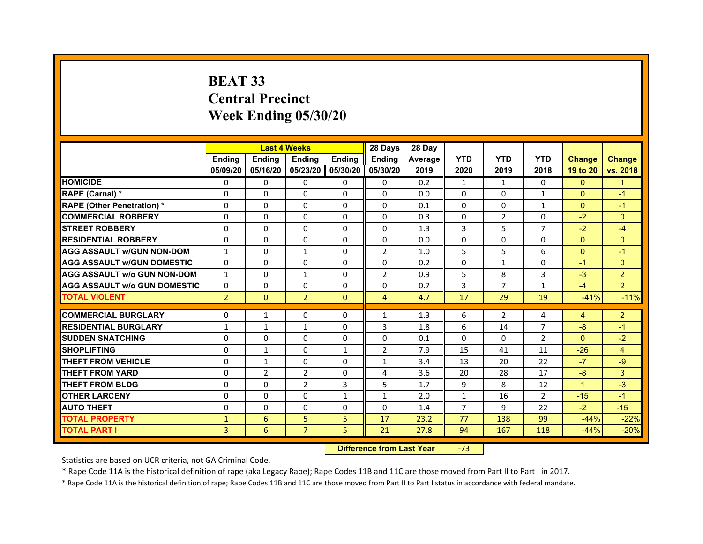# **BEAT 33Central PrecinctWeek Ending 05/30/20**

|                                     |                | <b>Last 4 Weeks</b> |                     |               | 28 Days        | 28 Day  |                |                |                |                      |                |
|-------------------------------------|----------------|---------------------|---------------------|---------------|----------------|---------|----------------|----------------|----------------|----------------------|----------------|
|                                     | <b>Endina</b>  | <b>Ending</b>       | <b>Endina</b>       | <b>Endina</b> | <b>Endina</b>  | Average | <b>YTD</b>     | <b>YTD</b>     | <b>YTD</b>     | <b>Change</b>        | <b>Change</b>  |
|                                     | 05/09/20       | 05/16/20            | 05/23/20   05/30/20 |               | 05/30/20       | 2019    | 2020           | 2019           | 2018           | 19 to 20             | vs. 2018       |
| <b>HOMICIDE</b>                     | 0              | 0                   | $\mathbf{0}$        | 0             | 0              | 0.2     | $\mathbf{1}$   | $\mathbf{1}$   | 0              | $\mathbf{0}$         | 1              |
| RAPE (Carnal) *                     | $\Omega$       | $\Omega$            | $\Omega$            | $\Omega$      | $\Omega$       | 0.0     | $\Omega$       | $\Omega$       | $\mathbf{1}$   | $\Omega$             | $-1$           |
| <b>RAPE (Other Penetration) *</b>   | $\Omega$       | $\Omega$            | $\Omega$            | $\Omega$      | $\Omega$       | 0.1     | $\Omega$       | $\Omega$       | $\mathbf{1}$   | $\Omega$             | $-1$           |
| <b>COMMERCIAL ROBBERY</b>           | 0              | 0                   | $\Omega$            | 0             | $\Omega$       | 0.3     | $\Omega$       | 2              | $\Omega$       | $-2$                 | $\mathbf{0}$   |
| <b>STREET ROBBERY</b>               | 0              | 0                   | 0                   | $\mathbf{0}$  | 0              | 1.3     | 3              | 5              | $\overline{7}$ | $-2$                 | $-4$           |
| <b>RESIDENTIAL ROBBERY</b>          | $\Omega$       | $\Omega$            | 0                   | $\Omega$      | 0              | 0.0     | $\Omega$       | $\Omega$       | $\Omega$       | $\Omega$             | $\mathbf{0}$   |
| <b>AGG ASSAULT w/GUN NON-DOM</b>    | $\mathbf{1}$   | 0                   | $\mathbf{1}$        | $\Omega$      | $\overline{2}$ | 1.0     | 5              | 5              | 6              | $\Omega$             | $-1$           |
| <b>AGG ASSAULT W/GUN DOMESTIC</b>   | $\Omega$       | $\Omega$            | 0                   | $\mathbf{0}$  | 0              | 0.2     | $\Omega$       | $\mathbf{1}$   | $\Omega$       | $-1$                 | $\mathbf{0}$   |
| <b>AGG ASSAULT W/o GUN NON-DOM</b>  | $\mathbf{1}$   | 0                   | $\mathbf{1}$        | $\Omega$      | $\overline{2}$ | 0.9     | 5              | 8              | 3              | $-3$                 | $\overline{2}$ |
| <b>AGG ASSAULT w/o GUN DOMESTIC</b> | $\Omega$       | $\Omega$            | 0                   | $\Omega$      | 0              | 0.7     | 3              | $\overline{7}$ | $\mathbf{1}$   | $-4$                 | 2 <sup>1</sup> |
| <b>TOTAL VIOLENT</b>                | $\overline{2}$ | $\Omega$            | $\overline{2}$      | $\mathbf{0}$  | $\overline{4}$ | 4.7     | 17             | 29             | 19             | $-41%$               | $-11%$         |
|                                     |                |                     |                     |               |                |         |                |                |                |                      |                |
| <b>COMMERCIAL BURGLARY</b>          | $\Omega$       | $\mathbf{1}$        | $\Omega$            | 0             | $\mathbf{1}$   | 1.3     | 6              | 2              | 4              | 4                    | $\overline{2}$ |
| <b>RESIDENTIAL BURGLARY</b>         | $\mathbf{1}$   | 1                   | 1                   | $\mathbf{0}$  | 3              | 1.8     | 6              | 14             | $\overline{7}$ | $-8$                 | $-1$           |
| <b>SUDDEN SNATCHING</b>             | 0              | 0                   | $\Omega$            | $\Omega$      | $\Omega$       | 0.1     | $\Omega$       | $\Omega$       | $\overline{2}$ | $\Omega$             | $-2$           |
| <b>SHOPLIFTING</b>                  | $\mathbf 0$    | $\mathbf{1}$        | $\Omega$            | $\mathbf{1}$  | $\overline{2}$ | 7.9     | 15             | 41             | 11             | $-26$                | $\overline{4}$ |
| <b>THEFT FROM VEHICLE</b>           | 0              | $\mathbf{1}$        | $\Omega$            | $\mathbf{0}$  | $\mathbf{1}$   | 3.4     | 13             | 20             | 22             | $-7$                 | $-9$           |
| <b>THEFT FROM YARD</b>              | 0              | $\overline{2}$      | $\overline{2}$      | 0             | 4              | 3.6     | 20             | 28             | 17             | $-8$                 | 3              |
| <b>THEFT FROM BLDG</b>              | 0              | 0                   | $\overline{2}$      | 3             | 5              | 1.7     | 9              | 8              | 12             | $\blacktriangleleft$ | $-3$           |
| <b>OTHER LARCENY</b>                | $\Omega$       | 0                   | $\Omega$            | $\mathbf{1}$  | $\mathbf{1}$   | 2.0     | $\mathbf{1}$   | 16             | $\overline{2}$ | $-15$                | $-1$           |
| <b>AUTO THEFT</b>                   | $\mathbf 0$    | 0                   | $\Omega$            | 0             | $\Omega$       | 1.4     | $\overline{7}$ | 9              | 22             | $-2$                 | $-15$          |
| <b>TOTAL PROPERTY</b>               | $\mathbf{1}$   | 6                   | 5                   | 5             | 17             | 23.2    | 77             | 138            | 99             | $-44%$               | $-22%$         |
| TOTAL PART I                        | 3              | 6                   | $\overline{7}$      | 5             | 21             | 27.8    | 94             | 167            | 118            | $-44%$               | $-20%$         |

 **Difference from Last Year**‐73

Statistics are based on UCR criteria, not GA Criminal Code.

\* Rape Code 11A is the historical definition of rape (aka Legacy Rape); Rape Codes 11B and 11C are those moved from Part II to Part I in 2017.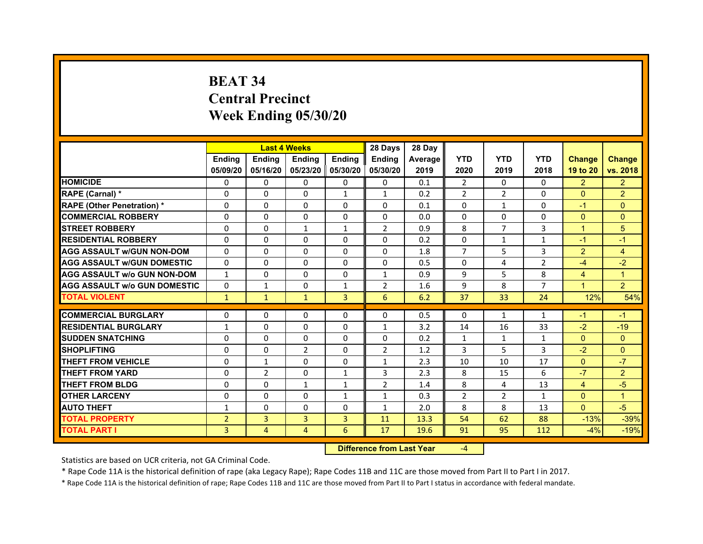# **BEAT 34Central Precinct Week Ending 05/30/20**

|                                     |                | <b>Last 4 Weeks</b> |                     |                | 28 Days        | 28 Day  |                |                |               |                |                      |
|-------------------------------------|----------------|---------------------|---------------------|----------------|----------------|---------|----------------|----------------|---------------|----------------|----------------------|
|                                     | <b>Endina</b>  | <b>Endina</b>       | <b>Endina</b>       | <b>Endina</b>  | <b>Endina</b>  | Average | <b>YTD</b>     | <b>YTD</b>     | <b>YTD</b>    | <b>Change</b>  | <b>Change</b>        |
|                                     | 05/09/20       | 05/16/20            | 05/23/20   05/30/20 |                | 05/30/20       | 2019    | 2020           | 2019           | 2018          | 19 to 20       | vs. 2018             |
| <b>HOMICIDE</b>                     | 0              | 0                   | $\Omega$            | 0              | 0              | 0.1     | 2              | $\Omega$       | 0             | $\overline{2}$ | $\overline{2}$       |
| RAPE (Carnal) *                     | $\Omega$       | $\Omega$            | $\Omega$            | $\mathbf{1}$   | $\mathbf{1}$   | 0.2     | $\overline{2}$ | $\overline{2}$ | $\Omega$      | $\Omega$       | $\overline{2}$       |
| <b>RAPE (Other Penetration)*</b>    | $\Omega$       | $\Omega$            | $\Omega$            | $\Omega$       | $\Omega$       | 0.1     | $\Omega$       | $\mathbf{1}$   | $\Omega$      | $-1$           | $\Omega$             |
| <b>COMMERCIAL ROBBERY</b>           | 0              | 0                   | $\Omega$            | 0              | 0              | 0.0     | $\Omega$       | 0              | 0             | $\Omega$       | $\Omega$             |
| <b>STREET ROBBERY</b>               | 0              | $\Omega$            | $\mathbf{1}$        | $\mathbf{1}$   | $\overline{2}$ | 0.9     | 8              | 7              | 3             | 1              | 5                    |
| <b>RESIDENTIAL ROBBERY</b>          | 0              | $\Omega$            | $\Omega$            | $\Omega$       | $\Omega$       | 0.2     | $\Omega$       | $\mathbf{1}$   | $\mathbf{1}$  | $-1$           | $\overline{1}$       |
| <b>AGG ASSAULT w/GUN NON-DOM</b>    | $\Omega$       | $\Omega$            | $\Omega$            | $\Omega$       | $\Omega$       | 1.8     | $\overline{7}$ | 5              | 3             | $\overline{2}$ | $\overline{4}$       |
| <b>AGG ASSAULT W/GUN DOMESTIC</b>   | $\Omega$       | $\Omega$            | $\Omega$            | $\Omega$       | $\Omega$       | 0.5     | $\Omega$       | 4              | $\mathcal{P}$ | $-4$           | $-2$                 |
| <b>AGG ASSAULT W/o GUN NON-DOM</b>  | 1              | 0                   | $\Omega$            | 0              | $\mathbf{1}$   | 0.9     | 9              | 5              | 8             | $\overline{4}$ | 1                    |
| <b>AGG ASSAULT W/o GUN DOMESTIC</b> | 0              | $\mathbf{1}$        | 0                   | 1              | 2              | 1.6     | 9              | 8              | 7             | $\overline{1}$ | $\overline{2}$       |
| <b>TOTAL VIOLENT</b>                | $\mathbf{1}$   | $\mathbf{1}$        | $\mathbf{1}$        | $\overline{3}$ | 6              | 6.2     | 37             | 33             | 24            | 12%            | 54%                  |
|                                     |                |                     |                     |                |                |         |                |                |               |                |                      |
| <b>COMMERCIAL BURGLARY</b>          | 0              | 0                   | $\Omega$            | 0              | $\Omega$       | 0.5     | $\Omega$       | $\mathbf{1}$   | 1             | $-1$           | $-1$                 |
| <b>RESIDENTIAL BURGLARY</b>         | $\mathbf{1}$   | 0                   | 0                   | $\Omega$       | $\mathbf{1}$   | 3.2     | 14             | 16             | 33            | $-2$           | $-19$                |
| <b>SUDDEN SNATCHING</b>             | 0              | $\Omega$            | $\Omega$            | $\Omega$       | $\Omega$       | 0.2     | $\mathbf{1}$   | $\mathbf{1}$   | $\mathbf{1}$  | $\Omega$       | $\Omega$             |
| <b>SHOPLIFTING</b>                  | $\Omega$       | $\Omega$            | $\overline{2}$      | $\mathbf{0}$   | $\overline{2}$ | 1.2     | 3              | 5              | 3             | $-2$           | $\Omega$             |
| <b>THEFT FROM VEHICLE</b>           | 0              | $\mathbf{1}$        | 0                   | $\mathbf{0}$   | $\mathbf{1}$   | 2.3     | 10             | 10             | 17            | $\mathbf{0}$   | $-7$                 |
| <b>THEFT FROM YARD</b>              | 0              | $\overline{2}$      | $\Omega$            | $\mathbf{1}$   | 3              | 2.3     | 8              | 15             | 6             | $-7$           | $\overline{2}$       |
| <b>THEFT FROM BLDG</b>              | $\Omega$       | $\Omega$            | 1                   | 1              | $\overline{2}$ | 1.4     | 8              | 4              | 13            | $\overline{4}$ | $-5$                 |
| <b>OTHER LARCENY</b>                | 0              | 0                   | $\Omega$            | $\mathbf{1}$   | $\mathbf{1}$   | 0.3     | $\overline{2}$ | $\overline{2}$ | 1             | $\Omega$       | $\blacktriangleleft$ |
| <b>AUTO THEFT</b>                   | $\mathbf{1}$   | 0                   | $\Omega$            | $\Omega$       | $\mathbf{1}$   | 2.0     | 8              | 8              | 13            | $\Omega$       | $-5$                 |
| <b>TOTAL PROPERTY</b>               | $\overline{2}$ | 3                   | 3                   | $\overline{3}$ | 11             | 13.3    | 54             | 62             | 88            | $-13%$         | $-39%$               |
| <b>TOTAL PART I</b>                 | 3              | 4                   | $\overline{4}$      | 6              | 17             | 19.6    | 91             | 95             | 112           | $-4%$          | $-19%$               |

 **Difference from Last Year**‐4

Statistics are based on UCR criteria, not GA Criminal Code.

\* Rape Code 11A is the historical definition of rape (aka Legacy Rape); Rape Codes 11B and 11C are those moved from Part II to Part I in 2017.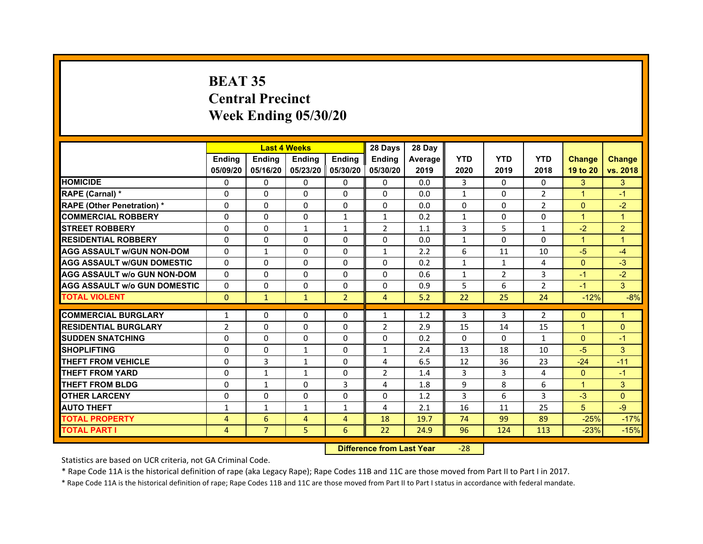# **BEAT 35Central PrecinctWeek Ending 05/30/20**

|                                     |                |                | <b>Last 4 Weeks</b> |                | 28 Days        | 28 Day  |              |              |                |                      |                |
|-------------------------------------|----------------|----------------|---------------------|----------------|----------------|---------|--------------|--------------|----------------|----------------------|----------------|
|                                     | <b>Endina</b>  | <b>Endina</b>  | <b>Endina</b>       | <b>Ending</b>  | <b>Endina</b>  | Average | <b>YTD</b>   | <b>YTD</b>   | <b>YTD</b>     | <b>Change</b>        | <b>Change</b>  |
|                                     | 05/09/20       | 05/16/20       | 05/23/20   05/30/20 |                | 05/30/20       | 2019    | 2020         | 2019         | 2018           | 19 to 20             | vs. 2018       |
| <b>HOMICIDE</b>                     | 0              | 0              | $\mathbf{0}$        | 0              | 0              | 0.0     | 3            | 0            | $\Omega$       | 3                    | 3              |
| RAPE (Carnal) *                     | $\Omega$       | $\Omega$       | $\Omega$            | $\Omega$       | $\Omega$       | 0.0     | $\mathbf{1}$ | $\Omega$     | $\overline{2}$ | $\overline{1}$       | $-1$           |
| <b>RAPE (Other Penetration) *</b>   | 0              | $\Omega$       | $\Omega$            | $\mathbf{0}$   | $\Omega$       | 0.0     | $\Omega$     | $\Omega$     | $\overline{2}$ | $\Omega$             | $-2$           |
| <b>COMMERCIAL ROBBERY</b>           | 0              | 0              | $\Omega$            | 1              | $\mathbf{1}$   | 0.2     | 1            | 0            | $\Omega$       | $\blacktriangleleft$ | 1              |
| <b>STREET ROBBERY</b>               | 0              | 0              | $\mathbf{1}$        | 1              | $\overline{2}$ | 1.1     | 3            | 5            | 1              | $-2$                 | $\overline{2}$ |
| <b>RESIDENTIAL ROBBERY</b>          | 0              | 0              | $\Omega$            | $\Omega$       | $\Omega$       | 0.0     | $\mathbf{1}$ | $\Omega$     | $\Omega$       | $\mathbf{1}$         | 1              |
| <b>AGG ASSAULT w/GUN NON-DOM</b>    | $\Omega$       | $\mathbf{1}$   | $\Omega$            | $\Omega$       | $\mathbf{1}$   | 2.2     | 6            | 11           | 10             | $-5$                 | $-4$           |
| <b>AGG ASSAULT W/GUN DOMESTIC</b>   | $\Omega$       | 0              | $\Omega$            | 0              | $\Omega$       | 0.2     | $\mathbf{1}$ | $\mathbf{1}$ | $\overline{4}$ | $\mathbf{0}$         | $-3$           |
| <b>AGG ASSAULT w/o GUN NON-DOM</b>  | 0              | 0              | $\Omega$            | $\Omega$       | $\Omega$       | 0.6     | $\mathbf{1}$ | 2            | 3              | $-1$                 | $-2$           |
| <b>AGG ASSAULT W/o GUN DOMESTIC</b> | $\Omega$       | $\Omega$       | 0                   | $\Omega$       | 0              | 0.9     | 5            | 6            | $\overline{2}$ | $-1$                 | 3              |
| <b>TOTAL VIOLENT</b>                | $\Omega$       | $\mathbf{1}$   | $\mathbf{1}$        | $\overline{2}$ | $\overline{4}$ | 5.2     | 22           | 25           | 24             | $-12%$               | $-8%$          |
|                                     |                |                |                     |                |                |         |              |              |                |                      |                |
| <b>COMMERCIAL BURGLARY</b>          | 1              | 0              | $\Omega$            | 0              | $\mathbf{1}$   | 1.2     | 3            | 3            | 2              | $\Omega$             | $\mathbf{1}$   |
| <b>RESIDENTIAL BURGLARY</b>         | $\overline{2}$ | $\Omega$       | 0                   | $\Omega$       | 2              | 2.9     | 15           | 14           | 15             | 1                    | $\Omega$       |
| <b>SUDDEN SNATCHING</b>             | 0              | 0              | $\Omega$            | 0              | 0              | 0.2     | $\Omega$     | $\Omega$     | $\mathbf{1}$   | $\Omega$             | $-1$           |
| <b>SHOPLIFTING</b>                  | $\Omega$       | 0              | $\mathbf{1}$        | $\Omega$       | $\mathbf{1}$   | 2.4     | 13           | 18           | 10             | $-5$                 | 3              |
| <b>THEFT FROM VEHICLE</b>           | 0              | 3              | $\mathbf{1}$        | $\mathbf{0}$   | 4              | 6.5     | 12           | 36           | 23             | $-24$                | $-11$          |
| <b>THEFT FROM YARD</b>              | $\Omega$       | $\mathbf{1}$   | $\mathbf{1}$        | $\Omega$       | $\overline{2}$ | 1.4     | 3            | 3            | $\overline{4}$ | $\Omega$             | $-1$           |
| <b>THEFT FROM BLDG</b>              | 0              | 1              | 0                   | 3              | 4              | 1.8     | 9            | 8            | 6              | 1                    | 3              |
| <b>OTHER LARCENY</b>                | 0              | 0              | $\Omega$            | $\Omega$       | $\Omega$       | 1.2     | 3            | 6            | 3              | $-3$                 | $\Omega$       |
| <b>AUTO THEFT</b>                   | $\mathbf{1}$   | 1              | $\mathbf{1}$        | $\mathbf{1}$   | 4              | 2.1     | 16           | 11           | 25             | 5                    | $-9$           |
| <b>TOTAL PROPERTY</b>               | 4              | 6              | 4                   | 4              | 18             | 19.7    | 74           | 99           | 89             | $-25%$               | $-17%$         |
| <b>TOTAL PART I</b>                 | 4              | $\overline{7}$ | 5                   | 6              | 22             | 24.9    | 96           | 124          | 113            | $-23%$               | $-15%$         |

 **Difference from Last Year**‐28

Statistics are based on UCR criteria, not GA Criminal Code.

\* Rape Code 11A is the historical definition of rape (aka Legacy Rape); Rape Codes 11B and 11C are those moved from Part II to Part I in 2017.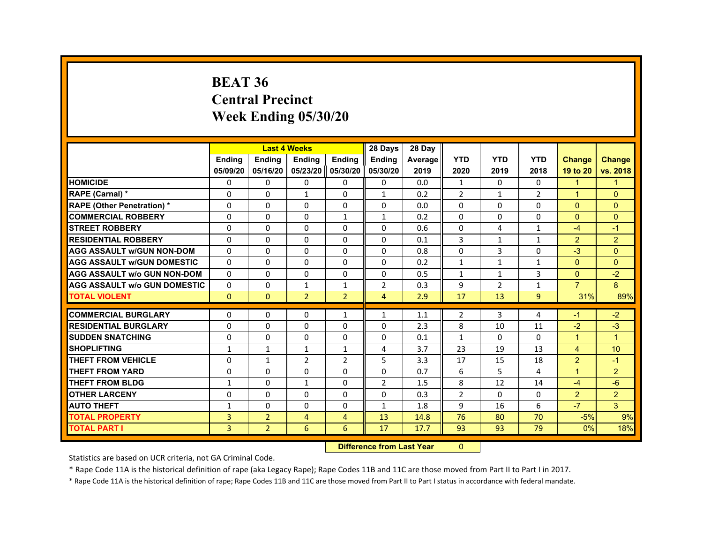#### **BEAT 36Central PrecinctWeek Ending 05/30/20**

|                                     |                |                | <b>Last 4 Weeks</b> |                   | 28 Days        | 28 Day  |                |                |                |                      |                      |
|-------------------------------------|----------------|----------------|---------------------|-------------------|----------------|---------|----------------|----------------|----------------|----------------------|----------------------|
|                                     | <b>Endina</b>  | <b>Ending</b>  | Ending              | <b>Endina</b>     | <b>Endina</b>  | Average | <b>YTD</b>     | <b>YTD</b>     | <b>YTD</b>     | <b>Change</b>        | <b>Change</b>        |
|                                     | 05/09/20       | 05/16/20       |                     | 05/23/20 05/30/20 | 05/30/20       | 2019    | 2020           | 2019           | 2018           | 19 to 20             | vs. 2018             |
| <b>HOMICIDE</b>                     | 0              | $\Omega$       | $\Omega$            | 0                 | 0              | 0.0     | $\mathbf{1}$   | $\mathbf{0}$   | $\mathbf{0}$   | $\blacktriangleleft$ | $\blacktriangleleft$ |
| RAPE (Carnal) *                     | 0              | 0              | 1                   | 0                 | $\mathbf{1}$   | 0.2     | 2              | 1              | $\overline{2}$ | $\blacktriangleleft$ | $\mathbf{0}$         |
| <b>RAPE (Other Penetration) *</b>   | $\Omega$       | $\Omega$       | 0                   | 0                 | $\Omega$       | 0.0     | 0              | $\Omega$       | $\Omega$       | $\mathbf{0}$         | $\mathbf{0}$         |
| <b>COMMERCIAL ROBBERY</b>           | $\Omega$       | $\Omega$       | $\Omega$            | $\mathbf{1}$      | $\mathbf{1}$   | 0.2     | $\Omega$       | $\Omega$       | $\Omega$       | $\Omega$             | $\Omega$             |
| <b>STREET ROBBERY</b>               | $\Omega$       | $\Omega$       | 0                   | $\Omega$          | $\Omega$       | 0.6     | $\Omega$       | 4              | $\mathbf{1}$   | $-4$                 | $-1$                 |
| <b>RESIDENTIAL ROBBERY</b>          | $\Omega$       | $\Omega$       | $\Omega$            | $\Omega$          | $\Omega$       | 0.1     | 3              | $\mathbf{1}$   | $\mathbf{1}$   | $\overline{2}$       | $\overline{2}$       |
| <b>AGG ASSAULT W/GUN NON-DOM</b>    | $\Omega$       | 0              | $\Omega$            | $\Omega$          | $\Omega$       | 0.8     | $\Omega$       | 3              | $\Omega$       | $-3$                 | $\Omega$             |
| <b>AGG ASSAULT W/GUN DOMESTIC</b>   | $\Omega$       | 0              | 0                   | $\mathbf{0}$      | 0              | 0.2     | $\mathbf{1}$   | $\mathbf{1}$   | $\mathbf{1}$   | $\mathbf{0}$         | $\mathbf{0}$         |
| <b>AGG ASSAULT W/o GUN NON-DOM</b>  | $\Omega$       | $\Omega$       | $\Omega$            | $\Omega$          | $\Omega$       | 0.5     | $\mathbf{1}$   | $\mathbf{1}$   | 3              | $\Omega$             | $-2$                 |
| <b>AGG ASSAULT W/o GUN DOMESTIC</b> | $\Omega$       | 0              | $\mathbf{1}$        | $\mathbf{1}$      | $\overline{2}$ | 0.3     | 9              | $\overline{2}$ | $\mathbf{1}$   | $\overline{7}$       | 8                    |
| <b>TOTAL VIOLENT</b>                | $\mathbf{0}$   | $\mathbf{0}$   | $\overline{2}$      | $\overline{2}$    | $\overline{4}$ | 2.9     | 17             | 13             | 9              | 31%                  | 89%                  |
|                                     |                |                |                     |                   |                |         |                |                |                |                      |                      |
| <b>COMMERCIAL BURGLARY</b>          | 0              | 0              | 0                   | $\mathbf{1}$      | 1              | 1.1     | 2              | 3              | 4              | -1                   | $-2$                 |
| <b>RESIDENTIAL BURGLARY</b>         | $\Omega$       | 0              | 0                   | 0                 | 0              | 2.3     | 8              | 10             | 11             | $-2$                 | $-3$                 |
| <b>SUDDEN SNATCHING</b>             | $\Omega$       | $\Omega$       | 0                   | $\Omega$          | $\Omega$       | 0.1     | $\mathbf{1}$   | $\Omega$       | $\Omega$       | $\blacktriangleleft$ | $\blacktriangleleft$ |
| <b>SHOPLIFTING</b>                  | $\mathbf{1}$   | $\mathbf{1}$   | $\mathbf{1}$        | $\mathbf{1}$      | 4              | 3.7     | 23             | 19             | 13             | $\overline{4}$       | 10                   |
| <b>THEFT FROM VEHICLE</b>           | 0              | $\mathbf{1}$   | $\overline{2}$      | $\overline{2}$    | 5              | 3.3     | 17             | 15             | 18             | $\overline{2}$       | $-1$                 |
| <b>THEFT FROM YARD</b>              | 0              | $\Omega$       | 0                   | $\Omega$          | $\Omega$       | 0.7     | 6              | 5              | 4              | $\blacktriangleleft$ | $\overline{2}$       |
| <b>THEFT FROM BLDG</b>              | 1              | 0              | $\mathbf{1}$        | 0                 | $\overline{2}$ | 1.5     | 8              | 12             | 14             | $-4$                 | $-6$                 |
| <b>OTHER LARCENY</b>                | $\Omega$       | $\Omega$       | 0                   | $\Omega$          | $\Omega$       | 0.3     | $\overline{2}$ | $\Omega$       | $\Omega$       | $\overline{2}$       | $\overline{2}$       |
| <b>AUTO THEFT</b>                   | $\mathbf{1}$   | 0              | $\Omega$            | $\Omega$          | $\mathbf{1}$   | 1.8     | 9              | 16             | 6              | $-7$                 | 3                    |
| <b>TOTAL PROPERTY</b>               | 3              | $\overline{2}$ | 4                   | $\overline{4}$    | 13             | 14.8    | 76             | 80             | 70             | $-5%$                | 9%                   |
| <b>TOTAL PART I</b>                 | $\overline{3}$ | $\overline{2}$ | 6                   | 6                 | 17             | 17.7    | 93             | 93             | 79             | $0\%$                | 18%                  |

 **Difference from Last Year**r 0

Statistics are based on UCR criteria, not GA Criminal Code.

\* Rape Code 11A is the historical definition of rape (aka Legacy Rape); Rape Codes 11B and 11C are those moved from Part II to Part I in 2017.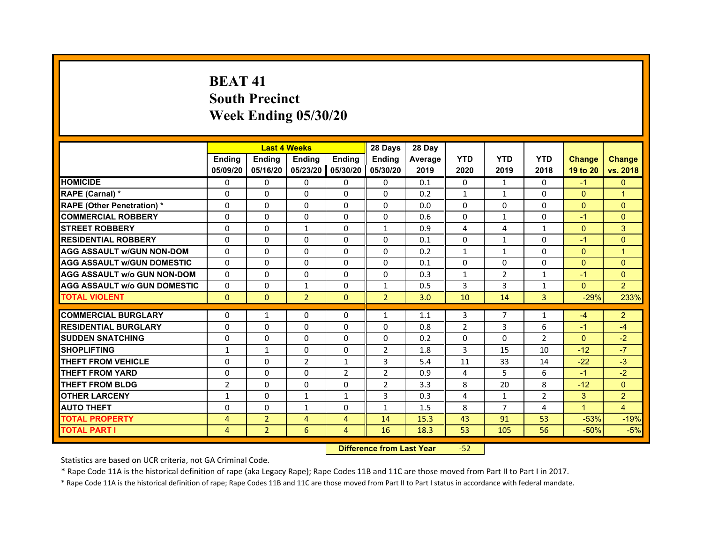# **BEAT 41South Precinct Week Ending 05/30/20**

|                                     |                |                | <b>Last 4 Weeks</b>      |               | 28 Days        | 28 Day         |                |                |                |               |                |
|-------------------------------------|----------------|----------------|--------------------------|---------------|----------------|----------------|----------------|----------------|----------------|---------------|----------------|
|                                     | <b>Endina</b>  | <b>Ending</b>  | <b>Endina</b>            | <b>Endina</b> | <b>Endina</b>  | <b>Average</b> | <b>YTD</b>     | <b>YTD</b>     | <b>YTD</b>     | <b>Change</b> | <b>Change</b>  |
|                                     | 05/09/20       | 05/16/20       | 05/23/20                 | 05/30/20      | 05/30/20       | 2019           | 2020           | 2019           | 2018           | 19 to 20      | vs. 2018       |
| <b>HOMICIDE</b>                     | 0              | $\Omega$       | $\Omega$                 | 0             | 0              | 0.1            | 0              | $\mathbf{1}$   | $\Omega$       | $-1$          | $\Omega$       |
| RAPE (Carnal) *                     | $\Omega$       | $\Omega$       | $\Omega$                 | $\Omega$      | $\Omega$       | 0.2            | $\mathbf{1}$   | $\mathbf{1}$   | $\Omega$       | $\mathbf{0}$  | $\overline{1}$ |
| <b>RAPE (Other Penetration)*</b>    | $\Omega$       | $\Omega$       | $\Omega$                 | 0             | $\Omega$       | 0.0            | $\Omega$       | 0              | $\Omega$       | $\Omega$      | $\Omega$       |
| <b>COMMERCIAL ROBBERY</b>           | 0              | $\Omega$       | 0                        | $\Omega$      | $\Omega$       | 0.6            | $\Omega$       | 1              | $\Omega$       | $-1$          | $\Omega$       |
| <b>STREET ROBBERY</b>               | $\Omega$       | $\Omega$       | 1                        | 0             | 1              | 0.9            | 4              | 4              | $\mathbf{1}$   | $\Omega$      | 3              |
| <b>RESIDENTIAL ROBBERY</b>          | 0              | $\Omega$       | $\Omega$                 | 0             | 0              | 0.1            | 0              | $\mathbf{1}$   | 0              | $-1$          | $\Omega$       |
| <b>AGG ASSAULT w/GUN NON-DOM</b>    | $\Omega$       | $\Omega$       | $\Omega$                 | $\Omega$      | $\Omega$       | 0.2            | $\mathbf{1}$   | $\mathbf{1}$   | $\Omega$       | $\Omega$      | $\overline{1}$ |
| <b>AGG ASSAULT W/GUN DOMESTIC</b>   | $\Omega$       | $\Omega$       | $\Omega$                 | $\Omega$      | $\Omega$       | 0.1            | $\Omega$       | $\Omega$       | $\Omega$       | $\Omega$      | $\Omega$       |
| <b>AGG ASSAULT W/o GUN NON-DOM</b>  | $\Omega$       | 0              | $\Omega$                 | $\Omega$      | $\Omega$       | 0.3            | 1              | $\overline{2}$ | $\mathbf{1}$   | $-1$          | $\Omega$       |
| <b>AGG ASSAULT w/o GUN DOMESTIC</b> | $\Omega$       | $\Omega$       | $\mathbf{1}$             | $\Omega$      | $\mathbf{1}$   | 0.5            | 3              | 3              | $\mathbf{1}$   | $\Omega$      | $\overline{2}$ |
| <b>TOTAL VIOLENT</b>                | $\mathbf{0}$   | $\mathbf{0}$   | $\overline{2}$           | $\Omega$      | $\overline{2}$ | 3.0            | 10             | 14             | 3              | $-29%$        | 233%           |
|                                     |                |                |                          |               |                |                |                |                |                |               |                |
| <b>COMMERCIAL BURGLARY</b>          | 0              | $\mathbf{1}$   | 0                        | 0             | $\mathbf{1}$   | 1.1            | 3              | 7              | $\mathbf{1}$   | $-4$          | $\overline{2}$ |
| <b>RESIDENTIAL BURGLARY</b>         | $\Omega$       | $\Omega$       | 0                        | 0             | 0              | 0.8            | 2              | 3              | 6              | $-1$          | $-4$           |
| <b>SUDDEN SNATCHING</b>             | 0              | $\Omega$       | $\Omega$                 | $\Omega$      | $\Omega$       | 0.2            | $\Omega$       | $\Omega$       | $\overline{2}$ | $\Omega$      | $-2$           |
| <b>SHOPLIFTING</b>                  | $\mathbf{1}$   | $\mathbf{1}$   | $\Omega$                 | $\Omega$      | $\overline{2}$ | 1.8            | 3              | 15             | 10             | $-12$         | $-7$           |
| <b>THEFT FROM VEHICLE</b>           | $\Omega$       | $\Omega$       | $\overline{\phantom{a}}$ | $\mathbf{1}$  | 3              | 5.4            | 11             | 33             | 14             | $-22$         | $-3$           |
| <b>THEFT FROM YARD</b>              | 0              | $\Omega$       | $\Omega$                 | 2             | $\overline{2}$ | 0.9            | 4              | 5              | 6              | $-1$          | $-2$           |
| <b>THEFT FROM BLDG</b>              | $\overline{2}$ | 0              | $\Omega$                 | 0             | $\overline{2}$ | 3.3            | 8              | 20             | 8              | $-12$         | $\Omega$       |
| <b>OTHER LARCENY</b>                | $\mathbf{1}$   | $\Omega$       | $\mathbf{1}$             | $\mathbf{1}$  | 3              | 0.3            | $\overline{a}$ | $\mathbf{1}$   | $\overline{2}$ | 3             | $\overline{2}$ |
| <b>AUTO THEFT</b>                   | $\Omega$       | $\Omega$       | $\mathbf{1}$             | $\Omega$      | $\mathbf{1}$   | 1.5            | 8              | $\overline{7}$ | 4              | $\mathbf{1}$  | $\overline{4}$ |
| <b>TOTAL PROPERTY</b>               | 4              | $\overline{2}$ | $\overline{4}$           | 4             | 14             | 15.3           | 43             | 91             | 53             | $-53%$        | $-19%$         |
| <b>TOTAL PART I</b>                 | 4              | $\overline{2}$ | 6                        | 4             | 16             | 18.3           | 53             | 105            | 56             | $-50%$        | $-5%$          |

 **Difference from Last Year**‐52

Statistics are based on UCR criteria, not GA Criminal Code.

\* Rape Code 11A is the historical definition of rape (aka Legacy Rape); Rape Codes 11B and 11C are those moved from Part II to Part I in 2017.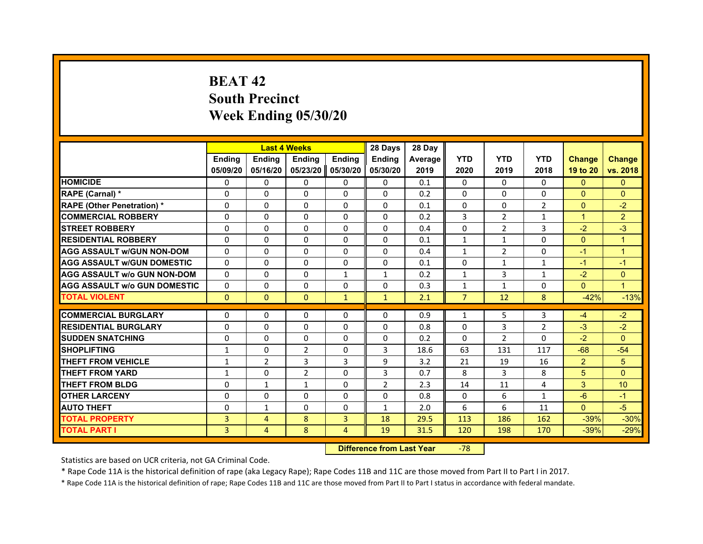# **BEAT 42South Precinct Week Ending 05/30/20**

|                                     |               | <b>Last 4 Weeks</b> |                |                     | 28 Days        | 28 Day         |                |                |                |                |                |
|-------------------------------------|---------------|---------------------|----------------|---------------------|----------------|----------------|----------------|----------------|----------------|----------------|----------------|
|                                     | <b>Endina</b> | <b>Ending</b>       | <b>Endina</b>  | <b>Endina</b>       | <b>Endina</b>  | <b>Average</b> | <b>YTD</b>     | <b>YTD</b>     | <b>YTD</b>     | <b>Change</b>  | <b>Change</b>  |
|                                     | 05/09/20      | 05/16/20            |                | 05/23/20   05/30/20 | 05/30/20       | 2019           | 2020           | 2019           | 2018           | 19 to 20       | vs. 2018       |
| <b>HOMICIDE</b>                     | $\Omega$      | $\Omega$            | $\Omega$       | 0                   | 0              | 0.1            | $\Omega$       | $\Omega$       | $\Omega$       | $\mathbf{0}$   | $\Omega$       |
| RAPE (Carnal) *                     | $\Omega$      | $\Omega$            | $\Omega$       | $\Omega$            | $\Omega$       | 0.2            | $\Omega$       | $\Omega$       | $\Omega$       | $\Omega$       | $\Omega$       |
| <b>RAPE (Other Penetration)*</b>    | $\Omega$      | $\Omega$            | $\Omega$       | $\Omega$            | $\Omega$       | 0.1            | $\Omega$       | $\Omega$       | $\overline{2}$ | $\Omega$       | $-2$           |
| <b>COMMERCIAL ROBBERY</b>           | 0             | 0                   | $\Omega$       | 0                   | $\Omega$       | 0.2            | 3              | 2              | $\mathbf{1}$   | $\mathbf{1}$   | $\overline{2}$ |
| <b>STREET ROBBERY</b>               | $\Omega$      | 0                   | 0              | 0                   | 0              | 0.4            | $\Omega$       | $\overline{2}$ | 3              | $-2$           | $-3$           |
| <b>RESIDENTIAL ROBBERY</b>          | $\Omega$      | $\Omega$            | $\Omega$       | $\Omega$            | $\Omega$       | 0.1            | $\mathbf{1}$   | $\mathbf{1}$   | $\Omega$       | $\Omega$       | $\mathbf{1}$   |
| <b>AGG ASSAULT w/GUN NON-DOM</b>    | $\Omega$      | $\Omega$            | $\Omega$       | $\Omega$            | $\Omega$       | 0.4            | $\mathbf{1}$   | $\overline{2}$ | $\Omega$       | $-1$           | $\mathbf{1}$   |
| <b>AGG ASSAULT W/GUN DOMESTIC</b>   | $\Omega$      | $\Omega$            | $\Omega$       | $\Omega$            | $\Omega$       | 0.1            | $\Omega$       | $\mathbf{1}$   | $\mathbf{1}$   | $-1$           | $-1$           |
| <b>AGG ASSAULT W/o GUN NON-DOM</b>  | $\Omega$      | $\Omega$            | $\Omega$       | $\mathbf{1}$        | 1              | 0.2            | $\mathbf{1}$   | 3              | $\mathbf{1}$   | $-2$           | $\Omega$       |
| <b>AGG ASSAULT W/o GUN DOMESTIC</b> | $\Omega$      | $\Omega$            | $\Omega$       | $\Omega$            | $\Omega$       | 0.3            | $\mathbf{1}$   | $\mathbf{1}$   | 0              | $\Omega$       | $\overline{1}$ |
| <b>TOTAL VIOLENT</b>                | $\mathbf{0}$  | $\mathbf{0}$        | $\mathbf{0}$   | $\mathbf{1}$        | $\mathbf{1}$   | 2.1            | $\overline{7}$ | 12             | 8              | $-42%$         | $-13%$         |
|                                     |               |                     |                |                     |                |                |                |                |                |                |                |
| <b>COMMERCIAL BURGLARY</b>          | $\Omega$      | $\Omega$            | $\Omega$       | $\Omega$            | $\Omega$       | 0.9            | $\mathbf{1}$   | 5              | 3              | $-4$           | $-2$           |
| <b>RESIDENTIAL BURGLARY</b>         | $\Omega$      | $\Omega$            | $\Omega$       | $\Omega$            | $\Omega$       | 0.8            | $\Omega$       | 3              | $\overline{2}$ | $-3$           | $-2$           |
| <b>SUDDEN SNATCHING</b>             | 0             | 0                   | $\Omega$       | 0                   | 0              | 0.2            | $\Omega$       | $\overline{2}$ | $\Omega$       | $-2$           | $\Omega$       |
| <b>SHOPLIFTING</b>                  | $\mathbf{1}$  | $\Omega$            | $\overline{2}$ | $\Omega$            | 3              | 18.6           | 63             | 131            | 117            | $-68$          | $-54$          |
| <b>THEFT FROM VEHICLE</b>           | $\mathbf{1}$  | 2                   | 3              | 3                   | 9              | 3.2            | 21             | 19             | 16             | $\overline{2}$ | 5              |
| <b>THEFT FROM YARD</b>              | $\mathbf{1}$  | $\Omega$            | $\overline{2}$ | 0                   | 3              | 0.7            | 8              | 3              | 8              | 5              | $\Omega$       |
| <b>THEFT FROM BLDG</b>              | $\Omega$      | $\mathbf{1}$        | $\mathbf{1}$   | 0                   | $\overline{2}$ | 2.3            | 14             | 11             | 4              | 3              | 10             |
| <b>OTHER LARCENY</b>                | $\Omega$      | 0                   | $\Omega$       | 0                   | $\Omega$       | 0.8            | $\Omega$       | 6              | $\mathbf{1}$   | $-6$           | $-1$           |
| <b>AUTO THEFT</b>                   | $\Omega$      | 1                   | $\Omega$       | 0                   | $\mathbf{1}$   | 2.0            | 6              | 6              | 11             | $\Omega$       | $-5$           |
| <b>TOTAL PROPERTY</b>               | 3             | 4                   | 8              | $\overline{3}$      | 18             | 29.5           | 113            | 186            | 162            | $-39%$         | $-30%$         |
| <b>TOTAL PART I</b>                 | 3             | $\overline{4}$      | 8              | $\overline{4}$      | 19             | 31.5           | 120            | 198            | 170            | $-39%$         | $-29%$         |

 **Difference from Last Year**r -78

Statistics are based on UCR criteria, not GA Criminal Code.

\* Rape Code 11A is the historical definition of rape (aka Legacy Rape); Rape Codes 11B and 11C are those moved from Part II to Part I in 2017.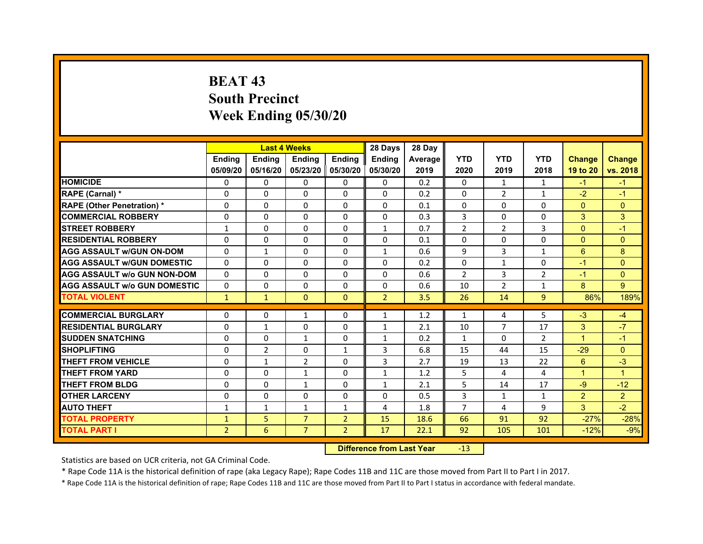# **BEAT 43South PrecinctWeek Ending 05/30/20**

|                                     |                | <b>Last 4 Weeks</b> |                     |                | 28 Days        | 28 Day  |                |                |                |                      |                      |
|-------------------------------------|----------------|---------------------|---------------------|----------------|----------------|---------|----------------|----------------|----------------|----------------------|----------------------|
|                                     | <b>Endina</b>  | <b>Endina</b>       | <b>Endina</b>       | <b>Ending</b>  | <b>Endina</b>  | Average | <b>YTD</b>     | <b>YTD</b>     | <b>YTD</b>     | <b>Change</b>        | <b>Change</b>        |
|                                     | 05/09/20       | 05/16/20            | 05/23/20   05/30/20 |                | 05/30/20       | 2019    | 2020           | 2019           | 2018           | 19 to 20             | vs. 2018             |
| <b>HOMICIDE</b>                     | 0              | 0                   | $\mathbf{0}$        | 0              | 0              | 0.2     | $\mathbf{0}$   | 1              | 1              | $-1$                 | $-1$                 |
| RAPE (Carnal) *                     | $\Omega$       | $\Omega$            | $\Omega$            | $\Omega$       | $\Omega$       | 0.2     | $\Omega$       | 2              | $\mathbf{1}$   | $-2$                 | $-1$                 |
| <b>RAPE (Other Penetration) *</b>   | 0              | $\Omega$            | $\Omega$            | $\Omega$       | $\Omega$       | 0.1     | $\Omega$       | $\Omega$       | $\Omega$       | $\Omega$             | $\Omega$             |
| <b>COMMERCIAL ROBBERY</b>           | 0              | 0                   | $\Omega$            | 0              | $\Omega$       | 0.3     | 3              | 0              | $\Omega$       | 3                    | 3                    |
| <b>STREET ROBBERY</b>               | $\mathbf{1}$   | 0                   | 0                   | 0              | $\mathbf{1}$   | 0.7     | $\overline{2}$ | $\overline{2}$ | 3              | $\Omega$             | $-1$                 |
| <b>RESIDENTIAL ROBBERY</b>          | 0              | 0                   | $\Omega$            | $\Omega$       | $\Omega$       | 0.1     | $\Omega$       | $\Omega$       | $\Omega$       | $\Omega$             | $\Omega$             |
| <b>AGG ASSAULT w/GUN ON-DOM</b>     | $\Omega$       | $\mathbf{1}$        | $\Omega$            | $\Omega$       | $\mathbf{1}$   | 0.6     | 9              | 3              | $\mathbf{1}$   | 6                    | 8                    |
| <b>AGG ASSAULT W/GUN DOMESTIC</b>   | $\Omega$       | 0                   | $\Omega$            | 0              | $\Omega$       | 0.2     | $\Omega$       | $\mathbf{1}$   | $\Omega$       | $-1$                 | $\Omega$             |
| <b>AGG ASSAULT W/o GUN NON-DOM</b>  | 0              | 0                   | $\Omega$            | $\Omega$       | $\Omega$       | 0.6     | $\overline{2}$ | 3              | $\overline{2}$ | $-1$                 | $\Omega$             |
| <b>AGG ASSAULT w/o GUN DOMESTIC</b> | $\Omega$       | $\Omega$            | 0                   | $\Omega$       | 0              | 0.6     | 10             | $\overline{2}$ | $\mathbf{1}$   | 8                    | 9                    |
| <b>TOTAL VIOLENT</b>                | $\mathbf{1}$   | $\mathbf{1}$        | $\mathbf{0}$        | $\Omega$       | $\overline{2}$ | 3.5     | 26             | 14             | 9              | 86%                  | 189%                 |
|                                     |                |                     |                     |                |                |         |                |                |                |                      |                      |
| <b>COMMERCIAL BURGLARY</b>          | 0              | 0                   | $\mathbf{1}$        | 0              | $\mathbf{1}$   | 1.2     | $\mathbf{1}$   | 4              | 5              | $-3$                 | $-4$                 |
| <b>RESIDENTIAL BURGLARY</b>         | 0              | $\mathbf{1}$        | $\Omega$            | $\Omega$       | 1              | 2.1     | 10             | 7              | 17             | 3                    | $-7$                 |
| <b>SUDDEN SNATCHING</b>             | 0              | 0                   | $\mathbf{1}$        | 0              | $\mathbf{1}$   | 0.2     | $\mathbf{1}$   | $\Omega$       | $\overline{2}$ | 1                    | $-1$                 |
| <b>SHOPLIFTING</b>                  | $\Omega$       | $\overline{2}$      | 0                   | $\mathbf{1}$   | 3              | 6.8     | 15             | 44             | 15             | $-29$                | $\Omega$             |
| <b>THEFT FROM VEHICLE</b>           | 0              | $\mathbf{1}$        | $\overline{2}$      | $\Omega$       | 3              | 2.7     | 19             | 13             | 22             | 6                    | $-3$                 |
| <b>THEFT FROM YARD</b>              | $\Omega$       | $\Omega$            | $\mathbf{1}$        | $\Omega$       | $\mathbf{1}$   | 1.2     | 5              | 4              | 4              | $\blacktriangleleft$ | $\blacktriangleleft$ |
| <b>THEFT FROM BLDG</b>              | 0              | 0                   | $\mathbf{1}$        | 0              | 1              | 2.1     | 5              | 14             | 17             | -9                   | $-12$                |
| <b>OTHER LARCENY</b>                | 0              | 0                   | $\Omega$            | $\Omega$       | $\Omega$       | 0.5     | 3              | $\mathbf{1}$   | 1              | $\overline{2}$       | $\overline{2}$       |
| <b>AUTO THEFT</b>                   | 1              | 1                   | $\mathbf{1}$        | $\mathbf{1}$   | 4              | 1.8     | $\overline{7}$ | 4              | 9              | 3                    | $-2$                 |
| <b>TOTAL PROPERTY</b>               | $\mathbf{1}$   | 5                   | $\overline{7}$      | $\overline{2}$ | 15             | 18.6    | 66             | 91             | 92             | $-27%$               | $-28%$               |
| <b>TOTAL PART I</b>                 | $\overline{2}$ | 6                   | $\overline{7}$      | $\overline{2}$ | 17             | 22.1    | 92             | 105            | 101            | $-12%$               | $-9%$                |

 **Difference from Last Year**r -13

Statistics are based on UCR criteria, not GA Criminal Code.

\* Rape Code 11A is the historical definition of rape (aka Legacy Rape); Rape Codes 11B and 11C are those moved from Part II to Part I in 2017.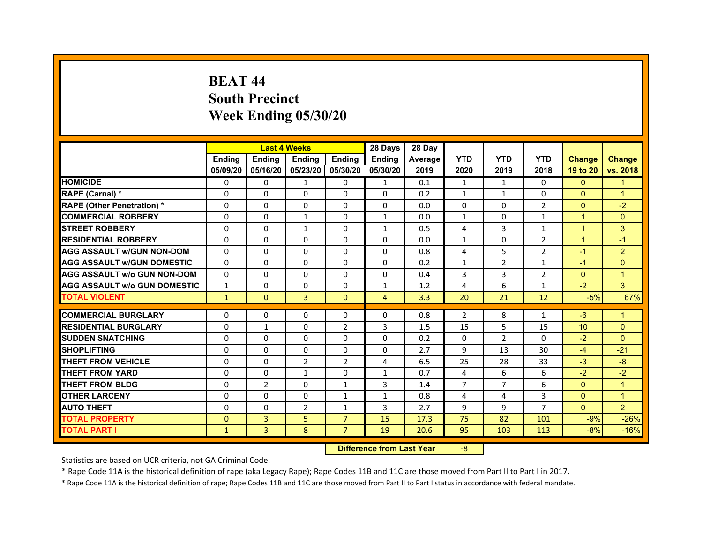# **BEAT 44South Precinct Week Ending 05/30/20**

|                                     |               | <b>Last 4 Weeks</b> |                     |                | 28 Days       | 28 Day  |              |                |                |                 |                |
|-------------------------------------|---------------|---------------------|---------------------|----------------|---------------|---------|--------------|----------------|----------------|-----------------|----------------|
|                                     | <b>Endina</b> | <b>Ending</b>       | <b>Endina</b>       | <b>Ending</b>  | <b>Endina</b> | Average | <b>YTD</b>   | <b>YTD</b>     | <b>YTD</b>     | <b>Change</b>   | <b>Change</b>  |
|                                     | 05/09/20      | 05/16/20            | 05/23/20   05/30/20 |                | 05/30/20      | 2019    | 2020         | 2019           | 2018           | 19 to 20        | vs. 2018       |
| <b>HOMICIDE</b>                     | $\mathbf{0}$  | 0                   | $\mathbf{1}$        | 0              | $\mathbf{1}$  | 0.1     | $\mathbf{1}$ | $\mathbf{1}$   | $\Omega$       | $\Omega$        | 1              |
| RAPE (Carnal) *                     | $\Omega$      | $\Omega$            | $\Omega$            | $\mathbf{0}$   | $\Omega$      | 0.2     | $\mathbf{1}$ | $\mathbf{1}$   | $\Omega$       | $\Omega$        | $\overline{1}$ |
| <b>RAPE (Other Penetration)*</b>    | 0             | $\mathbf{0}$        | $\Omega$            | 0              | $\Omega$      | 0.0     | $\Omega$     | $\Omega$       | 2              | $\Omega$        | $-2$           |
| <b>COMMERCIAL ROBBERY</b>           | 0             | 0                   | $\mathbf{1}$        | 0              | $\mathbf{1}$  | 0.0     | 1            | 0              | $\mathbf{1}$   | 1               | $\Omega$       |
| <b>STREET ROBBERY</b>               | 0             | 0                   | $\mathbf{1}$        | 0              | $\mathbf{1}$  | 0.5     | 4            | 3              | $\mathbf{1}$   | 1               | 3              |
| <b>RESIDENTIAL ROBBERY</b>          | 0             | $\Omega$            | 0                   | $\Omega$       | 0             | 0.0     | $\mathbf{1}$ | 0              | $\overline{2}$ | $\mathbf 1$     | $-1$           |
| <b>AGG ASSAULT w/GUN NON-DOM</b>    | $\Omega$      | $\Omega$            | $\Omega$            | $\Omega$       | $\Omega$      | 0.8     | 4            | 5              | $\overline{2}$ | $-1$            | $\overline{2}$ |
| <b>AGG ASSAULT W/GUN DOMESTIC</b>   | 0             | 0                   | $\Omega$            | 0              | $\Omega$      | 0.2     | $\mathbf{1}$ | 2              | $\mathbf{1}$   | $-1$            | $\Omega$       |
| AGG ASSAULT w/o GUN NON-DOM         | $\Omega$      | 0                   | $\Omega$            | $\Omega$       | $\Omega$      | 0.4     | 3            | 3              | $\overline{2}$ | $\Omega$        | 1              |
| <b>AGG ASSAULT W/o GUN DOMESTIC</b> | $\mathbf{1}$  | 0                   | 0                   | 0              | $\mathbf{1}$  | 1.2     | 4            | 6              | 1              | $-2$            | 3              |
| <b>TOTAL VIOLENT</b>                | $\mathbf{1}$  | $\mathbf{0}$        | 3                   | $\mathbf{0}$   | 4             | 3.3     | 20           | 21             | 12             | $-5%$           | 67%            |
|                                     |               |                     |                     |                |               |         |              |                |                |                 |                |
| <b>COMMERCIAL BURGLARY</b>          | 0             | 0                   | 0                   | 0              | 0             | 0.8     | 2            | 8              | $\mathbf{1}$   | -6              | 1              |
| <b>RESIDENTIAL BURGLARY</b>         | 0             | $\mathbf{1}$        | 0                   | 2              | 3             | 1.5     | 15           | 5              | 15             | 10 <sup>°</sup> | $\Omega$       |
| <b>SUDDEN SNATCHING</b>             | 0             | $\Omega$            | $\Omega$            | 0              | $\Omega$      | 0.2     | $\Omega$     | 2              | $\Omega$       | $-2$            | $\Omega$       |
| <b>SHOPLIFTING</b>                  | $\Omega$      | $\Omega$            | $\Omega$            | $\Omega$       | $\Omega$      | 2.7     | 9            | 13             | 30             | $-4$            | $-21$          |
| <b>THEFT FROM VEHICLE</b>           | $\Omega$      | $\Omega$            | $\overline{2}$      | $\overline{2}$ | 4             | 6.5     | 25           | 28             | 33             | $-3$            | $-8$           |
| <b>THEFT FROM YARD</b>              | 0             | 0                   | $\mathbf{1}$        | $\Omega$       | $\mathbf{1}$  | 0.7     | 4            | 6              | 6              | $-2$            | $-2$           |
| <b>THEFT FROM BLDG</b>              | 0             | $\overline{2}$      | 0                   | $\mathbf{1}$   | 3             | 1.4     | 7            | 7              | 6              | $\mathbf{0}$    | 1              |
| <b>OTHER LARCENY</b>                | 0             | $\Omega$            | $\Omega$            | $\mathbf{1}$   | $\mathbf{1}$  | 0.8     | 4            | $\overline{a}$ | 3              | $\Omega$        | 1              |
| <b>AUTO THEFT</b>                   | $\Omega$      | $\Omega$            | $\overline{2}$      | $\mathbf{1}$   | 3             | 2.7     | 9            | 9              | $\overline{7}$ | $\Omega$        | $\overline{2}$ |
| <b>TOTAL PROPERTY</b>               | $\Omega$      | 3                   | 5                   | $\overline{7}$ | 15            | 17.3    | 75           | 82             | 101            | $-9%$           | $-26%$         |
| <b>TOTAL PART I</b>                 | $\mathbf{1}$  | 3                   | 8                   | $\overline{7}$ | 19            | 20.6    | 95           | 103            | 113            | $-8%$           | $-16%$         |

 **Difference from Last Year**‐8

Statistics are based on UCR criteria, not GA Criminal Code.

\* Rape Code 11A is the historical definition of rape (aka Legacy Rape); Rape Codes 11B and 11C are those moved from Part II to Part I in 2017.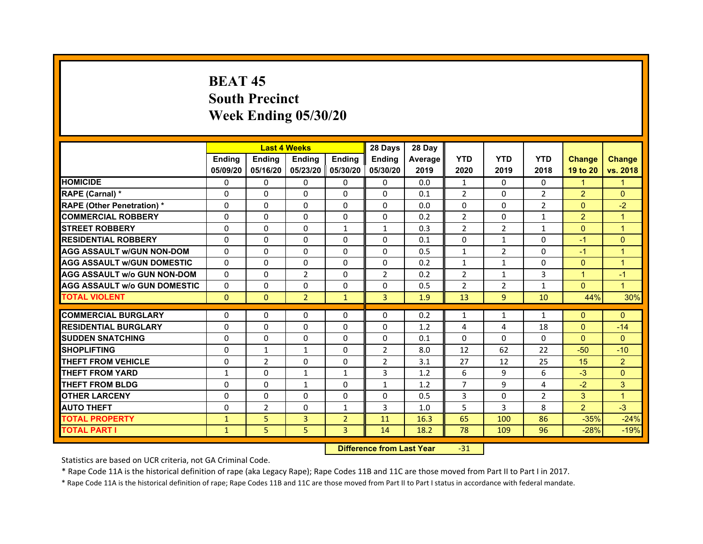# **BEAT 45South PrecinctWeek Ending 05/30/20**

|                                     |               | <b>Last 4 Weeks</b> |                     |                | 28 Days        | 28 Day  |                |                |                |                |                |
|-------------------------------------|---------------|---------------------|---------------------|----------------|----------------|---------|----------------|----------------|----------------|----------------|----------------|
|                                     | <b>Endina</b> | <b>Endina</b>       | <b>Endina</b>       | <b>Ending</b>  | <b>Endina</b>  | Average | <b>YTD</b>     | <b>YTD</b>     | <b>YTD</b>     | <b>Change</b>  | <b>Change</b>  |
|                                     | 05/09/20      | 05/16/20            | 05/23/20   05/30/20 |                | 05/30/20       | 2019    | 2020           | 2019           | 2018           | 19 to 20       | vs. 2018       |
| <b>HOMICIDE</b>                     | 0             | 0                   | $\mathbf{0}$        | 0              | 0              | 0.0     | 1              | 0              | $\Omega$       | 1              |                |
| RAPE (Carnal) *                     | $\Omega$      | $\Omega$            | $\Omega$            | $\Omega$       | $\Omega$       | 0.1     | $\overline{2}$ | $\Omega$       | $\overline{2}$ | $\overline{2}$ | $\Omega$       |
| <b>RAPE (Other Penetration) *</b>   | 0             | $\Omega$            | $\Omega$            | $\Omega$       | $\Omega$       | 0.0     | $\Omega$       | $\Omega$       | $\overline{2}$ | $\Omega$       | $-2$           |
| <b>COMMERCIAL ROBBERY</b>           | 0             | 0                   | $\Omega$            | 0              | 0              | 0.2     | 2              | 0              | 1              | $\overline{2}$ | 1              |
| <b>STREET ROBBERY</b>               | 0             | 0                   | 0                   | 1              | $\mathbf{1}$   | 0.3     | $\overline{2}$ | $\overline{2}$ | 1              | $\Omega$       | $\mathbf 1$    |
| <b>RESIDENTIAL ROBBERY</b>          | 0             | $\Omega$            | $\Omega$            | $\Omega$       | $\Omega$       | 0.1     | $\Omega$       | $\mathbf{1}$   | $\Omega$       | $-1$           | $\Omega$       |
| <b>AGG ASSAULT w/GUN NON-DOM</b>    | $\Omega$      | $\mathbf 0$         | $\Omega$            | $\Omega$       | $\Omega$       | 0.5     | $\mathbf{1}$   | $\overline{2}$ | $\Omega$       | $-1$           | $\overline{1}$ |
| <b>AGG ASSAULT W/GUN DOMESTIC</b>   | $\Omega$      | 0                   | $\Omega$            | 0              | 0              | 0.2     | $\mathbf{1}$   | $\mathbf{1}$   | $\Omega$       | $\mathbf{0}$   | $\mathbf 1$    |
| <b>AGG ASSAULT w/o GUN NON-DOM</b>  | 0             | 0                   | $\overline{2}$      | $\Omega$       | $\overline{2}$ | 0.2     | $\overline{2}$ | $\mathbf{1}$   | 3              | $\mathbf 1$    | $-1$           |
| <b>AGG ASSAULT W/o GUN DOMESTIC</b> | $\Omega$      | $\Omega$            | 0                   | $\Omega$       | 0              | 0.5     | $\overline{2}$ | 2              | $\mathbf{1}$   | $\Omega$       | 1              |
| <b>TOTAL VIOLENT</b>                | $\Omega$      | $\Omega$            | $\overline{2}$      | $\mathbf{1}$   | 3              | 1.9     | 13             | $\overline{9}$ | 10             | 44%            | 30%            |
|                                     |               |                     |                     |                |                |         |                |                |                |                |                |
| <b>COMMERCIAL BURGLARY</b>          | 0             | 0                   | $\Omega$            | 0              | $\Omega$       | 0.2     | $\mathbf{1}$   | $\mathbf{1}$   | $\mathbf{1}$   | $\Omega$       | $\Omega$       |
| <b>RESIDENTIAL BURGLARY</b>         | 0             | $\Omega$            | 0                   | $\Omega$       | $\Omega$       | 1.2     | 4              | 4              | 18             | $\Omega$       | $-14$          |
| <b>SUDDEN SNATCHING</b>             | 0             | 0                   | $\Omega$            | 0              | 0              | 0.1     | $\Omega$       | $\Omega$       | $\Omega$       | $\Omega$       | $\Omega$       |
| <b>SHOPLIFTING</b>                  | $\Omega$      | $\mathbf{1}$        | $\mathbf{1}$        | $\Omega$       | $\overline{2}$ | 8.0     | 12             | 62             | 22             | $-50$          | $-10$          |
| <b>THEFT FROM VEHICLE</b>           | 0             | $\overline{2}$      | $\Omega$            | $\mathbf{0}$   | $\overline{2}$ | 3.1     | 27             | 12             | 25             | 15             | $\overline{2}$ |
| <b>THEFT FROM YARD</b>              | $\mathbf{1}$  | 0                   | $\mathbf{1}$        | $\mathbf{1}$   | 3              | 1.2     | 6              | 9              | 6              | $-3$           | $\Omega$       |
| <b>THEFT FROM BLDG</b>              | 0             | 0                   | $\mathbf{1}$        | 0              | 1              | 1.2     | $\overline{7}$ | 9              | 4              | $-2$           | 3              |
| <b>OTHER LARCENY</b>                | 0             | 0                   | $\Omega$            | $\Omega$       | $\Omega$       | 0.5     | 3              | $\Omega$       | $\overline{2}$ | 3              | 1              |
| <b>AUTO THEFT</b>                   | $\mathbf 0$   | $\overline{2}$      | $\Omega$            | $\mathbf{1}$   | 3              | 1.0     | 5              | 3              | 8              | 2              | $-3$           |
| <b>TOTAL PROPERTY</b>               | $\mathbf{1}$  | 5                   | 3                   | $\overline{2}$ | 11             | 16.3    | 65             | 100            | 86             | $-35%$         | $-24%$         |
| <b>TOTAL PART I</b>                 | $\mathbf{1}$  | 5                   | 5                   | 3              | 14             | 18.2    | 78             | 109            | 96             | $-28%$         | $-19%$         |

 **Difference from Last Year**r -31

Statistics are based on UCR criteria, not GA Criminal Code.

\* Rape Code 11A is the historical definition of rape (aka Legacy Rape); Rape Codes 11B and 11C are those moved from Part II to Part I in 2017.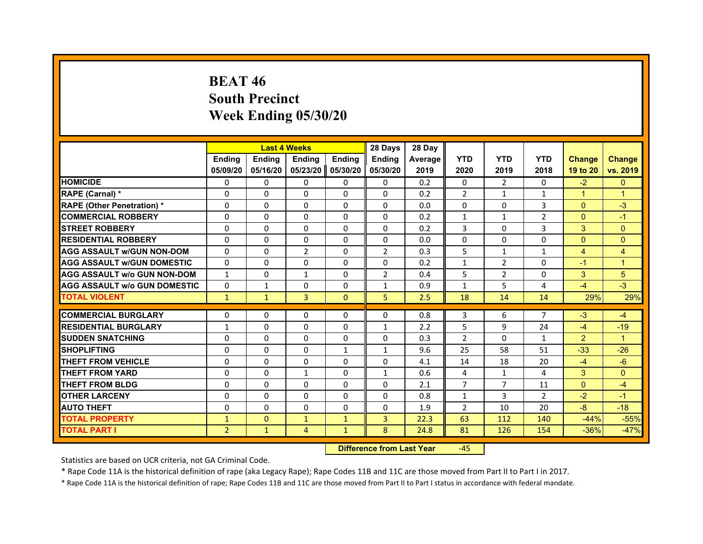# **BEAT 46South Precinct Week Ending 05/30/20**

|                                     |                | <b>Last 4 Weeks</b> |                |               | 28 Days        | 28 Day  |                |                |                |                |                |
|-------------------------------------|----------------|---------------------|----------------|---------------|----------------|---------|----------------|----------------|----------------|----------------|----------------|
|                                     | <b>Endina</b>  | <b>Endina</b>       | <b>Endina</b>  | <b>Ending</b> | <b>Endina</b>  | Average | <b>YTD</b>     | <b>YTD</b>     | <b>YTD</b>     | <b>Change</b>  | <b>Change</b>  |
|                                     | 05/09/20       | 05/16/20            | 05/23/20       | 05/30/20      | 05/30/20       | 2019    | 2020           | 2019           | 2018           | 19 to 20       | vs. 2019       |
| <b>HOMICIDE</b>                     | 0              | 0                   | 0              | 0             | $\mathbf{0}$   | 0.2     | $\mathbf{0}$   | 2              | $\mathbf{0}$   | $-2$           | $\mathbf{0}$   |
| RAPE (Carnal) *                     | $\Omega$       | $\Omega$            | $\Omega$       | $\mathbf{0}$  | $\mathbf{0}$   | 0.2     | $\overline{2}$ | $\mathbf{1}$   | $\mathbf{1}$   | $\mathbf{1}$   | $\overline{1}$ |
| <b>RAPE (Other Penetration) *</b>   | $\Omega$       | $\Omega$            | $\Omega$       | $\mathbf{0}$  | $\Omega$       | 0.0     | $\Omega$       | $\mathbf{0}$   | 3              | $\Omega$       | $-3$           |
| <b>COMMERCIAL ROBBERY</b>           | 0              | 0                   | $\Omega$       | 0             | 0              | 0.2     | $\mathbf{1}$   | $\mathbf{1}$   | $\overline{2}$ | $\Omega$       | $-1$           |
| <b>STREET ROBBERY</b>               | $\Omega$       | $\Omega$            | 0              | $\mathbf{0}$  | 0              | 0.2     | 3              | $\Omega$       | 3              | 3              | $\mathbf{0}$   |
| <b>RESIDENTIAL ROBBERY</b>          | 0              | $\Omega$            | 0              | $\mathbf{0}$  | $\Omega$       | 0.0     | $\Omega$       | $\mathbf{0}$   | 0              | $\mathbf{0}$   | $\Omega$       |
| <b>AGG ASSAULT w/GUN NON-DOM</b>    | $\Omega$       | $\Omega$            | $\overline{2}$ | $\Omega$      | $\overline{2}$ | 0.3     | 5              | $\mathbf{1}$   | $\mathbf{1}$   | $\overline{4}$ | $\overline{4}$ |
| <b>AGG ASSAULT W/GUN DOMESTIC</b>   | $\Omega$       | $\Omega$            | $\Omega$       | $\mathbf{0}$  | $\Omega$       | 0.2     | $\mathbf{1}$   | $\overline{2}$ | 0              | $-1$           | $\overline{1}$ |
| <b>AGG ASSAULT w/o GUN NON-DOM</b>  | $\mathbf{1}$   | $\Omega$            | $\mathbf{1}$   | $\Omega$      | $\overline{2}$ | 0.4     | 5              | $\overline{2}$ | $\Omega$       | 3              | 5              |
| <b>AGG ASSAULT W/o GUN DOMESTIC</b> | $\Omega$       | 1                   | 0              | $\mathbf{0}$  | $\mathbf{1}$   | 0.9     | $\mathbf{1}$   | 5              | 4              | $-4$           | $-3$           |
| <b>TOTAL VIOLENT</b>                | $\mathbf{1}$   | $\mathbf{1}$        | 3              | $\mathbf{0}$  | 5              | 2.5     | 18             | 14             | 14             | 29%            | 29%            |
|                                     |                |                     |                |               |                |         |                |                |                |                |                |
| <b>COMMERCIAL BURGLARY</b>          | $\Omega$       | $\Omega$            | $\Omega$       | 0             | $\Omega$       | 0.8     | 3              | 6              | $\overline{7}$ | $-3$           | $-4$           |
| <b>RESIDENTIAL BURGLARY</b>         | 1              | $\Omega$            | $\Omega$       | $\mathbf{0}$  | $\mathbf{1}$   | 2.2     | 5              | 9              | 24             | $-4$           | $-19$          |
| <b>SUDDEN SNATCHING</b>             | 0              | $\Omega$            | $\Omega$       | 0             | 0              | 0.3     | $\overline{2}$ | $\Omega$       | $\mathbf{1}$   | $\overline{2}$ | 1              |
| <b>SHOPLIFTING</b>                  | $\Omega$       | $\Omega$            | 0              | $\mathbf{1}$  | $\mathbf{1}$   | 9.6     | 25             | 58             | 51             | $-33$          | $-26$          |
| <b>THEFT FROM VEHICLE</b>           | $\Omega$       | $\Omega$            | $\Omega$       | $\mathbf{0}$  | $\Omega$       | 4.1     | 14             | 18             | 20             | $-4$           | $-6$           |
| <b>THEFT FROM YARD</b>              | $\Omega$       | $\Omega$            | $\mathbf{1}$   | $\Omega$      | $\mathbf{1}$   | 0.6     | 4              | $\mathbf{1}$   | 4              | 3              | $\Omega$       |
| <b>THEFT FROM BLDG</b>              | 0              | $\Omega$            | 0              | 0             | 0              | 2.1     | $\overline{7}$ | $\overline{7}$ | 11             | $\mathbf{0}$   | $-4$           |
| <b>OTHER LARCENY</b>                | 0              | $\Omega$            | 0              | $\Omega$      | 0              | 0.8     | $\mathbf{1}$   | 3              | $\overline{2}$ | $-2$           | $-1$           |
| <b>AUTO THEFT</b>                   | $\Omega$       | $\Omega$            | $\Omega$       | $\Omega$      | 0              | 1.9     | $\overline{2}$ | 10             | 20             | $-8$           | $-18$          |
| <b>TOTAL PROPERTY</b>               | $\mathbf{1}$   | $\mathbf{0}$        | $\mathbf{1}$   | $\mathbf{1}$  | 3              | 22.3    | 63             | 112            | 140            | $-44%$         | $-55%$         |
| <b>TOTAL PART I</b>                 | $\overline{2}$ | $\mathbf{1}$        | 4              | $\mathbf{1}$  | 8              | 24.8    | 81             | 126            | 154            | $-36%$         | $-47%$         |

 **Difference from Last Year**‐45

Statistics are based on UCR criteria, not GA Criminal Code.

\* Rape Code 11A is the historical definition of rape (aka Legacy Rape); Rape Codes 11B and 11C are those moved from Part II to Part I in 2017.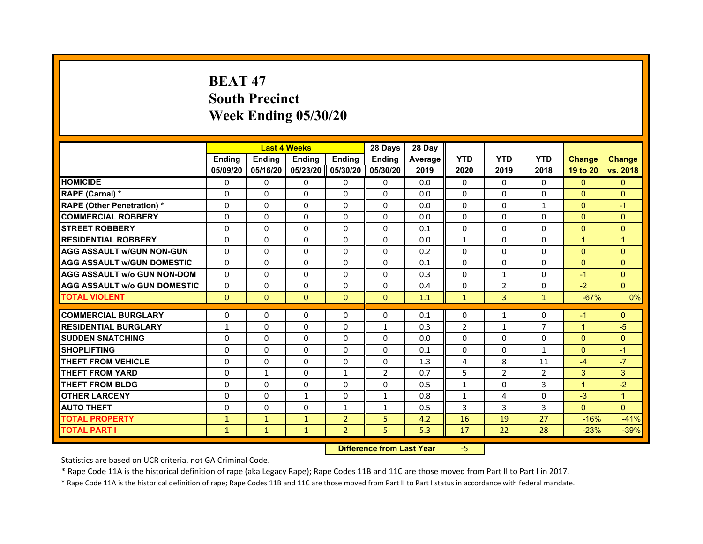# **BEAT 47South Precinct Week Ending 05/30/20**

|                                     |               | <b>Last 4 Weeks</b> |               |                | 28 Days        | 28 Day  |                |                |                |                |                |
|-------------------------------------|---------------|---------------------|---------------|----------------|----------------|---------|----------------|----------------|----------------|----------------|----------------|
|                                     | <b>Endina</b> | <b>Ending</b>       | <b>Endina</b> | <b>Endina</b>  | <b>Endina</b>  | Average | <b>YTD</b>     | <b>YTD</b>     | <b>YTD</b>     | <b>Change</b>  | <b>Change</b>  |
|                                     | 05/09/20      | 05/16/20            | 05/23/20      | 05/30/20       | 05/30/20       | 2019    | 2020           | 2019           | 2018           | 19 to 20       | vs. 2018       |
| <b>HOMICIDE</b>                     | 0             | 0                   | 0             | 0              | 0              | 0.0     | 0              | 0              | 0              | $\mathbf{0}$   | $\mathbf{0}$   |
| RAPE (Carnal) *                     | $\Omega$      | $\Omega$            | $\Omega$      | $\Omega$       | $\Omega$       | 0.0     | $\Omega$       | $\Omega$       | $\Omega$       | $\Omega$       | $\Omega$       |
| <b>RAPE (Other Penetration) *</b>   | $\Omega$      | $\Omega$            | $\Omega$      | $\Omega$       | $\Omega$       | 0.0     | $\Omega$       | $\Omega$       | $\mathbf{1}$   | $\Omega$       | $-1$           |
| <b>COMMERCIAL ROBBERY</b>           | $\Omega$      | $\Omega$            | $\Omega$      | $\Omega$       | $\Omega$       | 0.0     | $\Omega$       | $\Omega$       | $\Omega$       | $\Omega$       | $\Omega$       |
| <b>STREET ROBBERY</b>               | $\Omega$      | $\Omega$            | $\Omega$      | $\Omega$       | $\Omega$       | 0.1     | $\Omega$       | $\Omega$       | $\Omega$       | $\Omega$       | $\Omega$       |
| <b>RESIDENTIAL ROBBERY</b>          | $\Omega$      | $\Omega$            | $\Omega$      | $\Omega$       | $\Omega$       | 0.0     | $\mathbf{1}$   | $\Omega$       | $\Omega$       | $\overline{1}$ | $\overline{1}$ |
| AGG ASSAULT w/GUN NON-GUN           | $\Omega$      | $\Omega$            | $\Omega$      | $\Omega$       | $\Omega$       | 0.2     | $\Omega$       | $\Omega$       | $\Omega$       | $\Omega$       | $\Omega$       |
| <b>AGG ASSAULT W/GUN DOMESTIC</b>   | $\Omega$      | $\Omega$            | $\Omega$      | $\Omega$       | $\Omega$       | 0.1     | $\Omega$       | $\Omega$       | $\Omega$       | $\Omega$       | $\Omega$       |
| <b>AGG ASSAULT W/o GUN NON-DOM</b>  | 0             | 0                   | 0             | 0              | 0              | 0.3     | 0              | $\mathbf{1}$   | 0              | $-1$           | $\Omega$       |
| <b>AGG ASSAULT W/o GUN DOMESTIC</b> | $\Omega$      | $\Omega$            | $\Omega$      | $\Omega$       | $\Omega$       | 0.4     | $\Omega$       | 2              | $\Omega$       | $-2$           | $\Omega$       |
| <b>TOTAL VIOLENT</b>                | $\mathbf{0}$  | $\mathbf{0}$        | $\mathbf{0}$  | $\mathbf{0}$   | $\mathbf{0}$   | 1.1     | $\mathbf{1}$   | 3              | $\mathbf{1}$   | $-67%$         | 0%             |
|                                     |               |                     |               |                |                |         |                |                |                |                |                |
| <b>COMMERCIAL BURGLARY</b>          | $\Omega$      | $\Omega$            | 0             | $\Omega$       | $\Omega$       | 0.1     | $\Omega$       | 1              | $\Omega$       | $-1$           | $\Omega$       |
| <b>RESIDENTIAL BURGLARY</b>         | 1             | $\Omega$            | $\Omega$      | $\Omega$       | $\mathbf{1}$   | 0.3     | $\overline{2}$ | $\mathbf{1}$   | 7              | 1              | $-5$           |
| <b>SUDDEN SNATCHING</b>             | $\Omega$      | $\Omega$            | $\Omega$      | $\Omega$       | $\Omega$       | 0.0     | $\Omega$       | $\Omega$       | $\Omega$       | $\Omega$       | $\mathbf{0}$   |
| <b>SHOPLIFTING</b>                  | $\Omega$      | $\Omega$            | $\Omega$      | $\Omega$       | $\Omega$       | 0.1     | $\Omega$       | $\Omega$       | 1              | $\Omega$       | $-1$           |
| <b>THEFT FROM VEHICLE</b>           | $\Omega$      | $\Omega$            | $\Omega$      | $\Omega$       | $\Omega$       | 1.3     | 4              | 8              | 11             | $-4$           | $-7$           |
| <b>THEFT FROM YARD</b>              | $\Omega$      | $\mathbf{1}$        | $\Omega$      | 1              | $\overline{2}$ | 0.7     | 5              | $\overline{2}$ | $\overline{2}$ | 3              | 3              |
| <b>THEFT FROM BLDG</b>              | $\Omega$      | $\Omega$            | $\Omega$      | $\Omega$       | $\Omega$       | 0.5     | $\mathbf{1}$   | $\Omega$       | $\overline{3}$ | $\mathbf 1$    | $-2$           |
| <b>OTHER LARCENY</b>                | 0             | 0                   | $\mathbf{1}$  | $\Omega$       | $\mathbf{1}$   | 0.8     | $\mathbf{1}$   | 4              | 0              | $-3$           | $\mathbf 1$    |
| <b>AUTO THEFT</b>                   | $\Omega$      | $\Omega$            | $\Omega$      | $\mathbf{1}$   | $\mathbf{1}$   | 0.5     | 3              | 3              | 3              | $\Omega$       | $\Omega$       |
| <b>TOTAL PROPERTY</b>               | $\mathbf{1}$  | $\mathbf{1}$        | $\mathbf{1}$  | $\overline{2}$ | 5              | 4.2     | 16             | 19             | 27             | $-16%$         | $-41%$         |
| <b>TOTAL PART I</b>                 | $\mathbf{1}$  | $\mathbf{1}$        | $\mathbf{1}$  | $\overline{2}$ | 5              | 5.3     | 17             | 22             | 28             | $-23%$         | $-39%$         |

 **Difference from Last Year**‐5

Statistics are based on UCR criteria, not GA Criminal Code.

\* Rape Code 11A is the historical definition of rape (aka Legacy Rape); Rape Codes 11B and 11C are those moved from Part II to Part I in 2017.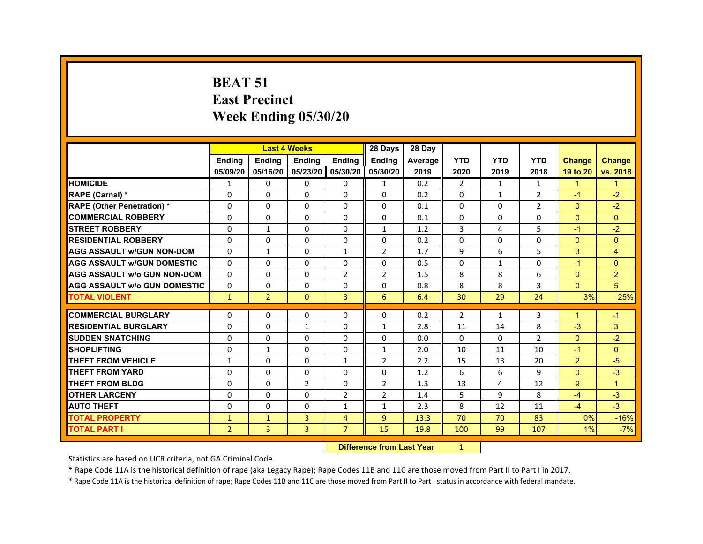#### **BEAT 51East Precinct Week Ending 05/30/20**

|                                     |                |                | <b>Last 4 Weeks</b> |                | 28 Days        | 28 Day                           |                |              |                |                      |                |
|-------------------------------------|----------------|----------------|---------------------|----------------|----------------|----------------------------------|----------------|--------------|----------------|----------------------|----------------|
|                                     | <b>Ending</b>  | Ending         | Ending              | Ending         | <b>Ending</b>  | Average                          | <b>YTD</b>     | <b>YTD</b>   | <b>YTD</b>     | <b>Change</b>        | <b>Change</b>  |
|                                     | 05/09/20       | 05/16/20       | 05/23/20            | 05/30/20       | 05/30/20       | 2019                             | 2020           | 2019         | 2018           | 19 to 20             | vs. 2018       |
| <b>HOMICIDE</b>                     | $\mathbf{1}$   | $\Omega$       | $\Omega$            | $\Omega$       | $\mathbf{1}$   | 0.2                              | $\overline{2}$ | $\mathbf{1}$ | 1              | $\blacktriangleleft$ | $\mathbf{1}$   |
| <b>RAPE (Carnal)</b> *              | 0              | 0              | 0                   | $\Omega$       | $\Omega$       | 0.2                              | 0              | $\mathbf{1}$ | $\overline{2}$ | $-1$                 | $-2$           |
| <b>RAPE (Other Penetration) *</b>   | $\Omega$       | $\Omega$       | $\Omega$            | $\Omega$       | $\Omega$       | 0.1                              | $\Omega$       | $\Omega$     | $\overline{2}$ | $\mathbf{0}$         | $-2$           |
| <b>COMMERCIAL ROBBERY</b>           | $\Omega$       | $\Omega$       | $\Omega$            | $\Omega$       | $\Omega$       | 0.1                              | $\Omega$       | $\Omega$     | $\Omega$       | $\mathbf{0}$         | $\mathbf{0}$   |
| <b>STREET ROBBERY</b>               | $\Omega$       | $\mathbf{1}$   | $\Omega$            | $\Omega$       | $\mathbf{1}$   | 1.2                              | 3              | 4            | 5              | $-1$                 | $-2$           |
| <b>RESIDENTIAL ROBBERY</b>          | 0              | 0              | 0                   | $\Omega$       | $\Omega$       | 0.2                              | $\Omega$       | 0            | 0              | $\mathbf{0}$         | $\mathbf{0}$   |
| <b>AGG ASSAULT W/GUN NON-DOM</b>    | $\mathbf{0}$   | $\mathbf{1}$   | $\Omega$            | $\mathbf{1}$   | 2              | 1.7                              | 9              | 6            | 5              | 3                    | $\overline{4}$ |
| <b>AGG ASSAULT W/GUN DOMESTIC</b>   | $\Omega$       | $\Omega$       | $\Omega$            | $\Omega$       | $\Omega$       | 0.5                              | $\Omega$       | $\mathbf{1}$ | $\Omega$       | $-1$                 | $\mathbf{0}$   |
| <b>AGG ASSAULT w/o GUN NON-DOM</b>  | $\Omega$       | 0              | 0                   | $\overline{2}$ | 2              | 1.5                              | 8              | 8            | 6              | $\Omega$             | $\overline{2}$ |
| <b>AGG ASSAULT W/o GUN DOMESTIC</b> | $\Omega$       | $\Omega$       | $\Omega$            | $\Omega$       | $\Omega$       | 0.8                              | 8              | 8            | 3              | $\mathbf{0}$         | 5 <sup>5</sup> |
| <b>TOTAL VIOLENT</b>                | $\mathbf{1}$   | $\overline{2}$ | $\Omega$            | $\overline{3}$ | 6              | 6.4                              | 30             | 29           | 24             | 3%                   | 25%            |
| <b>COMMERCIAL BURGLARY</b>          | 0              | 0              | 0                   | $\Omega$       | $\Omega$       | 0.2                              | $\overline{2}$ | $\mathbf{1}$ | 3              |                      | $-1$           |
| <b>RESIDENTIAL BURGLARY</b>         | $\Omega$       | $\Omega$       | $\mathbf{1}$        | $\Omega$       | $\mathbf{1}$   | 2.8                              | 11             | 14           | 8              | $-3$                 | 3              |
| <b>SUDDEN SNATCHING</b>             | $\Omega$       | $\Omega$       | $\Omega$            | $\Omega$       | $\Omega$       | 0.0                              | $\Omega$       | $\Omega$     | $\overline{2}$ | $\Omega$             | $-2$           |
| <b>SHOPLIFTING</b>                  | 0              | $\mathbf{1}$   | 0                   | $\Omega$       | 1              | 2.0                              | 10             | 11           | 10             | $-1$                 | $\Omega$       |
| <b>THEFT FROM VEHICLE</b>           | $\mathbf{1}$   | $\Omega$       | $\Omega$            | $\mathbf{1}$   | 2              | 2.2                              | 15             | 13           | 20             | $\overline{2}$       | $-5$           |
| <b>THEFT FROM YARD</b>              | $\Omega$       | $\Omega$       | $\Omega$            | $\Omega$       | $\Omega$       | 1.2                              | 6              | 6            | $\mathbf{q}$   | $\Omega$             | $-3$           |
| <b>THEFT FROM BLDG</b>              | 0              | $\Omega$       | $\overline{2}$      | $\Omega$       | $\overline{2}$ | 1.3                              | 13             | 4            | 12             | 9                    | $\mathbf{1}$   |
| <b>OTHER LARCENY</b>                | $\Omega$       | $\Omega$       | $\Omega$            | $\overline{2}$ | $\overline{2}$ | 1.4                              | 5              | 9            | 8              | $-4$                 | $-3$           |
| <b>AUTO THEFT</b>                   | 0              | 0              | $\Omega$            | $\mathbf{1}$   | $\mathbf{1}$   | 2.3                              | 8              | 12           | 11             | $-4$                 | $-3$           |
| <b>TOTAL PROPERTY</b>               | $\mathbf{1}$   | $\mathbf{1}$   | $\overline{3}$      | $\overline{4}$ | $\overline{9}$ | 13.3                             | 70             | 70           | 83             | 0%                   | $-16%$         |
| <b>TOTAL PART I</b>                 | $\overline{2}$ | 3              | 3                   | $\overline{7}$ | 15             | 19.8                             | 100            | 99           | 107            | 1%                   | $-7%$          |
|                                     |                |                |                     |                |                | <b>Difference from Last Year</b> | $\mathbf{1}$   |              |                |                      |                |

**Difference from Last Year** 1

Statistics are based on UCR criteria, not GA Criminal Code.

\* Rape Code 11A is the historical definition of rape (aka Legacy Rape); Rape Codes 11B and 11C are those moved from Part II to Part I in 2017.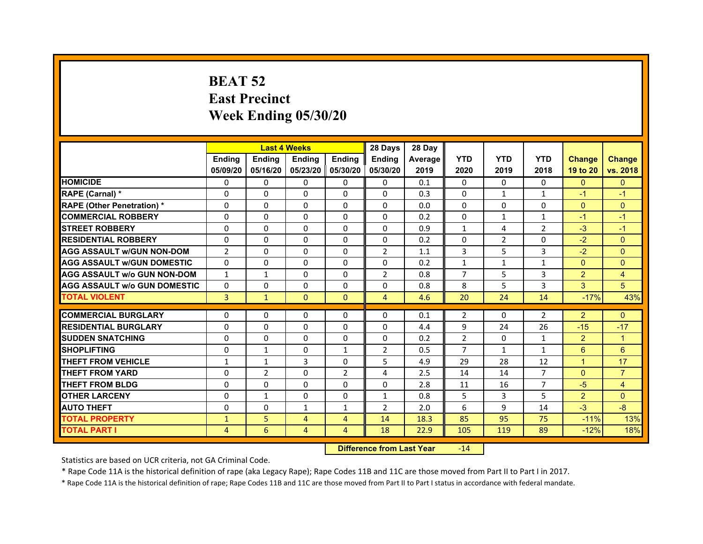# **BEAT 52East Precinct Week Ending 05/30/20**

|                                     |                | <b>Last 4 Weeks</b> |                |                     | 28 Days        | 28 Day  |                |                |                |                |                |
|-------------------------------------|----------------|---------------------|----------------|---------------------|----------------|---------|----------------|----------------|----------------|----------------|----------------|
|                                     | <b>Endina</b>  | <b>Ending</b>       | <b>Ending</b>  | <b>Endina</b>       | <b>Endina</b>  | Average | <b>YTD</b>     | <b>YTD</b>     | <b>YTD</b>     | <b>Change</b>  | <b>Change</b>  |
|                                     | 05/09/20       | 05/16/20            |                | 05/23/20   05/30/20 | 05/30/20       | 2019    | 2020           | 2019           | 2018           | 19 to 20       | vs. 2018       |
| <b>HOMICIDE</b>                     | 0              | $\Omega$            | $\Omega$       | $\Omega$            | $\Omega$       | 0.1     | $\mathbf{0}$   | $\Omega$       | $\Omega$       | $\mathbf{0}$   | $\mathbf{0}$   |
| RAPE (Carnal) *                     | $\mathbf 0$    | 0                   | $\Omega$       | $\Omega$            | $\Omega$       | 0.3     | $\Omega$       | $\mathbf{1}$   | $\mathbf{1}$   | $-1$           | $-1$           |
| <b>RAPE (Other Penetration) *</b>   | 0              | $\Omega$            | $\Omega$       | $\mathbf{0}$        | $\Omega$       | 0.0     | $\Omega$       | $\Omega$       | $\Omega$       | $\Omega$       | $\Omega$       |
| <b>COMMERCIAL ROBBERY</b>           | $\Omega$       | 0                   | $\Omega$       | $\Omega$            | $\Omega$       | 0.2     | $\Omega$       | $\mathbf{1}$   | 1              | $-1$           | $-1$           |
| <b>STREET ROBBERY</b>               | $\Omega$       | $\Omega$            | $\Omega$       | $\Omega$            | $\Omega$       | 0.9     | 1              | 4              | $\overline{2}$ | $-3$           | $-1$           |
| <b>RESIDENTIAL ROBBERY</b>          | 0              | 0                   | 0              | 0                   | 0              | 0.2     | 0              | $\overline{2}$ | $\Omega$       | $-2$           | $\Omega$       |
| <b>AGG ASSAULT W/GUN NON-DOM</b>    | $\overline{2}$ | 0                   | $\Omega$       | $\Omega$            | $\overline{2}$ | 1.1     | 3              | 5              | 3              | $-2$           | $\Omega$       |
| <b>AGG ASSAULT W/GUN DOMESTIC</b>   | $\Omega$       | $\Omega$            | $\Omega$       | $\Omega$            | $\Omega$       | 0.2     | $\mathbf{1}$   | $\mathbf{1}$   | $\mathbf{1}$   | $\Omega$       | $\Omega$       |
| <b>AGG ASSAULT W/o GUN NON-DOM</b>  | $\mathbf{1}$   | $\mathbf{1}$        | $\Omega$       | 0                   | $\overline{2}$ | 0.8     | $\overline{7}$ | 5              | 3              | $\overline{2}$ | $\overline{4}$ |
| <b>AGG ASSAULT W/o GUN DOMESTIC</b> | $\Omega$       | 0                   | 0              | 0                   | 0              | 0.8     | 8              | 5              | 3              | 3              | 5              |
| <b>TOTAL VIOLENT</b>                | 3              | $\mathbf{1}$        | $\mathbf{0}$   | $\mathbf{0}$        | 4              | 4.6     | 20             | 24             | 14             | $-17%$         | 43%            |
| <b>COMMERCIAL BURGLARY</b>          | 0              | 0                   | $\Omega$       | 0                   | $\Omega$       | 0.1     | $\overline{2}$ | 0              | $\overline{2}$ | $\overline{2}$ | $\Omega$       |
| <b>RESIDENTIAL BURGLARY</b>         | 0              | 0                   | $\Omega$       | $\Omega$            | $\Omega$       | 4.4     | 9              | 24             | 26             | $-15$          | $-17$          |
| <b>SUDDEN SNATCHING</b>             | 0              | 0                   | 0              | 0                   | 0              | 0.2     | $\overline{2}$ | 0              | $\mathbf{1}$   | $\overline{2}$ | 1              |
| <b>SHOPLIFTING</b>                  | 0              | 1                   | $\Omega$       | $\mathbf{1}$        | $\overline{2}$ | 0.5     | $\overline{7}$ | $\mathbf{1}$   | $\mathbf{1}$   | 6              | 6              |
| <b>THEFT FROM VEHICLE</b>           | 1              | $\mathbf{1}$        | 3              | $\Omega$            | 5              | 4.9     | 29             | 28             | 12             | $\overline{1}$ | 17             |
| <b>THEFT FROM YARD</b>              | 0              | $\overline{2}$      | $\Omega$       | $\overline{2}$      | $\overline{a}$ | 2.5     | 14             | 14             | $\overline{7}$ | $\mathbf{0}$   | $\overline{7}$ |
| <b>THEFT FROM BLDG</b>              | 0              | 0                   | 0              | 0                   | 0              | 2.8     | 11             | 16             | 7              | $-5$           | $\overline{4}$ |
| <b>OTHER LARCENY</b>                | 0              | $\mathbf{1}$        | 0              | 0                   | $\mathbf{1}$   | 0.8     | 5              | 3              | 5              | $\overline{2}$ | $\Omega$       |
| <b>AUTO THEFT</b>                   | $\mathbf 0$    | 0                   | $\mathbf{1}$   | $\mathbf{1}$        | $\overline{2}$ | 2.0     | 6              | 9              | 14             | $-3$           | -8             |
| <b>TOTAL PROPERTY</b>               | 1              | 5                   | $\overline{4}$ | $\overline{4}$      | 14             | 18.3    | 85             | 95             | 75             | $-11%$         | 13%            |
| <b>TOTAL PART I</b>                 | 4              | 6                   | 4              | 4                   | 18             | 22.9    | 105            | 119            | 89             | $-12%$         | 18%            |

#### **Difference from Last Year**r -14

Statistics are based on UCR criteria, not GA Criminal Code.

\* Rape Code 11A is the historical definition of rape (aka Legacy Rape); Rape Codes 11B and 11C are those moved from Part II to Part I in 2017.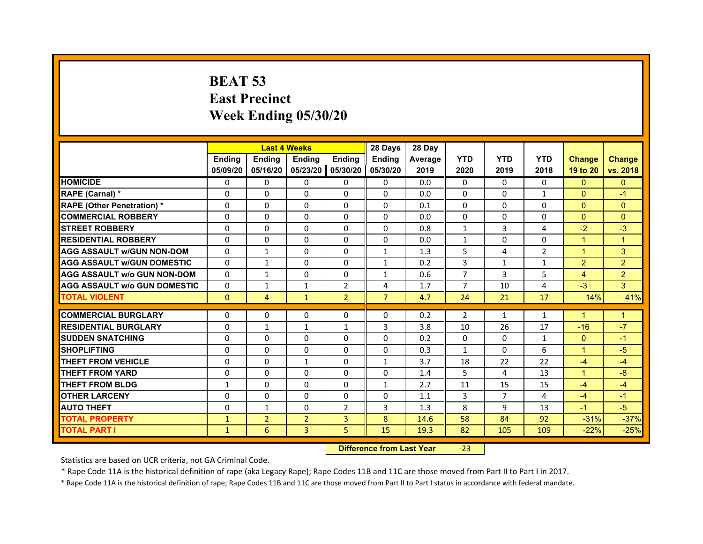# **BEAT 53East Precinct Week Ending 05/30/20**

|                                     |               | <b>Last 4 Weeks</b> |                |                | 28 Days        | 28 Day  |                |                |                |                      |                |
|-------------------------------------|---------------|---------------------|----------------|----------------|----------------|---------|----------------|----------------|----------------|----------------------|----------------|
|                                     | <b>Endina</b> | Ending              | <b>Endina</b>  | <b>Ending</b>  | <b>Endina</b>  | Average | <b>YTD</b>     | <b>YTD</b>     | <b>YTD</b>     | <b>Change</b>        | <b>Change</b>  |
|                                     | 05/09/20      | 05/16/20            | 05/23/20       | 05/30/20       | 05/30/20       | 2019    | 2020           | 2019           | 2018           | 19 to 20             | vs. 2018       |
| <b>HOMICIDE</b>                     | 0             | $\Omega$            | $\mathbf{0}$   | 0              | 0              | 0.0     | $\mathbf{0}$   | $\Omega$       | 0              | $\mathbf{0}$         | $\mathbf{0}$   |
| RAPE (Carnal) *                     | $\Omega$      | $\Omega$            | $\Omega$       | $\Omega$       | $\Omega$       | 0.0     | $\Omega$       | $\Omega$       | $\mathbf{1}$   | $\Omega$             | $-1$           |
| <b>RAPE (Other Penetration)*</b>    | $\Omega$      | $\Omega$            | $\Omega$       | $\Omega$       | $\Omega$       | 0.1     | $\Omega$       | $\Omega$       | $\Omega$       | $\Omega$             | $\Omega$       |
| <b>COMMERCIAL ROBBERY</b>           | 0             | 0                   | 0              | 0              | 0              | 0.0     | 0              | 0              | $\Omega$       | $\Omega$             | $\overline{0}$ |
| <b>STREET ROBBERY</b>               | $\Omega$      | $\Omega$            | 0              | 0              | $\Omega$       | 0.8     | $\mathbf{1}$   | 3              | 4              | $-2$                 | $-3$           |
| <b>RESIDENTIAL ROBBERY</b>          | $\Omega$      | $\Omega$            | $\Omega$       | $\Omega$       | $\Omega$       | 0.0     | $\mathbf{1}$   | $\Omega$       | $\Omega$       | $\blacktriangleleft$ | $\overline{1}$ |
| <b>AGG ASSAULT w/GUN NON-DOM</b>    | $\Omega$      | 1                   | $\Omega$       | $\Omega$       | $\mathbf{1}$   | 1.3     | 5              | 4              | $\overline{2}$ | $\mathbf{1}$         | 3              |
| <b>AGG ASSAULT W/GUN DOMESTIC</b>   | $\Omega$      | $\mathbf{1}$        | $\Omega$       | $\Omega$       | $\mathbf{1}$   | 0.2     | 3              | $\mathbf{1}$   | $\mathbf{1}$   | 2                    | 2              |
| <b>AGG ASSAULT W/o GUN NON-DOM</b>  | $\Omega$      | $\mathbf{1}$        | 0              | 0              | $\mathbf{1}$   | 0.6     | $\overline{7}$ | 3              | 5              | 4                    | $\overline{2}$ |
| <b>AGG ASSAULT W/o GUN DOMESTIC</b> | $\Omega$      | 1                   | $\mathbf{1}$   | 2              | 4              | 1.7     | $\overline{7}$ | 10             | 4              | $-3$                 | 3              |
| <b>TOTAL VIOLENT</b>                | $\Omega$      | $\overline{4}$      | $\mathbf{1}$   | $\overline{2}$ | $\overline{7}$ | 4.7     | 24             | 21             | 17             | 14%                  | 41%            |
|                                     |               |                     |                |                |                |         |                |                |                |                      |                |
| <b>COMMERCIAL BURGLARY</b>          | 0             | 0                   | 0              | 0              | 0              | 0.2     | $\overline{2}$ | $\mathbf{1}$   | $\mathbf{1}$   | $\blacktriangleleft$ | 1              |
| <b>RESIDENTIAL BURGLARY</b>         | $\Omega$      | $\mathbf{1}$        | $\mathbf{1}$   | $\mathbf{1}$   | 3              | 3.8     | 10             | 26             | 17             | $-16$                | $-7$           |
| <b>SUDDEN SNATCHING</b>             | $\Omega$      | $\Omega$            | $\Omega$       | $\Omega$       | $\Omega$       | 0.2     | $\mathbf{0}$   | $\Omega$       | $\mathbf{1}$   | $\Omega$             | $-1$           |
| <b>SHOPLIFTING</b>                  | $\Omega$      | $\Omega$            | $\mathbf 0$    | $\Omega$       | $\Omega$       | 0.3     | $\mathbf{1}$   | $\Omega$       | 6              | $\mathbf{1}$         | $-5$           |
| <b>THEFT FROM VEHICLE</b>           | $\Omega$      | $\Omega$            | $\mathbf{1}$   | $\Omega$       | $\mathbf{1}$   | 3.7     | 18             | 22             | 22             | $-4$                 | $-4$           |
| <b>THEFT FROM YARD</b>              | $\Omega$      | $\Omega$            | $\Omega$       | $\Omega$       | $\Omega$       | 1.4     | 5              | 4              | 13             | $\mathbf{1}$         | $-8$           |
| <b>THEFT FROM BLDG</b>              | $\mathbf{1}$  | $\Omega$            | $\Omega$       | $\Omega$       | $\mathbf{1}$   | 2.7     | 11             | 15             | 15             | $-4$                 | $-4$           |
| <b>OTHER LARCENY</b>                | $\Omega$      | $\Omega$            | $\Omega$       | $\Omega$       | $\Omega$       | 1.1     | 3              | $\overline{7}$ | 4              | $-4$                 | $-1$           |
| <b>AUTO THEFT</b>                   | 0             | 1                   | 0              | $\overline{2}$ | 3              | 1.3     | 8              | 9              | 13             | $-1$                 | $-5$           |
| <b>TOTAL PROPERTY</b>               | $\mathbf{1}$  | $\overline{2}$      | $\overline{2}$ | 3              | 8              | 14.6    | 58             | 84             | 92             | $-31%$               | $-37%$         |
| <b>TOTAL PART I</b>                 | $\mathbf{1}$  | 6                   | $\overline{3}$ | 5              | 15             | 19.3    | 82             | 105            | 109            | $-22%$               | $-25%$         |

 **Difference from Last Year**‐23

Statistics are based on UCR criteria, not GA Criminal Code.

\* Rape Code 11A is the historical definition of rape (aka Legacy Rape); Rape Codes 11B and 11C are those moved from Part II to Part I in 2017.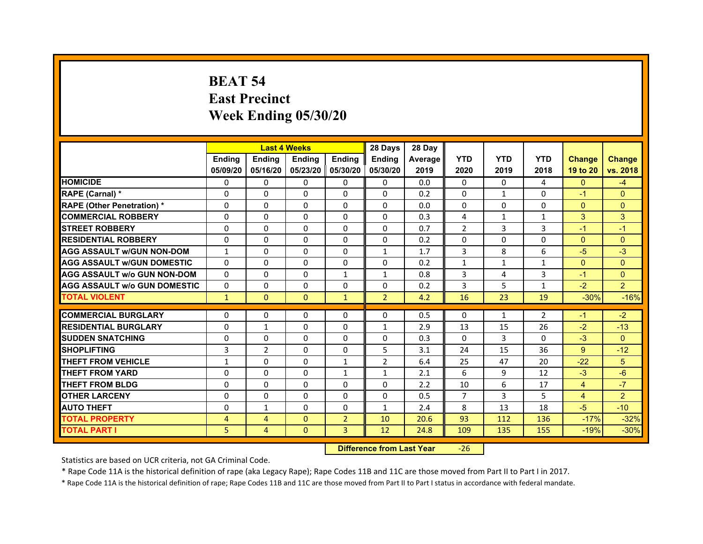# **BEAT 54East Precinct Week Ending 05/30/20**

|                                     |               | <b>Last 4 Weeks</b> |                     |                | 28 Days        | 28 Day  |                |              |                |                |                |
|-------------------------------------|---------------|---------------------|---------------------|----------------|----------------|---------|----------------|--------------|----------------|----------------|----------------|
|                                     | <b>Endina</b> | <b>Endina</b>       | <b>Endina</b>       | <b>Endina</b>  | <b>Endina</b>  | Average | <b>YTD</b>     | <b>YTD</b>   | <b>YTD</b>     | <b>Change</b>  | <b>Change</b>  |
|                                     | 05/09/20      | 05/16/20            | 05/23/20   05/30/20 |                | 05/30/20       | 2019    | 2020           | 2019         | 2018           | 19 to 20       | vs. 2018       |
| <b>HOMICIDE</b>                     | 0             | 0                   | $\mathbf{0}$        | 0              | 0              | 0.0     | 0              | $\Omega$     | 4              | $\mathbf{0}$   | $-4$           |
| RAPE (Carnal) *                     | $\Omega$      | $\Omega$            | $\Omega$            | $\Omega$       | $\Omega$       | 0.2     | $\Omega$       | $\mathbf{1}$ | $\Omega$       | $-1$           | $\Omega$       |
| <b>RAPE (Other Penetration) *</b>   | 0             | $\Omega$            | $\Omega$            | $\Omega$       | $\Omega$       | 0.0     | $\Omega$       | $\Omega$     | $\Omega$       | $\Omega$       | $\Omega$       |
| <b>COMMERCIAL ROBBERY</b>           | 0             | 0                   | $\Omega$            | $\Omega$       | $\Omega$       | 0.3     | 4              | $\mathbf{1}$ | 1              | 3              | 3              |
| <b>STREET ROBBERY</b>               | 0             | $\Omega$            | 0                   | $\Omega$       | 0              | 0.7     | $\overline{2}$ | 3            | 3              | $-1$           | $-1$           |
| <b>RESIDENTIAL ROBBERY</b>          | 0             | $\Omega$            | 0                   | 0              | 0              | 0.2     | 0              | 0            | $\Omega$       | $\mathbf{0}$   | $\Omega$       |
| <b>AGG ASSAULT w/GUN NON-DOM</b>    | $\mathbf{1}$  | $\mathbf 0$         | $\Omega$            | $\mathbf{0}$   | $\mathbf{1}$   | 1.7     | 3              | 8            | 6              | $-5$           | $-3$           |
| <b>AGG ASSAULT W/GUN DOMESTIC</b>   | $\Omega$      | $\Omega$            | $\Omega$            | $\mathbf{0}$   | 0              | 0.2     | $\mathbf{1}$   | $\mathbf{1}$ | $\mathbf{1}$   | $\Omega$       | $\Omega$       |
| <b>AGG ASSAULT w/o GUN NON-DOM</b>  | $\Omega$      | 0                   | $\Omega$            | $\mathbf{1}$   | $\mathbf{1}$   | 0.8     | 3              | 4            | 3              | $-1$           | $\Omega$       |
| <b>AGG ASSAULT W/o GUN DOMESTIC</b> | $\Omega$      | 0                   | $\Omega$            | $\mathbf{0}$   | $\Omega$       | 0.2     | 3              | 5            | 1              | $-2$           | $\overline{2}$ |
| <b>TOTAL VIOLENT</b>                | $\mathbf{1}$  | $\Omega$            | $\mathbf{0}$        | $\mathbf{1}$   | $\overline{2}$ | 4.2     | 16             | 23           | 19             | $-30%$         | $-16%$         |
|                                     |               |                     |                     |                |                |         |                |              |                |                |                |
| <b>COMMERCIAL BURGLARY</b>          | 0             | 0                   | $\Omega$            | 0              | $\Omega$       | 0.5     | $\Omega$       | $\mathbf{1}$ | $\overline{2}$ | $-1$           | $-2$           |
| <b>RESIDENTIAL BURGLARY</b>         | 0             | $\mathbf{1}$        | $\Omega$            | $\mathbf{0}$   | 1              | 2.9     | 13             | 15           | 26             | $-2$           | $-13$          |
| <b>SUDDEN SNATCHING</b>             | 0             | 0                   | $\Omega$            | $\Omega$       | $\Omega$       | 0.3     | $\Omega$       | 3            | $\Omega$       | $-3$           | $\Omega$       |
| <b>SHOPLIFTING</b>                  | 3             | $\overline{2}$      | 0                   | $\Omega$       | 5              | 3.1     | 24             | 15           | 36             | 9              | $-12$          |
| <b>THEFT FROM VEHICLE</b>           | $\mathbf{1}$  | $\Omega$            | $\Omega$            | $\mathbf{1}$   | $\overline{2}$ | 6.4     | 25             | 47           | 20             | $-22$          | 5              |
| <b>THEFT FROM YARD</b>              | 0             | 0                   | $\Omega$            | $\mathbf{1}$   | $\mathbf{1}$   | 2.1     | 6              | 9            | 12             | $-3$           | $-6$           |
| <b>THEFT FROM BLDG</b>              | 0             | 0                   | 0                   | 0              | 0              | 2.2     | 10             | 6            | 17             | $\overline{4}$ | $-7$           |
| <b>OTHER LARCENY</b>                | 0             | 0                   | $\Omega$            | 0              | $\Omega$       | 0.5     | 7              | 3            | 5              | $\overline{4}$ | $\overline{2}$ |
| <b>AUTO THEFT</b>                   | $\mathbf 0$   | 1                   | $\Omega$            | $\Omega$       | $\mathbf{1}$   | 2.4     | 8              | 13           | 18             | $-5$           | $-10$          |
| <b>TOTAL PROPERTY</b>               | 4             | 4                   | $\Omega$            | $\overline{2}$ | 10             | 20.6    | 93             | 112          | 136            | $-17%$         | $-32%$         |
| <b>TOTAL PART I</b>                 | 5             | 4                   | $\Omega$            | 3              | 12             | 24.8    | 109            | 135          | 155            | $-19%$         | $-30%$         |

#### **Difference from Last Year**‐26

Statistics are based on UCR criteria, not GA Criminal Code.

\* Rape Code 11A is the historical definition of rape (aka Legacy Rape); Rape Codes 11B and 11C are those moved from Part II to Part I in 2017.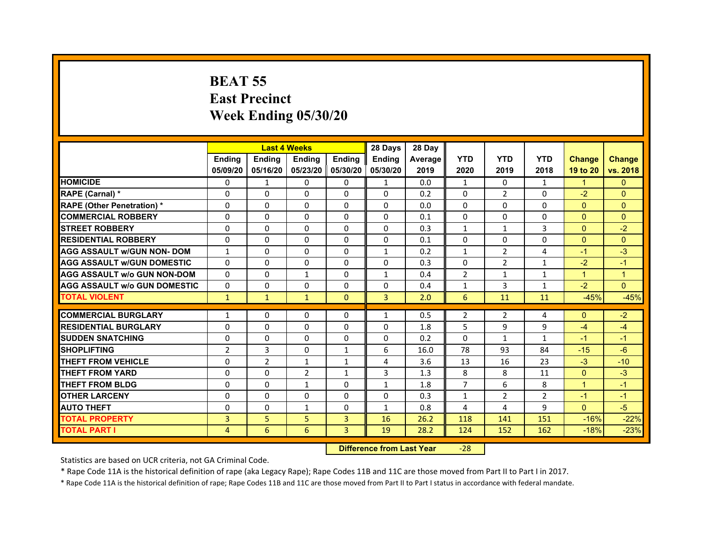# **BEAT 55East Precinct Week Ending 05/30/20**

|                                     |                | <b>Last 4 Weeks</b> |                |              | 28 Days       | 28 Day  |                |                |                |                      |               |
|-------------------------------------|----------------|---------------------|----------------|--------------|---------------|---------|----------------|----------------|----------------|----------------------|---------------|
|                                     | <b>Endina</b>  | <b>Ending</b>       | <b>Endina</b>  | Ending       | <b>Endina</b> | Average | <b>YTD</b>     | <b>YTD</b>     | <b>YTD</b>     | <b>Change</b>        | <b>Change</b> |
|                                     | 05/09/20       | 05/16/20            | 05/23/20       | 05/30/20     | 05/30/20      | 2019    | 2020           | 2019           | 2018           | 19 to 20             | vs. 2018      |
| <b>HOMICIDE</b>                     | $\Omega$       | $\mathbf{1}$        | $\Omega$       | 0            | 1             | 0.0     | $\mathbf{1}$   | 0              | $\mathbf{1}$   | $\mathbf{1}$         | $\Omega$      |
| RAPE (Carnal) *                     | $\Omega$       | $\Omega$            | $\Omega$       | $\Omega$     | $\Omega$      | 0.2     | $\Omega$       | 2              | $\Omega$       | $-2$                 | $\mathbf{0}$  |
| <b>RAPE (Other Penetration)*</b>    | $\Omega$       | $\Omega$            | $\Omega$       | $\Omega$     | $\Omega$      | 0.0     | $\Omega$       | $\Omega$       | $\Omega$       | $\Omega$             | $\Omega$      |
| <b>COMMERCIAL ROBBERY</b>           | $\Omega$       | $\Omega$            | 0              | 0            | $\Omega$      | 0.1     | $\Omega$       | 0              | $\Omega$       | $\Omega$             | $\Omega$      |
| <b>STREET ROBBERY</b>               | $\Omega$       | $\mathbf{0}$        | $\Omega$       | 0            | 0             | 0.3     | $\mathbf{1}$   | $\mathbf{1}$   | 3              | $\Omega$             | $-2$          |
| <b>RESIDENTIAL ROBBERY</b>          | $\Omega$       | $\Omega$            | $\Omega$       | $\Omega$     | $\Omega$      | 0.1     | $\Omega$       | $\Omega$       | $\Omega$       | $\Omega$             | $\Omega$      |
| <b>AGG ASSAULT W/GUN NON- DOM</b>   | $\mathbf{1}$   | $\Omega$            | $\Omega$       | $\Omega$     | 1             | 0.2     | $\mathbf{1}$   | $\overline{2}$ | $\overline{4}$ | $-1$                 | $-3$          |
| <b>AGG ASSAULT W/GUN DOMESTIC</b>   | $\Omega$       | $\Omega$            | $\Omega$       | $\Omega$     | $\Omega$      | 0.3     | $\Omega$       | 2              | $\mathbf{1}$   | $-2$                 | $-1$          |
| <b>AGG ASSAULT w/o GUN NON-DOM</b>  | $\Omega$       | $\Omega$            | $\mathbf{1}$   | 0            | $\mathbf{1}$  | 0.4     | $\overline{2}$ | $\mathbf{1}$   | $\mathbf{1}$   | $\mathbf{1}$         | $\mathbf{1}$  |
| <b>AGG ASSAULT w/o GUN DOMESTIC</b> | $\mathbf{0}$   | $\mathbf{0}$        | 0              | 0            | 0             | 0.4     | $\mathbf{1}$   | 3              | $\mathbf{1}$   | $-2$                 | $\Omega$      |
| <b>TOTAL VIOLENT</b>                | $\mathbf{1}$   | $\mathbf{1}$        | $\mathbf{1}$   | $\Omega$     | 3             | 2.0     | 6              | 11             | 11             | $-45%$               | $-45%$        |
| <b>COMMERCIAL BURGLARY</b>          |                | $\mathbf{0}$        | 0              | 0            | $\mathbf{1}$  | 0.5     | $\overline{2}$ |                | 4              | $\Omega$             | $-2$          |
| <b>RESIDENTIAL BURGLARY</b>         | 1<br>$\Omega$  | $\mathbf{0}$        | $\Omega$       | 0            | $\Omega$      | 1.8     | 5              | 2<br>9         | 9              | $-4$                 | $-4$          |
| <b>SUDDEN SNATCHING</b>             | $\Omega$       | $\Omega$            | $\Omega$       | $\Omega$     | $\Omega$      | 0.2     | $\Omega$       | $\mathbf{1}$   | $\mathbf{1}$   | $-1$                 | $-1$          |
| <b>SHOPLIFTING</b>                  | $\overline{2}$ | $\overline{3}$      | $\mathbf 0$    | $\mathbf{1}$ | 6             | 16.0    | 78             | 93             | 84             | $-15$                | $-6$          |
| <b>THEFT FROM VEHICLE</b>           | $\Omega$       | $\overline{2}$      | $\mathbf{1}$   | $\mathbf{1}$ | 4             | 3.6     | 13             | 16             | 23             | $-3$                 | $-10$         |
| <b>THEFT FROM YARD</b>              | $\Omega$       | $\Omega$            | $\overline{2}$ | $\mathbf{1}$ | 3             | 1.3     | 8              | 8              | 11             | $\Omega$             | $-3$          |
| <b>THEFT FROM BLDG</b>              | $\Omega$       | $\Omega$            | 1              | $\Omega$     | 1             | 1.8     | $\overline{7}$ | 6              | 8              | $\blacktriangleleft$ | $-1$          |
| <b>OTHER LARCENY</b>                | $\Omega$       | $\Omega$            | $\Omega$       | $\Omega$     | $\Omega$      | 0.3     | $\mathbf{1}$   | $\overline{2}$ | $\overline{2}$ | $-1$                 | $-1$          |
| <b>AUTO THEFT</b>                   | $\Omega$       | 0                   | 1              | 0            | $\mathbf{1}$  | 0.8     | 4              | 4              | 9              | $\mathbf{0}$         | $-5$          |
| <b>TOTAL PROPERTY</b>               | 3              | 5                   | 5              | 3            | 16            | 26.2    | 118            | 141            | 151            | $-16%$               | $-22%$        |
| <b>TOTAL PART I</b>                 | 4              | 6                   | 6              | 3            | 19            | 28.2    | 124            | 152            | 162            | $-18%$               | $-23%$        |
|                                     |                |                     |                |              |               |         |                |                |                |                      |               |

 **Difference from Last Year**‐28

Statistics are based on UCR criteria, not GA Criminal Code.

\* Rape Code 11A is the historical definition of rape (aka Legacy Rape); Rape Codes 11B and 11C are those moved from Part II to Part I in 2017.